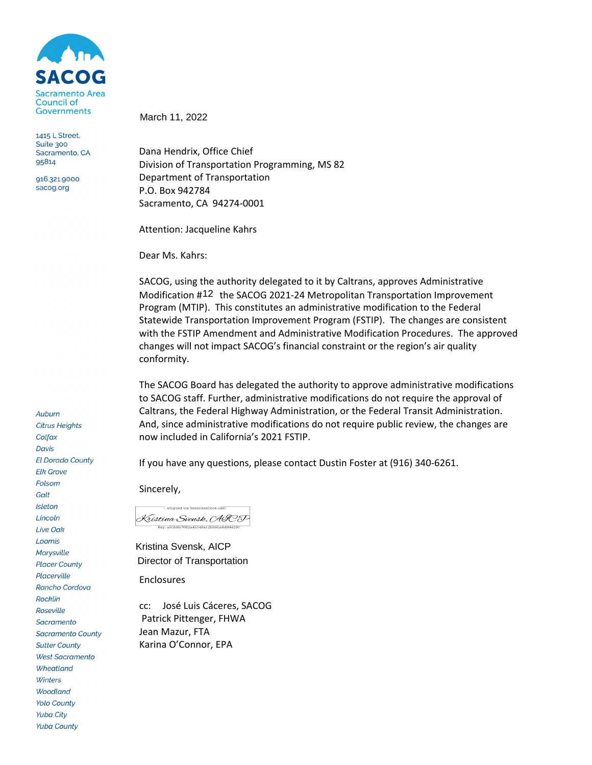

1415 L Street, Suite 300 Sacramento, CA 95814

916.321.9000 sacog.org

Auburn **Citrus Heights** Colfax **Davis El Dorado County Elk Grove** Folsom Galt **Isleton** Lincoln **Live Oak** Loomis **Marysville Placer County** Placerville Rancho Cordova **Rocklin Roseville** Sacramento **Sacramento County Sutter County West Sacramento** Wheatland Winters **Woodland Yolo County Yuba City Yuba County** 

March 11, 2022

Dana Hendrix, Office Chief Division of Transportation Programming, MS 82 Department of Transportation P.O. Box 942784 Sacramento, CA 94274-0001

Attention: Jacqueline Kahrs

Dear Ms. Kahrs:

SACOG, using the authority delegated to it by Caltrans, approves Administrative Modification #12 the SACOG 2021-24 Metropolitan Transportation Improvement Program (MTIP). This constitutes an administrative modification to the Federal Statewide Transportation Improvement Program (FSTIP). The changes are consistent with the FSTIP Amendment and Administrative Modification Procedures. The approved changes will not impact SACOG's financial constraint or the region's air quality conformity.

The SACOG Board has delegated the authority to approve administrative modifications to SACOG staff. Further, administrative modifications do not require the approval of Caltrans, the Federal Highway Administration, or the Federal Transit Administration. And, since administrative modifications do not require public review, the changes are now included in California's 2021 FSTIP.

If you have any questions, please contact Dustin Foster at (916) 340-6261.

Sincerely,

eSigned via SeamlessDocs.com Kristina Svensk, CAIC F Key: a50b9b7682a41049a12b59ba6d84419

Kristina Svensk, AICP Director of Transportation

Enclosures

cc: José Luis Cáceres, SACOG Patrick Pittenger, FHWA Jean Mazur, FTA Karina O'Connor, EPA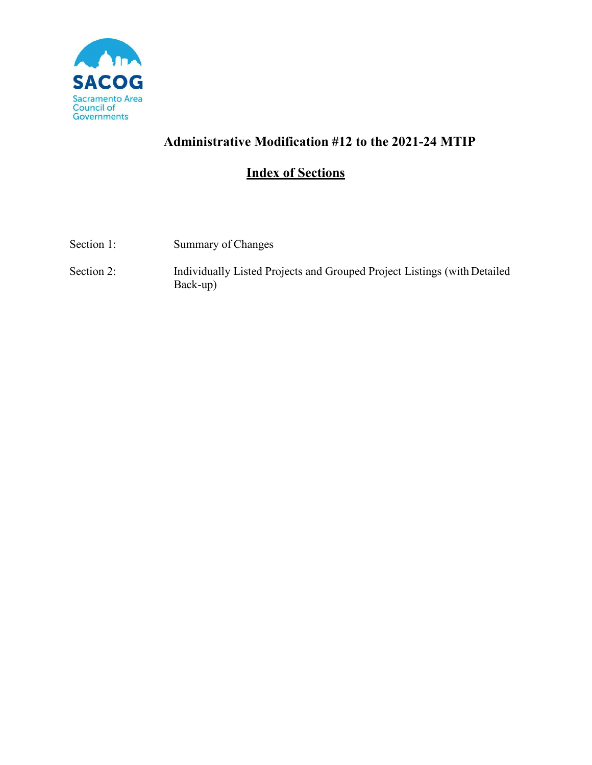

# **Administrative Modification #12 to the 2021-24 MTIP**

# **Index of Sections**

| Section 1: | Summary of Changes                                                                   |
|------------|--------------------------------------------------------------------------------------|
| Section 2: | Individually Listed Projects and Grouped Project Listings (with Detailed<br>Back-up) |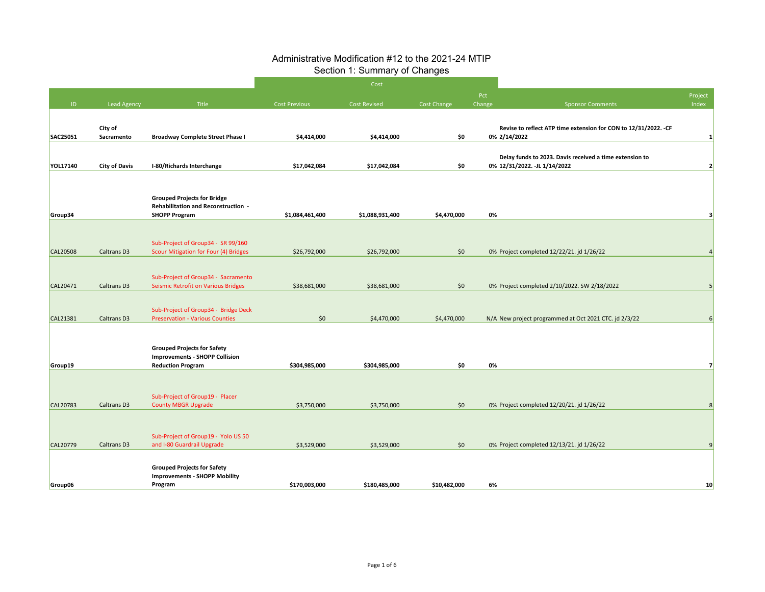#### Administrative Modification #12 to the 2021-24 MTIP Section 1: Summary of Changes

|                 |                      |                                                                                |                      | Cost                |                    |        |                                                                  |                         |
|-----------------|----------------------|--------------------------------------------------------------------------------|----------------------|---------------------|--------------------|--------|------------------------------------------------------------------|-------------------------|
|                 |                      |                                                                                |                      |                     |                    | Pct    |                                                                  | Project                 |
| ID              | <b>Lead Agency</b>   | Title                                                                          | <b>Cost Previous</b> | <b>Cost Revised</b> | <b>Cost Change</b> | Change | <b>Sponsor Comments</b>                                          | Index                   |
|                 |                      |                                                                                |                      |                     |                    |        |                                                                  |                         |
|                 | City of              |                                                                                |                      |                     |                    |        | Revise to reflect ATP time extension for CON to 12/31/2022. - CF |                         |
| SAC25051        | Sacramento           | <b>Broadway Complete Street Phase I</b>                                        | \$4,414,000          | \$4,414,000         | \$0                |        | 0% 2/14/2022                                                     | $\mathbf{1}$            |
|                 |                      |                                                                                |                      |                     |                    |        | Delay funds to 2023. Davis received a time extension to          |                         |
| YOL17140        | <b>City of Davis</b> | I-80/Richards Interchange                                                      | \$17,042,084         | \$17,042,084        | \$0                |        | 0% 12/31/2022. -JL 1/14/2022                                     | $\overline{\mathbf{2}}$ |
|                 |                      |                                                                                |                      |                     |                    |        |                                                                  |                         |
|                 |                      |                                                                                |                      |                     |                    |        |                                                                  |                         |
|                 |                      | <b>Grouped Projects for Bridge</b>                                             |                      |                     |                    |        |                                                                  |                         |
| Group34         |                      | <b>Rehabilitation and Reconstruction -</b><br><b>SHOPP Program</b>             | \$1,084,461,400      | \$1,088,931,400     | \$4,470,000        | 0%     |                                                                  | 3                       |
|                 |                      |                                                                                |                      |                     |                    |        |                                                                  |                         |
|                 |                      |                                                                                |                      |                     |                    |        |                                                                  |                         |
|                 |                      | Sub-Project of Group34 - SR 99/160                                             |                      |                     |                    |        |                                                                  |                         |
| <b>CAL20508</b> | Caltrans D3          | Scour Mitigation for Four (4) Bridges                                          | \$26,792,000         | \$26,792,000        | \$0                |        | 0% Project completed 12/22/21. jd 1/26/22                        | $\overline{4}$          |
|                 |                      |                                                                                |                      |                     |                    |        |                                                                  |                         |
|                 |                      | Sub-Project of Group34 - Sacramento                                            |                      |                     |                    |        |                                                                  |                         |
| CAL20471        | Caltrans D3          | Seismic Retrofit on Various Bridges                                            | \$38,681,000         | \$38,681,000        | \$0                |        | 0% Project completed 2/10/2022. SW 2/18/2022                     | 5                       |
|                 |                      |                                                                                |                      |                     |                    |        |                                                                  |                         |
| CAL21381        | Caltrans D3          | Sub-Project of Group34 - Bridge Deck<br><b>Preservation - Various Counties</b> | \$0                  | \$4,470,000         | \$4,470,000        |        | N/A New project programmed at Oct 2021 CTC. jd 2/3/22            | 6                       |
|                 |                      |                                                                                |                      |                     |                    |        |                                                                  |                         |
|                 |                      |                                                                                |                      |                     |                    |        |                                                                  |                         |
|                 |                      | <b>Grouped Projects for Safety</b>                                             |                      |                     |                    |        |                                                                  |                         |
| Group19         |                      | <b>Improvements - SHOPP Collision</b><br><b>Reduction Program</b>              | \$304,985,000        | \$304,985,000       | \$0                | 0%     |                                                                  |                         |
|                 |                      |                                                                                |                      |                     |                    |        |                                                                  |                         |
|                 |                      |                                                                                |                      |                     |                    |        |                                                                  |                         |
|                 |                      | Sub-Project of Group19 - Placer                                                |                      |                     |                    |        |                                                                  |                         |
| CAL20783        | Caltrans D3          | <b>County MBGR Upgrade</b>                                                     | \$3,750,000          | \$3,750,000         | \$0                |        | 0% Project completed 12/20/21. jd 1/26/22                        | 8                       |
|                 |                      |                                                                                |                      |                     |                    |        |                                                                  |                         |
|                 |                      |                                                                                |                      |                     |                    |        |                                                                  |                         |
| CAL20779        | Caltrans D3          | Sub-Project of Group19 - Yolo US 50<br>and I-80 Guardrail Upgrade              | \$3,529,000          | \$3,529,000         | \$0                |        | 0% Project completed 12/13/21. jd 1/26/22                        | 9                       |
|                 |                      |                                                                                |                      |                     |                    |        |                                                                  |                         |
|                 |                      | <b>Grouped Projects for Safety</b>                                             |                      |                     |                    |        |                                                                  |                         |
|                 |                      | <b>Improvements - SHOPP Mobility</b>                                           |                      |                     |                    |        |                                                                  |                         |
| Group06         |                      | Program                                                                        | \$170,003,000        | \$180,485,000       | \$10,482,000       | 6%     |                                                                  | 10                      |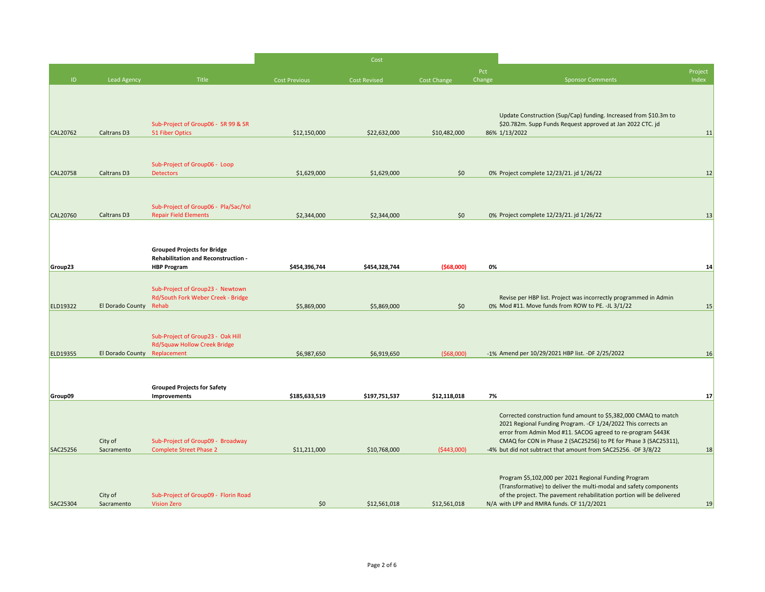|                 |                              |                                                                          |                      | Cost          |              |               |                                                                                                                               |                  |
|-----------------|------------------------------|--------------------------------------------------------------------------|----------------------|---------------|--------------|---------------|-------------------------------------------------------------------------------------------------------------------------------|------------------|
| ID.             | <b>Lead Agency</b>           | <b>Title</b>                                                             | <b>Cost Previous</b> | Cost Revised  | Cost Change  | Pct<br>Change | <b>Sponsor Comments</b>                                                                                                       | Project<br>Index |
|                 |                              |                                                                          |                      |               |              |               |                                                                                                                               |                  |
|                 |                              |                                                                          |                      |               |              |               | Update Construction (Sup/Cap) funding. Increased from \$10.3m to                                                              |                  |
|                 |                              | Sub-Project of Group06 - SR 99 & SR                                      |                      |               |              |               | \$20.782m. Supp Funds Request approved at Jan 2022 CTC. jd                                                                    |                  |
| <b>CAL20762</b> | Caltrans D3                  | 51 Fiber Optics                                                          | \$12,150,000         | \$22,632,000  | \$10,482,000 |               | 86% 1/13/2022                                                                                                                 | 11               |
|                 |                              |                                                                          |                      |               |              |               |                                                                                                                               |                  |
| <b>CAL20758</b> | Caltrans D3                  | Sub-Project of Group06 - Loop<br><b>Detectors</b>                        | \$1,629,000          | \$1,629,000   | \$0          |               | 0% Project complete 12/23/21. jd 1/26/22                                                                                      | 12               |
|                 |                              |                                                                          |                      |               |              |               |                                                                                                                               |                  |
|                 |                              |                                                                          |                      |               |              |               |                                                                                                                               |                  |
| CAL20760        | Caltrans D3                  | Sub-Project of Group06 - Pla/Sac/Yol<br><b>Repair Field Elements</b>     | \$2,344,000          | \$2,344,000   | \$0          |               | 0% Project complete 12/23/21. jd 1/26/22                                                                                      | 13               |
|                 |                              |                                                                          |                      |               |              |               |                                                                                                                               |                  |
|                 |                              | <b>Grouped Projects for Bridge</b>                                       |                      |               |              |               |                                                                                                                               |                  |
|                 |                              | <b>Rehabilitation and Reconstruction -</b>                               |                      |               |              |               |                                                                                                                               |                  |
| Group23         |                              | <b>HBP Program</b>                                                       | \$454,396,744        | \$454,328,744 | (568,000)    | 0%            |                                                                                                                               | 14               |
|                 |                              | Sub-Project of Group23 - Newtown                                         |                      |               |              |               |                                                                                                                               |                  |
|                 |                              | Rd/South Fork Weber Creek - Bridge                                       |                      |               |              |               | Revise per HBP list. Project was incorrectly programmed in Admin                                                              |                  |
| ELD19322        | El Dorado County Rehab       |                                                                          | \$5,869,000          | \$5,869,000   | \$0          |               | 0% Mod #11. Move funds from ROW to PE. -JL 3/1/22                                                                             | 15               |
|                 |                              |                                                                          |                      |               |              |               |                                                                                                                               |                  |
|                 |                              | Sub-Project of Group23 - Oak Hill<br><b>Rd/Squaw Hollow Creek Bridge</b> |                      |               |              |               |                                                                                                                               |                  |
| ELD19355        | El Dorado County Replacement |                                                                          | \$6,987,650          | \$6,919,650   | ( \$68,000)  |               | -1% Amend per 10/29/2021 HBP list. -DF 2/25/2022                                                                              | 16               |
|                 |                              |                                                                          |                      |               |              |               |                                                                                                                               |                  |
|                 |                              | <b>Grouped Projects for Safety</b>                                       |                      |               |              |               |                                                                                                                               |                  |
| Group09         |                              | Improvements                                                             | \$185,633,519        | \$197,751,537 | \$12,118,018 | 7%            |                                                                                                                               | 17               |
|                 |                              |                                                                          |                      |               |              |               | Corrected construction fund amount to \$5,382,000 CMAQ to match                                                               |                  |
|                 |                              |                                                                          |                      |               |              |               | 2021 Regional Funding Program. - CF 1/24/2022 This corrects an<br>error from Admin Mod #11. SACOG agreed to re-program \$443K |                  |
|                 | City of                      | Sub-Project of Group09 - Broadway                                        |                      |               |              |               | CMAQ for CON in Phase 2 (SAC25256) to PE for Phase 3 (SAC25311),                                                              |                  |
| SAC25256        | Sacramento                   | <b>Complete Street Phase 2</b>                                           | \$11,211,000         | \$10,768,000  | (5443,000)   |               | -4% but did not subtract that amount from SAC25256. -DF 3/8/22                                                                | 18               |
|                 |                              |                                                                          |                      |               |              |               |                                                                                                                               |                  |
|                 |                              |                                                                          |                      |               |              |               | Program \$5,102,000 per 2021 Regional Funding Program<br>(Transformative) to deliver the multi-modal and safety components    |                  |
|                 | City of                      | Sub-Project of Group09 - Florin Road                                     |                      |               |              |               | of the project. The pavement rehabilitation portion will be delivered                                                         |                  |
| SAC25304        | Sacramento                   | <b>Vision Zero</b>                                                       | \$0                  | \$12,561,018  | \$12,561,018 |               | N/A with LPP and RMRA funds. CF 11/2/2021                                                                                     | 19               |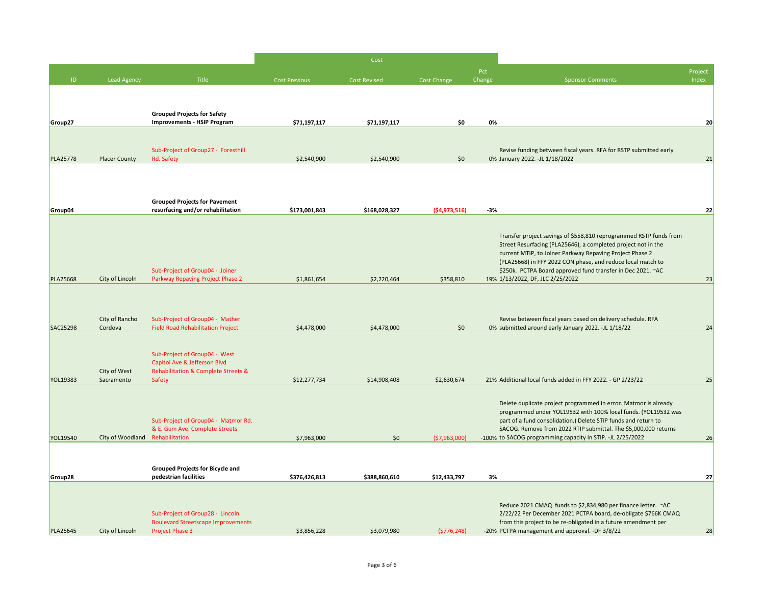|                 |                                 |                                                                               |                      | Cost                |                |               |                                                                                                                                                                                                 |                  |
|-----------------|---------------------------------|-------------------------------------------------------------------------------|----------------------|---------------------|----------------|---------------|-------------------------------------------------------------------------------------------------------------------------------------------------------------------------------------------------|------------------|
| ID              | <b>Lead Agency</b>              | Title                                                                         | <b>Cost Previous</b> | <b>Cost Revised</b> | Cost Change    | Pct<br>Change | <b>Sponsor Comments</b>                                                                                                                                                                         | Project<br>Index |
|                 |                                 |                                                                               |                      |                     |                |               |                                                                                                                                                                                                 |                  |
|                 |                                 | <b>Grouped Projects for Safety</b>                                            |                      |                     |                |               |                                                                                                                                                                                                 |                  |
| Group27         |                                 | <b>Improvements - HSIP Program</b>                                            | \$71,197,117         | \$71,197,117        | \$0            | 0%            |                                                                                                                                                                                                 | 20               |
|                 |                                 |                                                                               |                      |                     |                |               |                                                                                                                                                                                                 |                  |
| <b>PLA25778</b> | Placer County                   | Sub-Project of Group27 - Foresthill<br>Rd. Safety                             | \$2,540,900          | \$2,540,900         | \$0            |               | Revise funding between fiscal years. RFA for RSTP submitted early<br>0% January 2022. -JL 1/18/2022                                                                                             | 21               |
|                 |                                 |                                                                               |                      |                     |                |               |                                                                                                                                                                                                 |                  |
|                 |                                 |                                                                               |                      |                     |                |               |                                                                                                                                                                                                 |                  |
| Group04         |                                 | <b>Grouped Projects for Pavement</b><br>resurfacing and/or rehabilitation     | \$173,001,843        | \$168,028,327       | ( \$4,973,516) | $-3%$         |                                                                                                                                                                                                 | 22               |
|                 |                                 |                                                                               |                      |                     |                |               |                                                                                                                                                                                                 |                  |
|                 |                                 |                                                                               |                      |                     |                |               | Transfer project savings of \$558,810 reprogrammed RSTP funds from<br>Street Resurfacing (PLA25646), a completed project not in the<br>current MTIP, to Joiner Parkway Repaving Project Phase 2 |                  |
|                 |                                 |                                                                               |                      |                     |                |               | (PLA25668) in FFY 2022 CON phase, and reduce local match to                                                                                                                                     |                  |
| <b>PLA25668</b> | City of Lincoln                 | Sub-Project of Group04 - Joiner<br>Parkway Repaving Project Phase 2           | \$1,861,654          | \$2,220,464         | \$358,810      |               | \$250k. PCTPA Board approved fund transfer in Dec 2021. ~AC<br>19% 1/13/2022, DF, JLC 2/25/2022                                                                                                 | 23               |
|                 |                                 |                                                                               |                      |                     |                |               |                                                                                                                                                                                                 |                  |
|                 |                                 |                                                                               |                      |                     |                |               |                                                                                                                                                                                                 |                  |
| SAC25298        | City of Rancho<br>Cordova       | Sub-Project of Group04 - Mather<br><b>Field Road Rehabilitation Project</b>   | \$4,478,000          | \$4,478,000         | \$0            |               | Revise between fiscal years based on delivery schedule. RFA<br>0% submitted around early January 2022. -JL 1/18/22                                                                              | 24               |
|                 |                                 |                                                                               |                      |                     |                |               |                                                                                                                                                                                                 |                  |
|                 |                                 | Sub-Project of Group04 - West                                                 |                      |                     |                |               |                                                                                                                                                                                                 |                  |
|                 | City of West                    | Capitol Ave & Jefferson Blvd<br>Rehabilitation & Complete Streets &           |                      |                     |                |               |                                                                                                                                                                                                 |                  |
| YOL19383        | Sacramento                      | Safety                                                                        | \$12,277,734         | \$14,908,408        | \$2,630,674    |               | 21% Additional local funds added in FFY 2022. - GP 2/23/22                                                                                                                                      | 25               |
|                 |                                 |                                                                               |                      |                     |                |               | Delete duplicate project programmed in error. Matmor is already<br>programmed under YOL19532 with 100% local funds. (YOL19532 was                                                               |                  |
|                 |                                 | Sub-Project of Group04 - Matmor Rd.<br>& E. Gum Ave. Complete Streets         |                      |                     |                |               | part of a fund consolidation.) Delete STIP funds and return to<br>SACOG. Remove from 2022 RTIP submittal. The \$5,000,000 returns                                                               |                  |
| YOL19540        | City of Woodland Rehabilitation |                                                                               | \$7,963,000          | \$0                 | (57,963,000)   |               | -100% to SACOG programming capacity in STIP. -JL 2/25/2022                                                                                                                                      | 26               |
|                 |                                 |                                                                               |                      |                     |                |               |                                                                                                                                                                                                 |                  |
| Group28         |                                 | Grouped Projects for Bicycle and<br>pedestrian facilities                     | \$376,426,813        | \$388,860,610       | \$12,433,797   | 3%            |                                                                                                                                                                                                 | 27               |
|                 |                                 |                                                                               |                      |                     |                |               |                                                                                                                                                                                                 |                  |
|                 |                                 |                                                                               |                      |                     |                |               | Reduce 2021 CMAQ funds to \$2,834,980 per finance letter. ~ AC                                                                                                                                  |                  |
|                 |                                 | Sub-Project of Group28 - Lincoln<br><b>Boulevard Streetscape Improvements</b> |                      |                     |                |               | 2/22/22 Per December 2021 PCTPA board, de-obligate \$766K CMAQ<br>from this project to be re-obligated in a future amendment per                                                                |                  |
| <b>PLA25645</b> | City of Lincoln                 | Project Phase 3                                                               | \$3,856,228          | \$3,079,980         | (5776, 248)    |               | -20% PCTPA management and approval. -DF 3/8/22                                                                                                                                                  | 28               |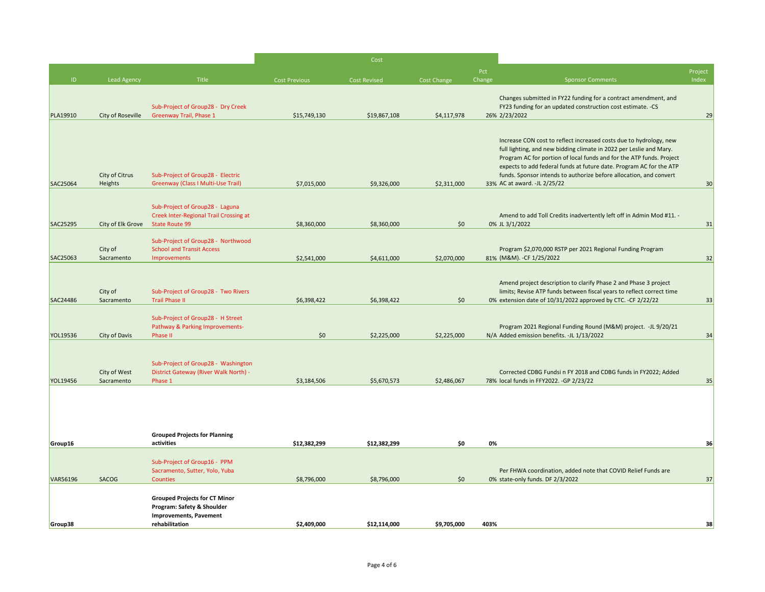|          |                            |                                                                           |                      | Cost                |             |               |                                                                                                                                             |                  |
|----------|----------------------------|---------------------------------------------------------------------------|----------------------|---------------------|-------------|---------------|---------------------------------------------------------------------------------------------------------------------------------------------|------------------|
| ID       | <b>Lead Agency</b>         | Title                                                                     | <b>Cost Previous</b> | <b>Cost Revised</b> | Cost Change | Pct<br>Change | <b>Sponsor Comments</b>                                                                                                                     | Project<br>Index |
|          |                            |                                                                           |                      |                     |             |               |                                                                                                                                             |                  |
|          |                            |                                                                           |                      |                     |             |               | Changes submitted in FY22 funding for a contract amendment, and                                                                             |                  |
| PLA19910 | City of Roseville          | Sub-Project of Group28 - Dry Creek<br><b>Greenway Trail, Phase 1</b>      | \$15,749,130         | \$19,867,108        | \$4,117,978 |               | FY23 funding for an updated construction cost estimate. - CS<br>26% 2/23/2022                                                               | 29               |
|          |                            |                                                                           |                      |                     |             |               |                                                                                                                                             |                  |
|          |                            |                                                                           |                      |                     |             |               | Increase CON cost to reflect increased costs due to hydrology, new                                                                          |                  |
|          |                            |                                                                           |                      |                     |             |               | full lighting, and new bidding climate in 2022 per Leslie and Mary.                                                                         |                  |
|          |                            |                                                                           |                      |                     |             |               | Program AC for portion of local funds and for the ATP funds. Project<br>expects to add federal funds at future date. Program AC for the ATP |                  |
|          | City of Citrus             | Sub-Project of Group28 - Electric                                         |                      |                     |             |               | funds. Sponsor intends to authorize before allocation, and convert                                                                          |                  |
| SAC25064 | Heights                    | Greenway (Class I Multi-Use Trail)                                        | \$7,015,000          | \$9,326,000         | \$2,311,000 |               | 33% AC at award. -JL 2/25/22                                                                                                                | 30               |
|          |                            |                                                                           |                      |                     |             |               |                                                                                                                                             |                  |
|          |                            | Sub-Project of Group28 - Laguna<br>Creek Inter-Regional Trail Crossing at |                      |                     |             |               | Amend to add Toll Credits inadvertently left off in Admin Mod #11. -                                                                        |                  |
| SAC25295 | City of Elk Grove          | <b>State Route 99</b>                                                     | \$8,360,000          | \$8,360,000         | \$0         |               | 0% JL 3/1/2022                                                                                                                              | 31               |
|          |                            |                                                                           |                      |                     |             |               |                                                                                                                                             |                  |
|          | City of                    | Sub-Project of Group28 - Northwood<br><b>School and Transit Access</b>    |                      |                     |             |               | Program \$2,070,000 RSTP per 2021 Regional Funding Program                                                                                  |                  |
| SAC25063 | Sacramento                 | Improvements                                                              | \$2,541,000          | \$4,611,000         | \$2,070,000 |               | 81% (M&M). - CF 1/25/2022                                                                                                                   | 32               |
|          |                            |                                                                           |                      |                     |             |               |                                                                                                                                             |                  |
|          |                            |                                                                           |                      |                     |             |               | Amend project description to clarify Phase 2 and Phase 3 project                                                                            |                  |
|          | City of                    | Sub-Project of Group28 - Two Rivers                                       |                      |                     |             |               | limits; Revise ATP funds between fiscal years to reflect correct time                                                                       |                  |
| SAC24486 | Sacramento                 | <b>Trail Phase II</b>                                                     | \$6,398,422          | \$6,398,422         | \$0         |               | 0% extension date of 10/31/2022 approved by CTC. -CF 2/22/22                                                                                | 33               |
|          |                            | Sub-Project of Group28 - H Street                                         |                      |                     |             |               |                                                                                                                                             |                  |
|          |                            | Pathway & Parking Improvements-                                           |                      |                     |             |               | Program 2021 Regional Funding Round (M&M) project. -JL 9/20/21                                                                              |                  |
| YOL19536 | City of Davis              | Phase II                                                                  | \$0                  | \$2,225,000         | \$2,225,000 |               | N/A Added emission benefits. -JL 1/13/2022                                                                                                  | 34               |
|          |                            |                                                                           |                      |                     |             |               |                                                                                                                                             |                  |
|          |                            | Sub-Project of Group28 - Washington                                       |                      |                     |             |               |                                                                                                                                             |                  |
| YOL19456 | City of West<br>Sacramento | District Gateway (River Walk North) -<br>Phase 1                          | \$3,184,506          | \$5,670,573         | \$2,486,067 |               | Corrected CDBG Fundsi n FY 2018 and CDBG funds in FY2022; Added                                                                             | 35               |
|          |                            |                                                                           |                      |                     |             |               | 78% local funds in FFY2022. -GP 2/23/22                                                                                                     |                  |
|          |                            |                                                                           |                      |                     |             |               |                                                                                                                                             |                  |
|          |                            |                                                                           |                      |                     |             |               |                                                                                                                                             |                  |
|          |                            | <b>Grouped Projects for Planning</b>                                      |                      |                     |             |               |                                                                                                                                             |                  |
| Group16  |                            | activities                                                                | \$12,382,299         | \$12,382,299        | \$0         | 0%            |                                                                                                                                             | 36               |
|          |                            |                                                                           |                      |                     |             |               |                                                                                                                                             |                  |
|          |                            | Sub-Project of Group16 - PPM                                              |                      |                     |             |               |                                                                                                                                             |                  |
| VAR56196 | SACOG                      | Sacramento, Sutter, Yolo, Yuba<br>Counties                                | \$8,796,000          | \$8,796,000         | \$0         |               | Per FHWA coordination, added note that COVID Relief Funds are<br>0% state-only funds. DF 2/3/2022                                           | 37               |
|          |                            |                                                                           |                      |                     |             |               |                                                                                                                                             |                  |
|          |                            | <b>Grouped Projects for CT Minor</b>                                      |                      |                     |             |               |                                                                                                                                             |                  |
|          |                            | Program: Safety & Shoulder<br><b>Improvements, Pavement</b>               |                      |                     |             |               |                                                                                                                                             |                  |
| Group38  |                            | rehabilitation                                                            | \$2,409,000          | \$12,114,000        | \$9,705,000 | 403%          |                                                                                                                                             | 38               |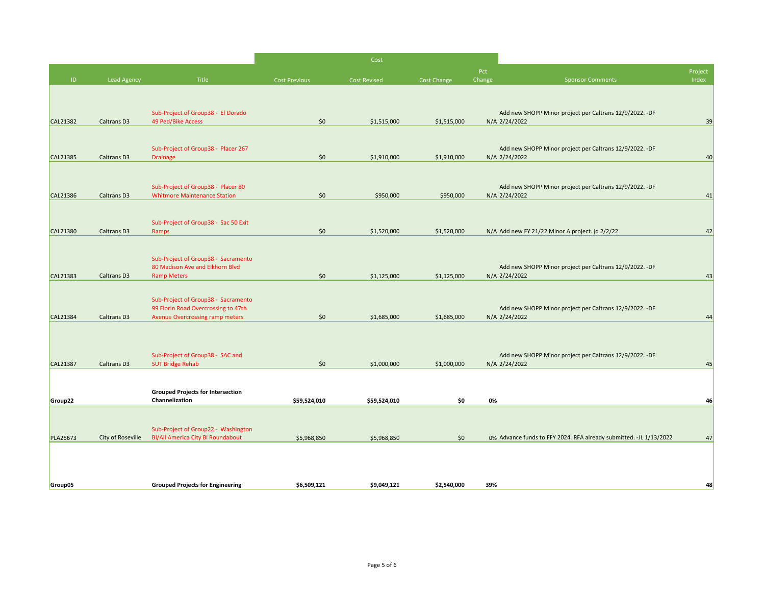|                 |                    |                                                                            |                      | Cost         |             |        |                                                                    |         |
|-----------------|--------------------|----------------------------------------------------------------------------|----------------------|--------------|-------------|--------|--------------------------------------------------------------------|---------|
| ID.             | <b>Lead Agency</b> | Title                                                                      | <b>Cost Previous</b> |              |             | Pct    |                                                                    | Project |
|                 |                    |                                                                            |                      | Cost Revised | Cost Change | Change | <b>Sponsor Comments</b>                                            | Index   |
|                 |                    |                                                                            |                      |              |             |        |                                                                    |         |
|                 |                    | Sub-Project of Group38 - El Dorado                                         |                      |              |             |        | Add new SHOPP Minor project per Caltrans 12/9/2022. -DF            |         |
| <b>CAL21382</b> | Caltrans D3        | 49 Ped/Bike Access                                                         | \$0                  | \$1,515,000  | \$1,515,000 |        | N/A 2/24/2022                                                      | 39      |
|                 |                    |                                                                            |                      |              |             |        |                                                                    |         |
|                 |                    | Sub-Project of Group38 - Placer 267                                        |                      |              |             |        | Add new SHOPP Minor project per Caltrans 12/9/2022. -DF            |         |
| CAL21385        | Caltrans D3        | Drainage                                                                   | \$0                  | \$1,910,000  | \$1,910,000 |        | N/A 2/24/2022                                                      | 40      |
|                 |                    |                                                                            |                      |              |             |        |                                                                    |         |
|                 |                    | Sub-Project of Group38 - Placer 80                                         |                      |              |             |        | Add new SHOPP Minor project per Caltrans 12/9/2022. -DF            |         |
| CAL21386        | Caltrans D3        | <b>Whitmore Maintenance Station</b>                                        | \$0                  | \$950,000    | \$950,000   |        | N/A 2/24/2022                                                      | 41      |
|                 |                    |                                                                            |                      |              |             |        |                                                                    |         |
|                 |                    | Sub-Project of Group38 - Sac 50 Exit                                       |                      |              |             |        |                                                                    |         |
| CAL21380        | Caltrans D3        | Ramps                                                                      | \$0                  | \$1,520,000  | \$1,520,000 |        | N/A Add new FY 21/22 Minor A project. jd 2/2/22                    | 42      |
|                 |                    |                                                                            |                      |              |             |        |                                                                    |         |
|                 |                    | Sub-Project of Group38 - Sacramento                                        |                      |              |             |        |                                                                    |         |
|                 |                    | 80 Madison Ave and Elkhorn Blvd                                            |                      |              |             |        | Add new SHOPP Minor project per Caltrans 12/9/2022. -DF            |         |
| CAL21383        | Caltrans D3        | <b>Ramp Meters</b>                                                         | \$0                  | \$1,125,000  | \$1,125,000 |        | N/A 2/24/2022                                                      | 43      |
|                 |                    |                                                                            |                      |              |             |        |                                                                    |         |
|                 |                    | Sub-Project of Group38 - Sacramento<br>99 Florin Road Overcrossing to 47th |                      |              |             |        | Add new SHOPP Minor project per Caltrans 12/9/2022. -DF            |         |
| CAL21384        | Caltrans D3        | Avenue Overcrossing ramp meters                                            | \$0                  | \$1,685,000  | \$1,685,000 |        | N/A 2/24/2022                                                      | 44      |
|                 |                    |                                                                            |                      |              |             |        |                                                                    |         |
|                 |                    |                                                                            |                      |              |             |        |                                                                    |         |
|                 |                    | Sub-Project of Group38 - SAC and                                           |                      |              |             |        | Add new SHOPP Minor project per Caltrans 12/9/2022. -DF            |         |
| CAL21387        | Caltrans D3        | <b>SUT Bridge Rehab</b>                                                    | \$0                  | \$1,000,000  | \$1,000,000 |        | N/A 2/24/2022                                                      | 45      |
|                 |                    |                                                                            |                      |              |             |        |                                                                    |         |
|                 |                    | <b>Grouped Projects for Intersection</b>                                   |                      |              |             |        |                                                                    |         |
| Group22         |                    | Channelization                                                             | \$59,524,010         | \$59,524,010 | \$0         | 0%     |                                                                    | 46      |
|                 |                    |                                                                            |                      |              |             |        |                                                                    |         |
|                 |                    | Sub-Project of Group22 - Washington                                        |                      |              |             |        |                                                                    |         |
| PLA25673        | City of Roseville  | <b>BI/All America City BI Roundabout</b>                                   | \$5,968,850          | \$5,968,850  | \$0         |        | 0% Advance funds to FFY 2024. RFA already submitted. -JL 1/13/2022 | 47      |
|                 |                    |                                                                            |                      |              |             |        |                                                                    |         |
|                 |                    |                                                                            |                      |              |             |        |                                                                    |         |
|                 |                    |                                                                            |                      |              |             |        |                                                                    |         |
| Group05         |                    | <b>Grouped Projects for Engineering</b>                                    | \$6,509,121          | \$9,049,121  | \$2,540,000 | 39%    |                                                                    | 48      |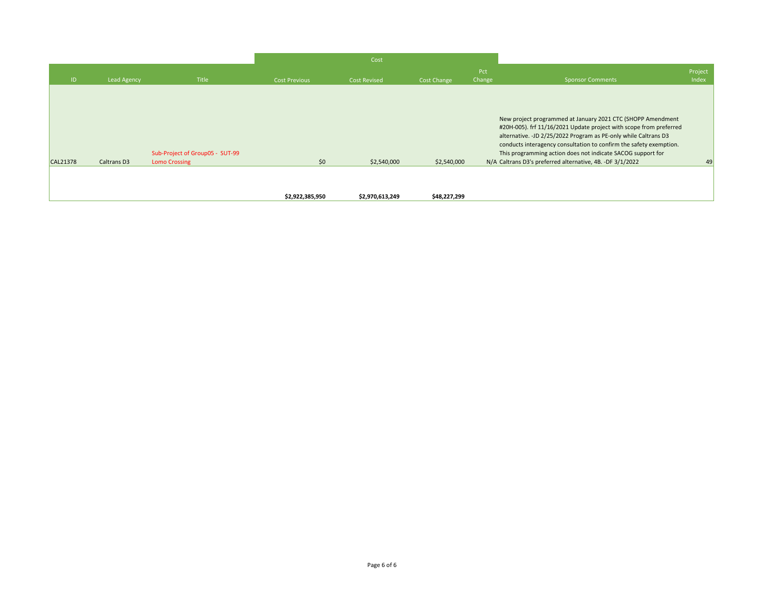|                 |                    |                                                         |                      | Cost                |                    |        |                                                                                                                                                                                                                                                                                                                                                                                                         |         |
|-----------------|--------------------|---------------------------------------------------------|----------------------|---------------------|--------------------|--------|---------------------------------------------------------------------------------------------------------------------------------------------------------------------------------------------------------------------------------------------------------------------------------------------------------------------------------------------------------------------------------------------------------|---------|
|                 |                    |                                                         |                      |                     |                    | Pct    |                                                                                                                                                                                                                                                                                                                                                                                                         | Project |
| ID.             | <b>Lead Agency</b> | Title                                                   | <b>Cost Previous</b> | <b>Cost Revised</b> | <b>Cost Change</b> | Change | <b>Sponsor Comments</b>                                                                                                                                                                                                                                                                                                                                                                                 | Index   |
| <b>CAL21378</b> | Caltrans D3        | Sub-Project of Group05 - SUT-99<br><b>Lomo Crossing</b> | \$0                  | \$2,540,000         | \$2,540,000        |        | New project programmed at January 2021 CTC (SHOPP Amendment<br>#20H-005). frf 11/16/2021 Update project with scope from preferred<br>alternative. - JD 2/25/2022 Program as PE-only while Caltrans D3<br>conducts interagency consultation to confirm the safety exemption.<br>This programming action does not indicate SACOG support for<br>N/A Caltrans D3's preferred alternative, 4B. -DF 3/1/2022 | 49      |
|                 |                    |                                                         | \$2,922,385,950      | \$2,970,613,249     | \$48,227,299       |        |                                                                                                                                                                                                                                                                                                                                                                                                         |         |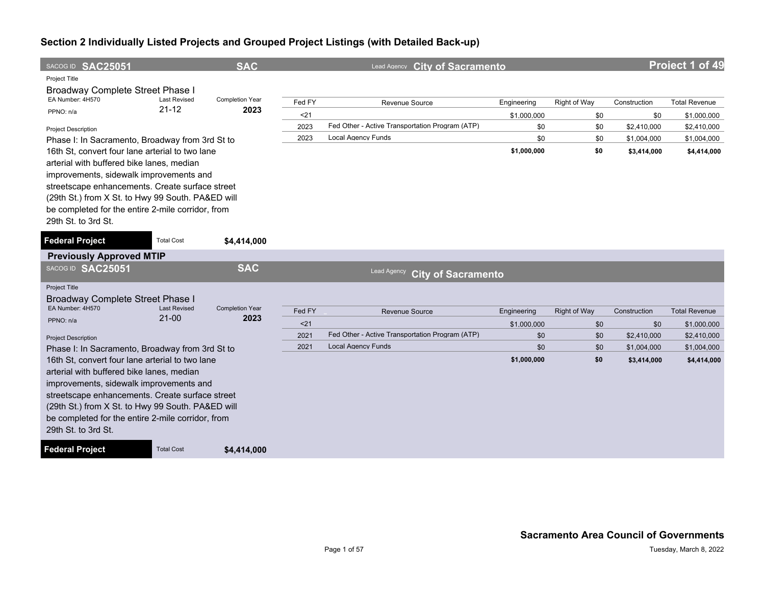| SACOG ID SAC25051                                                                                                                                                                                                                                                                                                           |                                  | <b>SAC</b>             |        | Lead Agency City of Sacramento                  |             |                     |              | Project 1 of 49      |
|-----------------------------------------------------------------------------------------------------------------------------------------------------------------------------------------------------------------------------------------------------------------------------------------------------------------------------|----------------------------------|------------------------|--------|-------------------------------------------------|-------------|---------------------|--------------|----------------------|
| Project Title<br><b>Broadway Complete Street Phase I</b>                                                                                                                                                                                                                                                                    |                                  |                        |        |                                                 |             |                     |              |                      |
| EA Number: 4H570                                                                                                                                                                                                                                                                                                            | <b>Last Revised</b>              | <b>Completion Year</b> | Fed FY | Revenue Source                                  | Engineering | Right of Way        | Construction | <b>Total Revenue</b> |
| PPNO: n/a                                                                                                                                                                                                                                                                                                                   | $21 - 12$                        | 2023                   | $21$   |                                                 | \$1,000,000 | \$0                 | \$0          | \$1,000,000          |
| <b>Project Description</b>                                                                                                                                                                                                                                                                                                  |                                  |                        | 2023   | Fed Other - Active Transportation Program (ATP) | \$0         | \$0                 | \$2,410,000  | \$2,410,000          |
| Phase I: In Sacramento, Broadway from 3rd St to                                                                                                                                                                                                                                                                             |                                  |                        | 2023   | <b>Local Agency Funds</b>                       | \$0         | \$0                 | \$1,004,000  | \$1,004,000          |
| 16th St, convert four lane arterial to two lane<br>arterial with buffered bike lanes, median<br>improvements, sidewalk improvements and<br>streetscape enhancements. Create surface street<br>(29th St.) from X St. to Hwy 99 South. PA&ED will<br>be completed for the entire 2-mile corridor, from<br>29th St. to 3rd St. |                                  |                        |        |                                                 | \$1,000,000 | \$0                 | \$3,414,000  | \$4,414,000          |
| <b>Federal Project</b>                                                                                                                                                                                                                                                                                                      | <b>Total Cost</b>                | \$4,414,000            |        |                                                 |             |                     |              |                      |
| <b>Previously Approved MTIP</b>                                                                                                                                                                                                                                                                                             |                                  |                        |        |                                                 |             |                     |              |                      |
| SACOG ID SAC25051                                                                                                                                                                                                                                                                                                           |                                  | <b>SAC</b>             |        | Lead Agency<br><b>City of Sacramento</b>        |             |                     |              |                      |
| <b>Project Title</b><br>Broadway Complete Street Phase I                                                                                                                                                                                                                                                                    |                                  |                        |        |                                                 |             |                     |              |                      |
| EA Number: 4H570                                                                                                                                                                                                                                                                                                            | <b>Last Revised</b><br>$21 - 00$ | <b>Completion Year</b> | Fed FY | <b>Revenue Source</b>                           | Engineering | <b>Right of Way</b> | Construction | <b>Total Revenue</b> |
| PPNO: n/a                                                                                                                                                                                                                                                                                                                   |                                  | 2023                   | $21$   |                                                 | \$1,000,000 | \$0                 | \$0          | \$1,000,000          |
| <b>Project Description</b>                                                                                                                                                                                                                                                                                                  |                                  |                        | 2021   | Fed Other - Active Transportation Program (ATP) | \$0         | \$0                 | \$2,410,000  | \$2,410,000          |
| Phase I: In Sacramento, Broadway from 3rd St to                                                                                                                                                                                                                                                                             |                                  |                        | 2021   | <b>Local Agency Funds</b>                       | \$0         | \$0                 | \$1,004,000  | \$1,004,000          |
| 16th St, convert four lane arterial to two lane<br>arterial with buffered bike lanes, median<br>improvements, sidewalk improvements and<br>streetscape enhancements. Create surface street<br>(29th St.) from X St. to Hwy 99 South. PA&ED will<br>be completed for the entire 2-mile corridor, from<br>29th St. to 3rd St. |                                  |                        |        |                                                 | \$1,000,000 | \$0                 | \$3,414,000  | \$4,414,000          |
| <b>Federal Project</b>                                                                                                                                                                                                                                                                                                      | <b>Total Cost</b>                | \$4,414,000            |        |                                                 |             |                     |              |                      |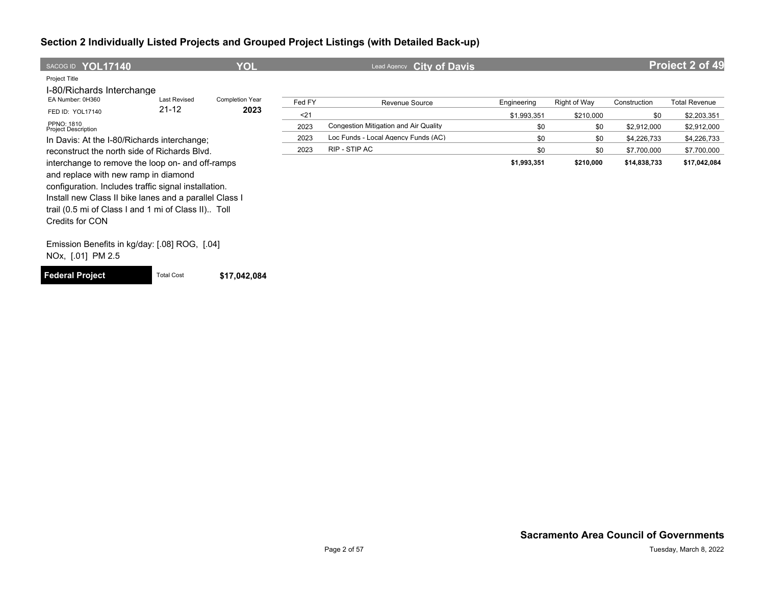| SACOG ID YOL17140                                      |                     | YOL                    |        | <b>City of Davis</b><br>Lead Agency   |             |              |              | <b>Project 2 of 49</b> |
|--------------------------------------------------------|---------------------|------------------------|--------|---------------------------------------|-------------|--------------|--------------|------------------------|
| Project Title<br>I-80/Richards Interchange             |                     |                        |        |                                       |             |              |              |                        |
| EA Number: 0H360                                       | <b>Last Revised</b> | <b>Completion Year</b> | Fed FY | Revenue Source                        | Engineering | Right of Way | Construction | <b>Total Revenue</b>   |
| FED ID: YOL17140                                       | $21 - 12$           | 2023                   | $21$   |                                       | \$1,993,351 | \$210,000    | \$0          | \$2,203,351            |
| PPNO: 1810<br><b>Project Description</b>               |                     |                        | 2023   | Congestion Mitigation and Air Quality | \$0         | \$0          | \$2,912,000  | \$2,912,000            |
| In Davis: At the I-80/Richards interchange:            |                     |                        | 2023   | Loc Funds - Local Agency Funds (AC)   | \$0         | \$0          | \$4,226,733  | \$4,226,733            |
| reconstruct the north side of Richards Blvd.           |                     |                        | 2023   | RIP - STIP AC                         | \$0         | \$0          | \$7,700,000  | \$7,700,000            |
| interchange to remove the loop on- and off-ramps       |                     |                        |        |                                       | \$1,993,351 | \$210,000    | \$14,838,733 | \$17,042,084           |
| and replace with new ramp in diamond                   |                     |                        |        |                                       |             |              |              |                        |
| configuration. Includes traffic signal installation.   |                     |                        |        |                                       |             |              |              |                        |
| Install new Class II bike lanes and a parallel Class I |                     |                        |        |                                       |             |              |              |                        |
| trail (0.5 mi of Class I and 1 mi of Class II) Toll    |                     |                        |        |                                       |             |              |              |                        |
| Credits for CON                                        |                     |                        |        |                                       |             |              |              |                        |
|                                                        |                     |                        |        |                                       |             |              |              |                        |
| Emission Benefits in kg/day: [.08] ROG, [.04]          |                     |                        |        |                                       |             |              |              |                        |
| NOx, [.01] PM 2.5                                      |                     |                        |        |                                       |             |              |              |                        |

**Federal Project** Total Cost **\$17,042,084**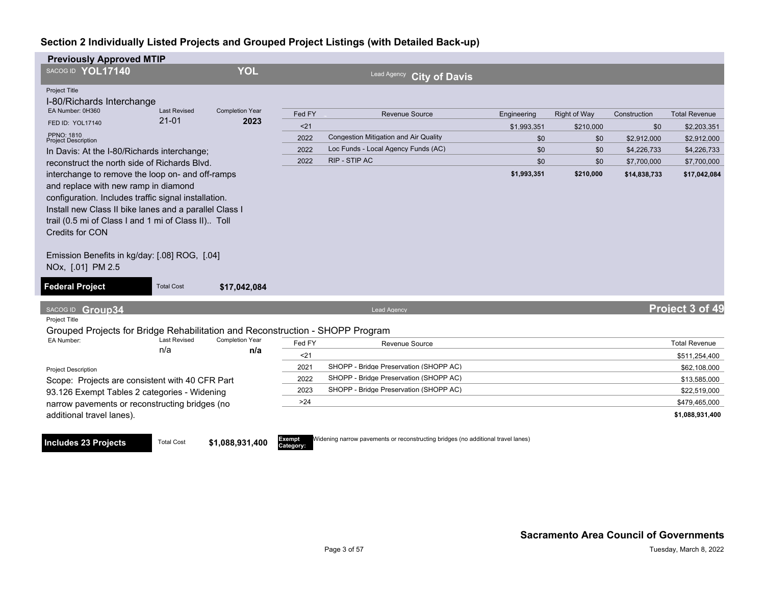**Includes 23 Projects** Total Cost **\$1,088,931,400** 

| <b>Previously Approved MTIP</b>                                                                                                                                                                                                                                                                                                                                   |                            |                               |               |                                                                                  |             |                     |              |                      |
|-------------------------------------------------------------------------------------------------------------------------------------------------------------------------------------------------------------------------------------------------------------------------------------------------------------------------------------------------------------------|----------------------------|-------------------------------|---------------|----------------------------------------------------------------------------------|-------------|---------------------|--------------|----------------------|
| SACOG ID YOL17140                                                                                                                                                                                                                                                                                                                                                 |                            | <b>YOL</b>                    |               | <b>Lead Agency</b><br><b>City of Davis</b>                                       |             |                     |              |                      |
| Project Title<br>I-80/Richards Interchange                                                                                                                                                                                                                                                                                                                        |                            |                               |               |                                                                                  |             |                     |              |                      |
| EA Number: 0H360                                                                                                                                                                                                                                                                                                                                                  | <b>Last Revised</b>        | <b>Completion Year</b>        | Fed FY        | <b>Revenue Source</b>                                                            | Engineering | <b>Right of Way</b> | Construction | <b>Total Revenue</b> |
| FED ID: YOL17140                                                                                                                                                                                                                                                                                                                                                  | $21 - 01$                  | 2023                          | $21$          |                                                                                  | \$1.993.351 | \$210,000           | \$0          | \$2,203,351          |
| <b>PPNO: 1810</b><br><b>Project Description</b>                                                                                                                                                                                                                                                                                                                   |                            |                               | 2022          | <b>Congestion Mitigation and Air Quality</b>                                     | \$0         | \$0                 | \$2,912,000  | \$2,912,000          |
| In Davis: At the I-80/Richards interchange;                                                                                                                                                                                                                                                                                                                       |                            |                               | 2022          | Loc Funds - Local Agency Funds (AC)                                              | \$0         | \$0                 | \$4,226,733  | \$4,226,733          |
| reconstruct the north side of Richards Blvd.                                                                                                                                                                                                                                                                                                                      |                            |                               | 2022          | RIP - STIP AC                                                                    | \$0         | \$0                 | \$7,700,000  | \$7,700,000          |
| interchange to remove the loop on- and off-ramps<br>and replace with new ramp in diamond<br>configuration. Includes traffic signal installation.<br>Install new Class II bike lanes and a parallel Class I<br>trail (0.5 mi of Class I and 1 mi of Class II) Toll<br><b>Credits for CON</b><br>Emission Benefits in kg/day: [.08] ROG, [.04]<br>NOx, [.01] PM 2.5 |                            |                               |               | \$1,993,351                                                                      | \$210,000   | \$14,838,733        | \$17,042,084 |                      |
| <b>Federal Project</b>                                                                                                                                                                                                                                                                                                                                            | <b>Total Cost</b>          | \$17,042,084                  |               |                                                                                  |             |                     |              |                      |
| SACOG ID Group34                                                                                                                                                                                                                                                                                                                                                  |                            |                               |               | Lead Agency                                                                      |             |                     |              | Project 3 of 49      |
| Project Title<br>Grouped Projects for Bridge Rehabilitation and Reconstruction - SHOPP Program                                                                                                                                                                                                                                                                    |                            |                               |               |                                                                                  |             |                     |              |                      |
| EA Number:                                                                                                                                                                                                                                                                                                                                                        | <b>Last Revised</b><br>n/a | <b>Completion Year</b><br>n/a | Fed FY        | Revenue Source                                                                   |             |                     |              | <b>Total Revenue</b> |
|                                                                                                                                                                                                                                                                                                                                                                   |                            |                               | 21            |                                                                                  |             |                     |              | \$511,254,400        |
| <b>Project Description</b>                                                                                                                                                                                                                                                                                                                                        |                            |                               | 2021          | SHOPP - Bridge Preservation (SHOPP AC)                                           |             |                     |              | \$62,108,000         |
| Scope: Projects are consistent with 40 CFR Part                                                                                                                                                                                                                                                                                                                   |                            |                               | 2022          | SHOPP - Bridge Preservation (SHOPP AC)                                           |             |                     |              | \$13,585,000         |
| 93.126 Exempt Tables 2 categories - Widening                                                                                                                                                                                                                                                                                                                      |                            |                               | 2023          | SHOPP - Bridge Preservation (SHOPP AC)                                           |             |                     |              | \$22,519,000         |
| narrow pavements or reconstructing bridges (no                                                                                                                                                                                                                                                                                                                    |                            |                               | >24           |                                                                                  |             |                     |              | \$479,465,000        |
| additional travel lanes).                                                                                                                                                                                                                                                                                                                                         |                            |                               |               |                                                                                  |             |                     |              | \$1,088,931,400      |
| Includes 23 Projects                                                                                                                                                                                                                                                                                                                                              | Total Cost                 | 41 088 931 400                | <b>Exempt</b> | Widening narrow pavements or reconstructing bridges (no additional travel lanes) |             |                     |              |                      |

Exempt<br>Category: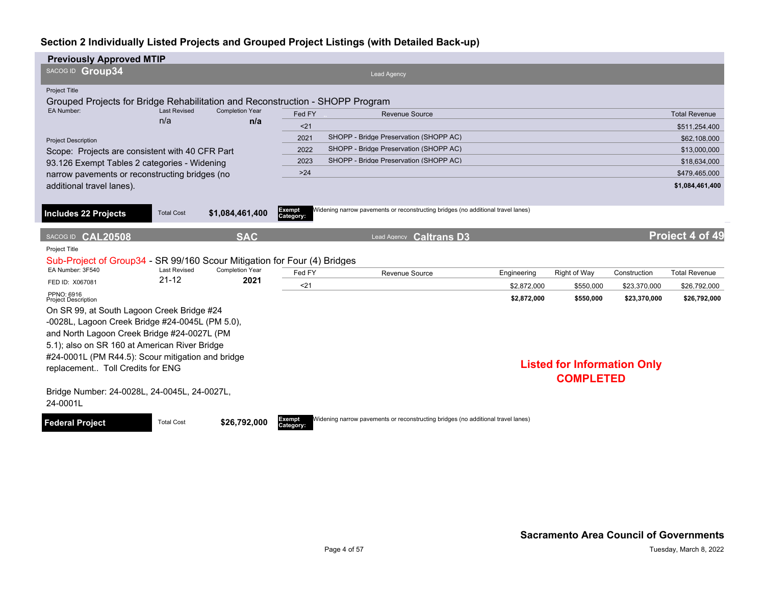| <b>Previously Approved MTIP</b>                                                                |                            |                               |                     |                                                                                  |             |                                    |              |                      |
|------------------------------------------------------------------------------------------------|----------------------------|-------------------------------|---------------------|----------------------------------------------------------------------------------|-------------|------------------------------------|--------------|----------------------|
| SACOG ID Group34                                                                               |                            |                               |                     | Lead Agency                                                                      |             |                                    |              |                      |
| Project Title<br>Grouped Projects for Bridge Rehabilitation and Reconstruction - SHOPP Program |                            |                               |                     |                                                                                  |             |                                    |              |                      |
| EA Number:                                                                                     | <b>Last Revised</b><br>n/a | <b>Completion Year</b><br>n/a | Fed FY              | <b>Revenue Source</b>                                                            |             |                                    |              | <b>Total Revenue</b> |
|                                                                                                |                            |                               | < 21                |                                                                                  |             |                                    |              | \$511,254,400        |
| <b>Project Description</b>                                                                     |                            |                               | 2021                | SHOPP - Bridge Preservation (SHOPP AC)                                           |             |                                    |              | \$62,108,000         |
| Scope: Projects are consistent with 40 CFR Part                                                |                            |                               | 2022                | SHOPP - Bridge Preservation (SHOPP AC)                                           |             |                                    |              | \$13,000,000         |
| 93.126 Exempt Tables 2 categories - Widening                                                   |                            |                               | 2023                | SHOPP - Bridge Preservation (SHOPP AC)                                           |             |                                    |              | \$18,634,000         |
| narrow pavements or reconstructing bridges (no                                                 |                            |                               | $>24$               |                                                                                  |             |                                    |              | \$479,465,000        |
| additional travel lanes).                                                                      |                            |                               |                     |                                                                                  |             |                                    |              | \$1,084,461,400      |
|                                                                                                |                            |                               |                     |                                                                                  |             |                                    |              |                      |
| <b>Includes 22 Projects</b>                                                                    | <b>Total Cost</b>          | \$1,084,461,400               | Exempt<br>Category: | Widening narrow pavements or reconstructing bridges (no additional travel lanes) |             |                                    |              |                      |
|                                                                                                |                            |                               |                     |                                                                                  |             |                                    |              |                      |
| SACOG ID CAL20508                                                                              |                            | <b>SAC</b>                    |                     | Lead Agency <b>Caltrans D3</b>                                                   |             |                                    |              | Project 4 of 49      |
| Project Title<br>Sub-Project of Group34 - SR 99/160 Scour Mitigation for Four (4) Bridges      |                            |                               |                     |                                                                                  |             |                                    |              |                      |
| EA Number: 3F540                                                                               | <b>Last Revised</b>        | Completion Year               | Fed FY              | Revenue Source                                                                   | Engineering | Right of Way                       | Construction | <b>Total Revenue</b> |
| FED ID: X067081                                                                                | $21 - 12$                  | 2021                          | $21$                |                                                                                  | \$2.872.000 | \$550.000                          | \$23,370,000 | \$26,792,000         |
| PPNO: 6916<br><b>Project Description</b>                                                       |                            |                               |                     |                                                                                  | \$2,872,000 | \$550,000                          | \$23,370,000 | \$26,792,000         |
| On SR 99, at South Lagoon Creek Bridge #24                                                     |                            |                               |                     |                                                                                  |             |                                    |              |                      |
| -0028L, Lagoon Creek Bridge #24-0045L (PM 5.0),                                                |                            |                               |                     |                                                                                  |             |                                    |              |                      |
| and North Lagoon Creek Bridge #24-0027L (PM                                                    |                            |                               |                     |                                                                                  |             |                                    |              |                      |
| 5.1); also on SR 160 at American River Bridge                                                  |                            |                               |                     |                                                                                  |             |                                    |              |                      |
| #24-0001L (PM R44.5): Scour mitigation and bridge                                              |                            |                               |                     |                                                                                  |             |                                    |              |                      |
| replacement Toll Credits for ENG                                                               |                            |                               |                     |                                                                                  |             | <b>Listed for Information Only</b> |              |                      |
|                                                                                                |                            |                               |                     |                                                                                  |             | <b>COMPLETED</b>                   |              |                      |
| Bridge Number: 24-0028L, 24-0045L, 24-0027L,<br>24-0001L                                       |                            |                               |                     |                                                                                  |             |                                    |              |                      |
| <b>Federal Project</b>                                                                         | <b>Total Cost</b>          | \$26,792,000                  | Exempt<br>Category: | Widening narrow pavements or reconstructing bridges (no additional travel lanes) |             |                                    |              |                      |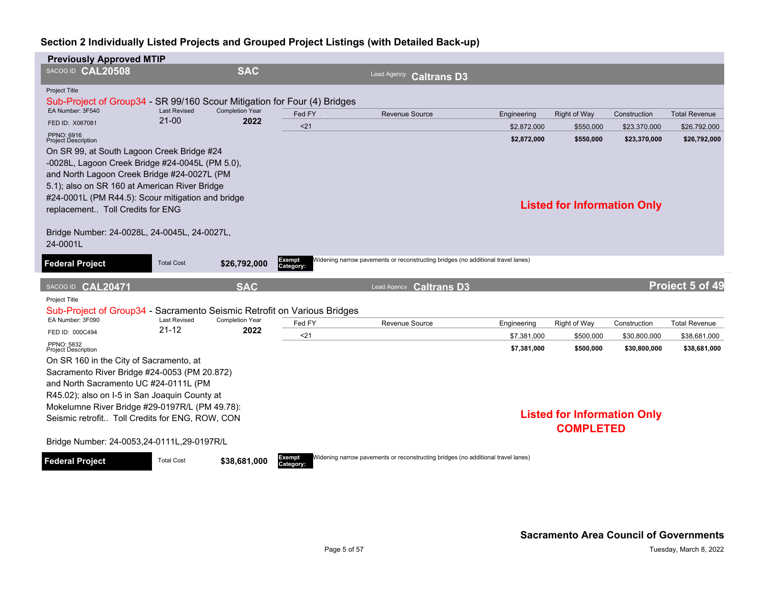| <b>Previously Approved MTIP</b>                                                                    |                                  |                                |                            |                       |                                                                                  |             |                                    |              |                      |
|----------------------------------------------------------------------------------------------------|----------------------------------|--------------------------------|----------------------------|-----------------------|----------------------------------------------------------------------------------|-------------|------------------------------------|--------------|----------------------|
| SACOG ID CAL20508                                                                                  |                                  | <b>SAC</b>                     |                            | Lead Agency           | <b>Caltrans D3</b>                                                               |             |                                    |              |                      |
| Project Title<br>Sub-Project of Group34 - SR 99/160 Scour Mitigation for Four (4) Bridges          |                                  |                                |                            |                       |                                                                                  |             |                                    |              |                      |
| EA Number: 3F540                                                                                   | <b>Last Revised</b><br>$21 - 00$ | <b>Completion Year</b>         | Fed FY                     | <b>Revenue Source</b> |                                                                                  | Engineering | <b>Right of Way</b>                | Construction | <b>Total Revenue</b> |
| FED ID: X067081                                                                                    |                                  | 2022                           | $21$                       |                       |                                                                                  | \$2.872.000 | \$550.000                          | \$23.370.000 | \$26,792,000         |
| PPNO: 6916<br><b>Project Description</b>                                                           |                                  |                                |                            |                       |                                                                                  | \$2,872,000 | \$550,000                          | \$23,370,000 | \$26,792,000         |
| On SR 99, at South Lagoon Creek Bridge #24                                                         |                                  |                                |                            |                       |                                                                                  |             |                                    |              |                      |
| -0028L, Lagoon Creek Bridge #24-0045L (PM 5.0),                                                    |                                  |                                |                            |                       |                                                                                  |             |                                    |              |                      |
| and North Lagoon Creek Bridge #24-0027L (PM                                                        |                                  |                                |                            |                       |                                                                                  |             |                                    |              |                      |
| 5.1); also on SR 160 at American River Bridge<br>#24-0001L (PM R44.5): Scour mitigation and bridge |                                  |                                |                            |                       |                                                                                  |             |                                    |              |                      |
| replacement Toll Credits for ENG                                                                   |                                  |                                |                            |                       |                                                                                  |             | <b>Listed for Information Only</b> |              |                      |
|                                                                                                    |                                  |                                |                            |                       |                                                                                  |             |                                    |              |                      |
| Bridge Number: 24-0028L, 24-0045L, 24-0027L,                                                       |                                  |                                |                            |                       |                                                                                  |             |                                    |              |                      |
| 24-0001L                                                                                           |                                  |                                |                            |                       |                                                                                  |             |                                    |              |                      |
| <b>Federal Project</b>                                                                             | <b>Total Cost</b>                | \$26,792,000                   | <b>Exempt</b>              |                       | Widening narrow pavements or reconstructing bridges (no additional travel lanes) |             |                                    |              |                      |
|                                                                                                    |                                  |                                | Category:                  |                       |                                                                                  |             |                                    |              |                      |
| SACOG ID CAL20471                                                                                  |                                  | <b>SAC</b>                     |                            |                       | Lead Agency Caltrans D3                                                          |             |                                    |              | Project 5 of 49      |
| Project Title                                                                                      |                                  |                                |                            |                       |                                                                                  |             |                                    |              |                      |
| Sub-Project of Group34 - Sacramento Seismic Retrofit on Various Bridges                            |                                  |                                |                            |                       |                                                                                  |             |                                    |              |                      |
| EA Number: 3F090                                                                                   | <b>Last Revised</b><br>$21 - 12$ | <b>Completion Year</b><br>2022 | Fed FY                     | <b>Revenue Source</b> |                                                                                  | Engineering | Right of Way                       | Construction | <b>Total Revenue</b> |
| FED ID: 000C494<br>PPNO: 5832                                                                      |                                  |                                | $21$                       |                       |                                                                                  | \$7,381,000 | \$500,000                          | \$30,800,000 | \$38,681,000         |
| <b>Project Description</b>                                                                         |                                  |                                |                            |                       |                                                                                  | \$7,381,000 | \$500,000                          | \$30,800,000 | \$38,681,000         |
| On SR 160 in the City of Sacramento, at                                                            |                                  |                                |                            |                       |                                                                                  |             |                                    |              |                      |
| Sacramento River Bridge #24-0053 (PM 20.872)                                                       |                                  |                                |                            |                       |                                                                                  |             |                                    |              |                      |
| and North Sacramento UC #24-0111L (PM<br>R45.02); also on I-5 in San Joaquin County at             |                                  |                                |                            |                       |                                                                                  |             |                                    |              |                      |
| Mokelumne River Bridge #29-0197R/L (PM 49.78):                                                     |                                  |                                |                            |                       |                                                                                  |             |                                    |              |                      |
| Seismic retrofit Toll Credits for ENG, ROW, CON                                                    |                                  |                                |                            |                       |                                                                                  |             | <b>Listed for Information Only</b> |              |                      |
|                                                                                                    |                                  |                                |                            |                       |                                                                                  |             | <b>COMPLETED</b>                   |              |                      |
| Bridge Number: 24-0053,24-0111L,29-0197R/L                                                         |                                  |                                |                            |                       |                                                                                  |             |                                    |              |                      |
| <b>Federal Project</b>                                                                             | <b>Total Cost</b>                | \$38,681,000                   | <b>Exempt</b><br>Category: |                       | Widening narrow pavements or reconstructing bridges (no additional travel lanes) |             |                                    |              |                      |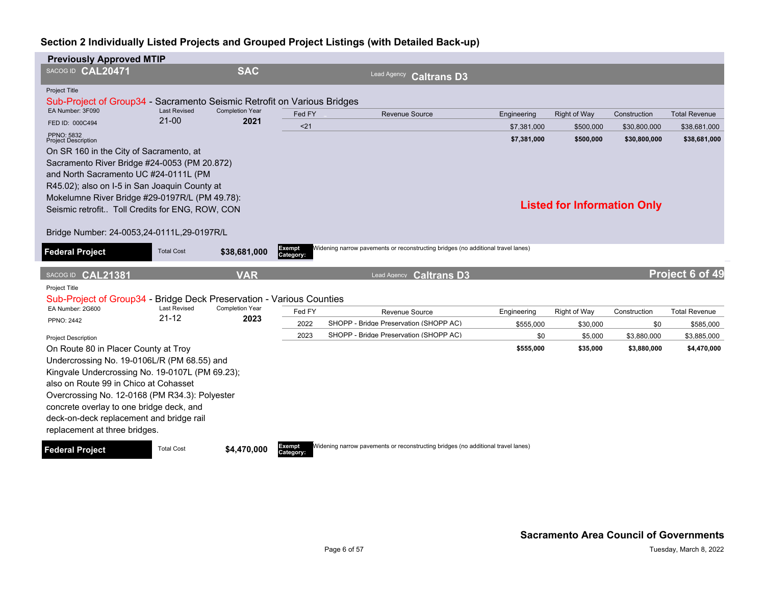| <b>Previously Approved MTIP</b>                                         |                                |                                                    |                     |                                                                                  |             |                                    |              |                      |
|-------------------------------------------------------------------------|--------------------------------|----------------------------------------------------|---------------------|----------------------------------------------------------------------------------|-------------|------------------------------------|--------------|----------------------|
| SACOG ID CAL20471                                                       |                                | <b>SAC</b>                                         |                     | Lead Agency<br><b>Caltrans D3</b>                                                |             |                                    |              |                      |
| <b>Project Title</b>                                                    |                                |                                                    |                     |                                                                                  |             |                                    |              |                      |
| Sub-Project of Group34 - Sacramento Seismic Retrofit on Various Bridges |                                |                                                    |                     |                                                                                  |             |                                    |              |                      |
| EA Number: 3F090                                                        | <b>Last Revised</b><br>$21-00$ | <b>Completion Year</b><br>2021                     | Fed FY              | Revenue Source                                                                   | Engineering | <b>Right of Way</b>                | Construction | <b>Total Revenue</b> |
| FED ID: 000C494                                                         |                                |                                                    | $21$                |                                                                                  | \$7.381.000 | \$500.000                          | \$30,800,000 | \$38,681,000         |
| PPNO: 5832<br><b>Project Description</b>                                |                                |                                                    |                     |                                                                                  | \$7,381,000 | \$500,000                          | \$30,800,000 | \$38,681,000         |
| On SR 160 in the City of Sacramento, at                                 |                                |                                                    |                     |                                                                                  |             |                                    |              |                      |
| Sacramento River Bridge #24-0053 (PM 20.872)                            |                                |                                                    |                     |                                                                                  |             |                                    |              |                      |
| and North Sacramento UC #24-0111L (PM                                   |                                |                                                    |                     |                                                                                  |             |                                    |              |                      |
| R45.02); also on I-5 in San Joaquin County at                           |                                |                                                    |                     |                                                                                  |             |                                    |              |                      |
| Mokelumne River Bridge #29-0197R/L (PM 49.78):                          |                                |                                                    |                     |                                                                                  |             |                                    |              |                      |
| Seismic retrofit Toll Credits for ENG, ROW, CON                         |                                |                                                    |                     |                                                                                  |             | <b>Listed for Information Only</b> |              |                      |
|                                                                         |                                |                                                    |                     |                                                                                  |             |                                    |              |                      |
| Bridge Number: 24-0053,24-0111L,29-0197R/L                              |                                |                                                    |                     |                                                                                  |             |                                    |              |                      |
|                                                                         | <b>Total Cost</b>              | \$38,681,000                                       | Exempt              | Widening narrow pavements or reconstructing bridges (no additional travel lanes) |             |                                    |              |                      |
| <b>Federal Project</b>                                                  |                                |                                                    | Category:           |                                                                                  |             |                                    |              |                      |
| SACOG ID CAL21381                                                       |                                | <b>VAR</b>                                         |                     | <b>Caltrans D3</b><br>Lead Agency                                                |             |                                    |              | Project 6 of 49      |
| <b>Project Title</b>                                                    |                                |                                                    |                     |                                                                                  |             |                                    |              |                      |
| Sub-Project of Group34 -                                                |                                | <b>Bridge Deck Preservation - Various Counties</b> |                     |                                                                                  |             |                                    |              |                      |
| EA Number: 2G600                                                        | <b>Last Revised</b>            | <b>Completion Year</b>                             | Fed FY              | Revenue Source                                                                   | Engineering | Right of Way                       | Construction | <b>Total Revenue</b> |
| <b>PPNO: 2442</b>                                                       | $21 - 12$                      | 2023                                               | 2022                | SHOPP - Bridge Preservation (SHOPP AC)                                           | \$555,000   | \$30,000                           | \$0          | \$585,000            |
|                                                                         |                                |                                                    | 2023                | SHOPP - Bridge Preservation (SHOPP AC)                                           | \$0         | \$5,000                            | \$3,880,000  | \$3,885,000          |
| <b>Project Description</b><br>On Route 80 in Placer County at Troy      |                                |                                                    |                     |                                                                                  | \$555,000   | \$35,000                           | \$3,880,000  | \$4,470,000          |
| Undercrossing No. 19-0106L/R (PM 68.55) and                             |                                |                                                    |                     |                                                                                  |             |                                    |              |                      |
| Kingvale Undercrossing No. 19-0107L (PM 69.23);                         |                                |                                                    |                     |                                                                                  |             |                                    |              |                      |
| also on Route 99 in Chico at Cohasset                                   |                                |                                                    |                     |                                                                                  |             |                                    |              |                      |
| Overcrossing No. 12-0168 (PM R34.3): Polyester                          |                                |                                                    |                     |                                                                                  |             |                                    |              |                      |
| concrete overlay to one bridge deck, and                                |                                |                                                    |                     |                                                                                  |             |                                    |              |                      |
| deck-on-deck replacement and bridge rail                                |                                |                                                    |                     |                                                                                  |             |                                    |              |                      |
| replacement at three bridges.                                           |                                |                                                    |                     |                                                                                  |             |                                    |              |                      |
|                                                                         |                                |                                                    |                     |                                                                                  |             |                                    |              |                      |
| <b>Federal Project</b>                                                  | <b>Total Cost</b>              | \$4,470,000                                        | Exempt<br>Category: | Widening narrow pavements or reconstructing bridges (no additional travel lanes) |             |                                    |              |                      |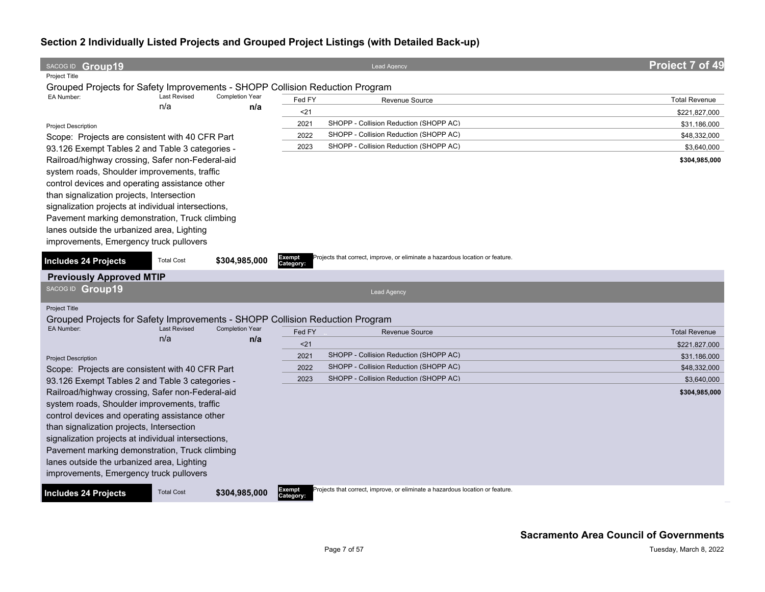| SACOG ID Group19                                                                           |                     |                        |                            | <b>Lead Agency</b>                                                            | Project 7 of 49      |
|--------------------------------------------------------------------------------------------|---------------------|------------------------|----------------------------|-------------------------------------------------------------------------------|----------------------|
| <b>Project Title</b>                                                                       |                     |                        |                            |                                                                               |                      |
| Grouped Projects for Safety Improvements - SHOPP Collision Reduction Program<br>EA Number: | <b>Last Revised</b> | <b>Completion Year</b> |                            |                                                                               |                      |
|                                                                                            | n/a                 | n/a                    | Fed FY                     | Revenue Source                                                                | <b>Total Revenue</b> |
|                                                                                            |                     |                        | $21$                       |                                                                               | \$221,827,000        |
| <b>Project Description</b>                                                                 |                     |                        | 2021                       | SHOPP - Collision Reduction (SHOPP AC)                                        | \$31,186,000         |
| Scope: Projects are consistent with 40 CFR Part                                            |                     |                        | 2022                       | SHOPP - Collision Reduction (SHOPP AC)                                        | \$48,332,000         |
| 93.126 Exempt Tables 2 and Table 3 categories -                                            |                     |                        | 2023                       | SHOPP - Collision Reduction (SHOPP AC)                                        | \$3,640,000          |
| Railroad/highway crossing, Safer non-Federal-aid                                           |                     |                        |                            |                                                                               | \$304,985,000        |
| system roads, Shoulder improvements, traffic                                               |                     |                        |                            |                                                                               |                      |
| control devices and operating assistance other                                             |                     |                        |                            |                                                                               |                      |
| than signalization projects, Intersection                                                  |                     |                        |                            |                                                                               |                      |
| signalization projects at individual intersections,                                        |                     |                        |                            |                                                                               |                      |
| Pavement marking demonstration, Truck climbing                                             |                     |                        |                            |                                                                               |                      |
| lanes outside the urbanized area, Lighting                                                 |                     |                        |                            |                                                                               |                      |
| improvements, Emergency truck pullovers                                                    |                     |                        |                            |                                                                               |                      |
|                                                                                            |                     |                        | <b>Exempt</b>              | Projects that correct, improve, or eliminate a hazardous location or feature. |                      |
| <b>Includes 24 Projects</b>                                                                | <b>Total Cost</b>   | \$304,985,000          | Category:                  |                                                                               |                      |
| <b>Previously Approved MTIP</b>                                                            |                     |                        |                            |                                                                               |                      |
| SACOG ID Group19                                                                           |                     |                        |                            | <b>Lead Agency</b>                                                            |                      |
|                                                                                            |                     |                        |                            |                                                                               |                      |
| Project Title                                                                              |                     |                        |                            |                                                                               |                      |
| Grouped Projects for Safety Improvements - SHOPP Collision Reduction Program<br>EA Number: | <b>Last Revised</b> | <b>Completion Year</b> |                            |                                                                               |                      |
|                                                                                            | n/a                 | n/a                    | Fed FY                     | <b>Revenue Source</b>                                                         | <b>Total Revenue</b> |
|                                                                                            |                     |                        | $21$                       |                                                                               | \$221,827,000        |
| <b>Project Description</b>                                                                 |                     |                        | 2021                       | SHOPP - Collision Reduction (SHOPP AC)                                        | \$31,186,000         |
| Scope: Projects are consistent with 40 CFR Part                                            |                     |                        | 2022                       | SHOPP - Collision Reduction (SHOPP AC)                                        | \$48,332,000         |
| 93.126 Exempt Tables 2 and Table 3 categories -                                            |                     |                        | 2023                       | SHOPP - Collision Reduction (SHOPP AC)                                        | \$3,640,000          |
| Railroad/highway crossing, Safer non-Federal-aid                                           |                     |                        |                            |                                                                               | \$304,985,000        |
| system roads, Shoulder improvements, traffic                                               |                     |                        |                            |                                                                               |                      |
| control devices and operating assistance other                                             |                     |                        |                            |                                                                               |                      |
| than signalization projects, Intersection                                                  |                     |                        |                            |                                                                               |                      |
| signalization projects at individual intersections,                                        |                     |                        |                            |                                                                               |                      |
| Pavement marking demonstration, Truck climbing                                             |                     |                        |                            |                                                                               |                      |
| lanes outside the urbanized area, Lighting                                                 |                     |                        |                            |                                                                               |                      |
| improvements, Emergency truck pullovers                                                    |                     |                        |                            |                                                                               |                      |
| <b>Includes 24 Projects</b>                                                                | <b>Total Cost</b>   | \$304,985,000          | <b>Exempt</b><br>Category: | Projects that correct, improve, or eliminate a hazardous location or feature. |                      |
|                                                                                            |                     |                        |                            |                                                                               |                      |
|                                                                                            |                     |                        |                            |                                                                               |                      |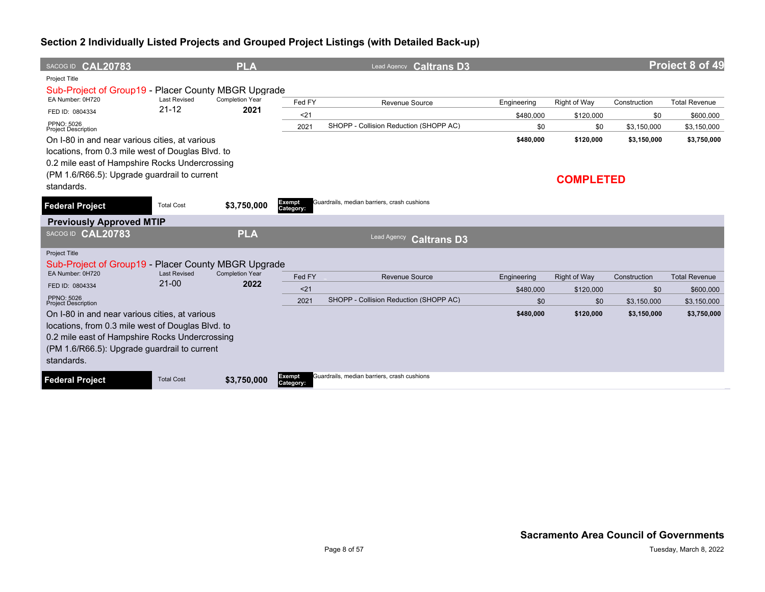| SACOG ID CAL20783                                                       |                                  | <b>PLA</b>                     |                            | <b>Caltrans D3</b><br>Lead Agency           |             |                     |              | Project 8 of 49      |
|-------------------------------------------------------------------------|----------------------------------|--------------------------------|----------------------------|---------------------------------------------|-------------|---------------------|--------------|----------------------|
| <b>Project Title</b>                                                    |                                  |                                |                            |                                             |             |                     |              |                      |
| Sub-Project of Group19 - Placer County MBGR Upgrade<br>EA Number: 0H720 | <b>Last Revised</b>              | <b>Completion Year</b>         |                            |                                             |             |                     |              |                      |
| FED ID: 0804334                                                         | $21 - 12$                        | 2021                           | Fed FY                     | Revenue Source                              | Engineering | Right of Way        | Construction | <b>Total Revenue</b> |
| PPNO: 5026                                                              |                                  |                                | $21$                       |                                             | \$480,000   | \$120,000           | \$0          | \$600,000            |
| <b>Project Description</b>                                              |                                  |                                | 2021                       | SHOPP - Collision Reduction (SHOPP AC)      | \$0         | \$0                 | \$3,150,000  | \$3,150,000          |
| On I-80 in and near various cities, at various                          |                                  |                                |                            |                                             | \$480,000   | \$120,000           | \$3,150,000  | \$3,750,000          |
| locations, from 0.3 mile west of Douglas Blvd. to                       |                                  |                                |                            |                                             |             |                     |              |                      |
| 0.2 mile east of Hampshire Rocks Undercrossing                          |                                  |                                |                            |                                             |             |                     |              |                      |
| (PM 1.6/R66.5): Upgrade guardrail to current<br>standards.              |                                  |                                |                            |                                             |             | <b>COMPLETED</b>    |              |                      |
| <b>Federal Project</b>                                                  | <b>Total Cost</b>                | \$3,750,000                    | <b>Exempt</b><br>Category: | Guardrails, median barriers, crash cushions |             |                     |              |                      |
| <b>Previously Approved MTIP</b>                                         |                                  |                                |                            |                                             |             |                     |              |                      |
| SACOG ID CAL20783                                                       |                                  | <b>PLA</b>                     |                            | <b>Lead Agency</b><br><b>Caltrans D3</b>    |             |                     |              |                      |
| <b>Project Title</b>                                                    |                                  |                                |                            |                                             |             |                     |              |                      |
| Sub-Project of Group19 - Placer County MBGR Upgrade                     |                                  |                                |                            |                                             |             |                     |              |                      |
| EA Number: 0H720                                                        | <b>Last Revised</b><br>$21 - 00$ | <b>Completion Year</b><br>2022 | Fed FY                     | Revenue Source                              | Engineering | <b>Right of Way</b> | Construction | <b>Total Revenue</b> |
| FED ID: 0804334                                                         |                                  |                                | $21$                       |                                             | \$480,000   | \$120,000           | \$0          | \$600,000            |
| PPNO: 5026<br><b>Project Description</b>                                |                                  |                                | 2021                       | SHOPP - Collision Reduction (SHOPP AC)      | \$0         | \$0                 | \$3.150,000  | \$3.150.000          |
| On I-80 in and near various cities, at various                          |                                  |                                |                            |                                             | \$480,000   | \$120,000           | \$3,150,000  | \$3,750,000          |
| locations, from 0.3 mile west of Douglas Blvd. to                       |                                  |                                |                            |                                             |             |                     |              |                      |
| 0.2 mile east of Hampshire Rocks Undercrossing                          |                                  |                                |                            |                                             |             |                     |              |                      |
| (PM 1.6/R66.5): Upgrade guardrail to current                            |                                  |                                |                            |                                             |             |                     |              |                      |
| standards.                                                              |                                  |                                |                            |                                             |             |                     |              |                      |
| <b>Federal Project</b>                                                  | <b>Total Cost</b>                | \$3,750,000                    | Exempt<br>Category:        | Guardrails, median barriers, crash cushions |             |                     |              |                      |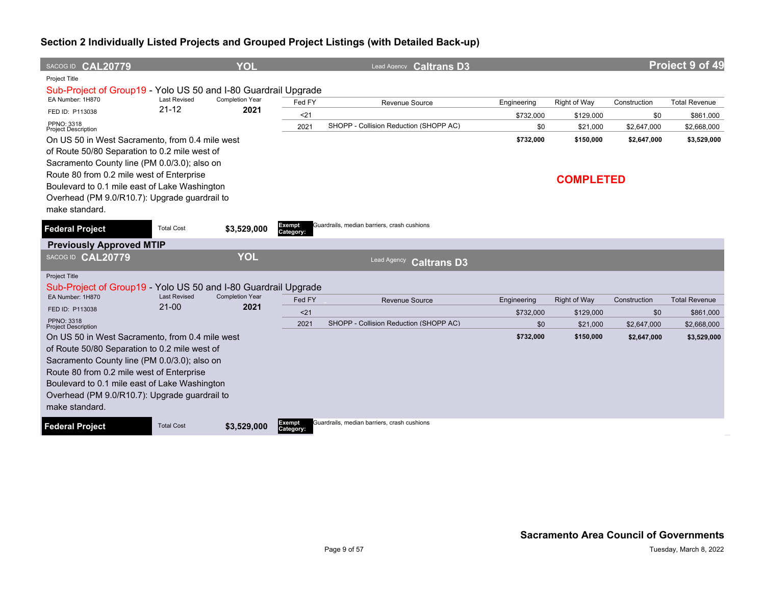| SACOG ID CAL20779                                                                              |                     | <b>YOL</b>             |                     | Lead Agency <b>Caltrans D3</b>              |             |                     |              | Project 9 of 49      |
|------------------------------------------------------------------------------------------------|---------------------|------------------------|---------------------|---------------------------------------------|-------------|---------------------|--------------|----------------------|
| <b>Project Title</b><br>Sub-Project of Group19 - Yolo US 50 and I-80 Guardrail Upgrade         |                     |                        |                     |                                             |             |                     |              |                      |
| EA Number: 1H870                                                                               | <b>Last Revised</b> | <b>Completion Year</b> | Fed FY              | <b>Revenue Source</b>                       | Engineering | Right of Way        | Construction | <b>Total Revenue</b> |
| FED ID: P113038                                                                                | $21 - 12$           | 2021                   | $21$                |                                             | \$732,000   | \$129,000           | \$0          | \$861,000            |
| PPNO: 3318<br><b>Project Description</b>                                                       |                     |                        | 2021                | SHOPP - Collision Reduction (SHOPP AC)      | \$0         | \$21,000            | \$2,647,000  | \$2,668,000          |
| On US 50 in West Sacramento, from 0.4 mile west                                                |                     |                        |                     |                                             | \$732,000   | \$150,000           | \$2,647,000  | \$3,529,000          |
| of Route 50/80 Separation to 0.2 mile west of                                                  |                     |                        |                     |                                             |             |                     |              |                      |
| Sacramento County line (PM 0.0/3.0); also on                                                   |                     |                        |                     |                                             |             |                     |              |                      |
| Route 80 from 0.2 mile west of Enterprise                                                      |                     |                        |                     |                                             |             | <b>COMPLETED</b>    |              |                      |
| Boulevard to 0.1 mile east of Lake Washington<br>Overhead (PM 9.0/R10.7): Upgrade guardrail to |                     |                        |                     |                                             |             |                     |              |                      |
| make standard.                                                                                 |                     |                        |                     |                                             |             |                     |              |                      |
|                                                                                                |                     |                        |                     |                                             |             |                     |              |                      |
| <b>Federal Project</b>                                                                         | <b>Total Cost</b>   | \$3,529,000            | Exempt<br>Category: | Guardrails, median barriers, crash cushions |             |                     |              |                      |
| <b>Previously Approved MTIP</b>                                                                |                     |                        |                     |                                             |             |                     |              |                      |
| SACOG ID CAL20779                                                                              |                     | <b>YOL</b>             |                     | <b>Lead Agency</b><br><b>Caltrans D3</b>    |             |                     |              |                      |
| Project Title                                                                                  |                     |                        |                     |                                             |             |                     |              |                      |
| Sub-Project of Group19 - Yolo US 50 and I-80 Guardrail Upgrade                                 | <b>Last Revised</b> | <b>Completion Year</b> |                     |                                             |             |                     |              |                      |
| EA Number: 1H870<br>FED ID: P113038                                                            | $21 - 00$           | 2021                   | Fed FY              | <b>Revenue Source</b>                       | Engineering | <b>Right of Way</b> | Construction | <b>Total Revenue</b> |
| <b>PPNO: 3318</b>                                                                              |                     |                        | < 21                |                                             | \$732,000   | \$129,000           | \$0          | \$861.000            |
| <b>Project Description</b>                                                                     |                     |                        | 2021                | SHOPP - Collision Reduction (SHOPP AC)      | \$0         | \$21,000            | \$2,647,000  | \$2,668,000          |
| On US 50 in West Sacramento, from 0.4 mile west                                                |                     |                        |                     |                                             | \$732,000   | \$150,000           | \$2,647,000  | \$3,529,000          |
| of Route 50/80 Separation to 0.2 mile west of                                                  |                     |                        |                     |                                             |             |                     |              |                      |
| Sacramento County line (PM 0.0/3.0); also on<br>Route 80 from 0.2 mile west of Enterprise      |                     |                        |                     |                                             |             |                     |              |                      |
| Boulevard to 0.1 mile east of Lake Washington                                                  |                     |                        |                     |                                             |             |                     |              |                      |
| Overhead (PM 9.0/R10.7): Upgrade guardrail to                                                  |                     |                        |                     |                                             |             |                     |              |                      |
| make standard.                                                                                 |                     |                        |                     |                                             |             |                     |              |                      |
| <b>Federal Project</b>                                                                         | <b>Total Cost</b>   | \$3,529,000            | Exempt<br>Category: | Guardrails, median barriers, crash cushions |             |                     |              |                      |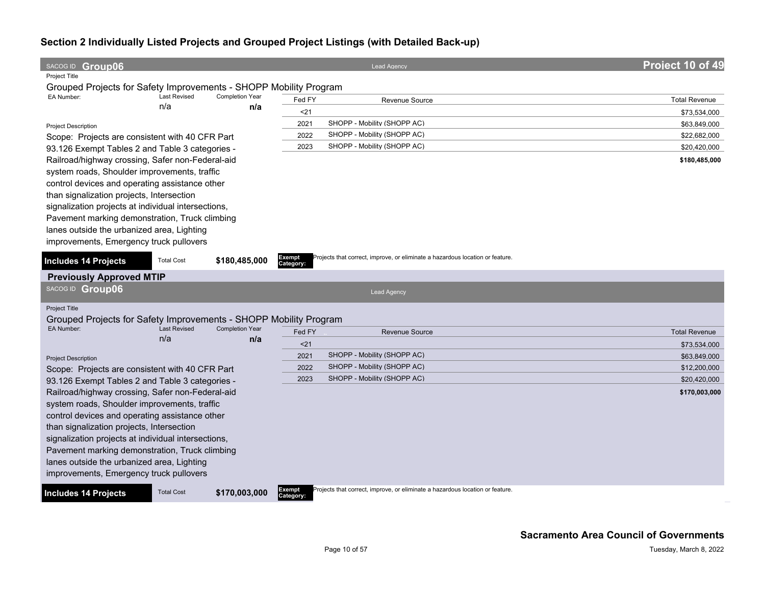| SACOG ID Group06                                                  |                            |                        |           | <b>Lead Agency</b>                                                            | Project 10 of 49     |
|-------------------------------------------------------------------|----------------------------|------------------------|-----------|-------------------------------------------------------------------------------|----------------------|
| <b>Project Title</b>                                              |                            |                        |           |                                                                               |                      |
| Grouped Projects for Safety Improvements - SHOPP Mobility Program |                            |                        |           |                                                                               |                      |
| EA Number:                                                        | <b>Last Revised</b><br>n/a | <b>Completion Year</b> | Fed FY    | <b>Revenue Source</b>                                                         | <b>Total Revenue</b> |
|                                                                   |                            | n/a                    | $21$      |                                                                               | \$73,534,000         |
| <b>Project Description</b>                                        |                            |                        | 2021      | SHOPP - Mobility (SHOPP AC)                                                   | \$63,849,000         |
| Scope: Projects are consistent with 40 CFR Part                   |                            |                        | 2022      | SHOPP - Mobility (SHOPP AC)                                                   | \$22,682,000         |
| 93.126 Exempt Tables 2 and Table 3 categories -                   |                            |                        | 2023      | SHOPP - Mobility (SHOPP AC)                                                   | \$20,420,000         |
| Railroad/highway crossing, Safer non-Federal-aid                  |                            |                        |           |                                                                               | \$180,485,000        |
| system roads, Shoulder improvements, traffic                      |                            |                        |           |                                                                               |                      |
| control devices and operating assistance other                    |                            |                        |           |                                                                               |                      |
| than signalization projects, Intersection                         |                            |                        |           |                                                                               |                      |
| signalization projects at individual intersections,               |                            |                        |           |                                                                               |                      |
| Pavement marking demonstration, Truck climbing                    |                            |                        |           |                                                                               |                      |
| lanes outside the urbanized area, Lighting                        |                            |                        |           |                                                                               |                      |
| improvements, Emergency truck pullovers                           |                            |                        |           |                                                                               |                      |
| <b>Includes 14 Projects</b>                                       | <b>Total Cost</b>          | \$180,485,000          | Exempt    | Projects that correct, improve, or eliminate a hazardous location or feature. |                      |
|                                                                   |                            |                        | Category: |                                                                               |                      |
| <b>Previously Approved MTIP</b>                                   |                            |                        |           |                                                                               |                      |
| SACOG ID Group06                                                  |                            |                        |           | <b>Lead Agency</b>                                                            |                      |
| Project Title                                                     |                            |                        |           |                                                                               |                      |
| Grouped Projects for Safety Improvements - SHOPP Mobility Program |                            |                        |           |                                                                               |                      |
| EA Number:                                                        | <b>Last Revised</b>        | <b>Completion Year</b> | Fed FY    | <b>Revenue Source</b>                                                         | <b>Total Revenue</b> |
|                                                                   | n/a                        | n/a                    | $21$      |                                                                               | \$73,534,000         |
| <b>Project Description</b>                                        |                            |                        | 2021      | SHOPP - Mobility (SHOPP AC)                                                   | \$63,849,000         |
| Scope: Projects are consistent with 40 CFR Part                   |                            |                        | 2022      | SHOPP - Mobility (SHOPP AC)                                                   | \$12,200,000         |
| 93.126 Exempt Tables 2 and Table 3 categories -                   |                            |                        | 2023      | SHOPP - Mobility (SHOPP AC)                                                   | \$20,420,000         |
| Railroad/highway crossing, Safer non-Federal-aid                  |                            |                        |           |                                                                               | \$170,003,000        |
| system roads, Shoulder improvements, traffic                      |                            |                        |           |                                                                               |                      |
| control devices and operating assistance other                    |                            |                        |           |                                                                               |                      |
| than signalization projects, Intersection                         |                            |                        |           |                                                                               |                      |
| signalization projects at individual intersections,               |                            |                        |           |                                                                               |                      |
| Pavement marking demonstration, Truck climbing                    |                            |                        |           |                                                                               |                      |
| lanes outside the urbanized area, Lighting                        |                            |                        |           |                                                                               |                      |
| improvements, Emergency truck pullovers                           |                            |                        |           |                                                                               |                      |
|                                                                   |                            |                        | Exempt    | Projects that correct, improve, or eliminate a hazardous location or feature. |                      |
| <b>Includes 14 Projects</b>                                       | <b>Total Cost</b>          | \$170,003,000          | Category: |                                                                               |                      |
|                                                                   |                            |                        |           |                                                                               |                      |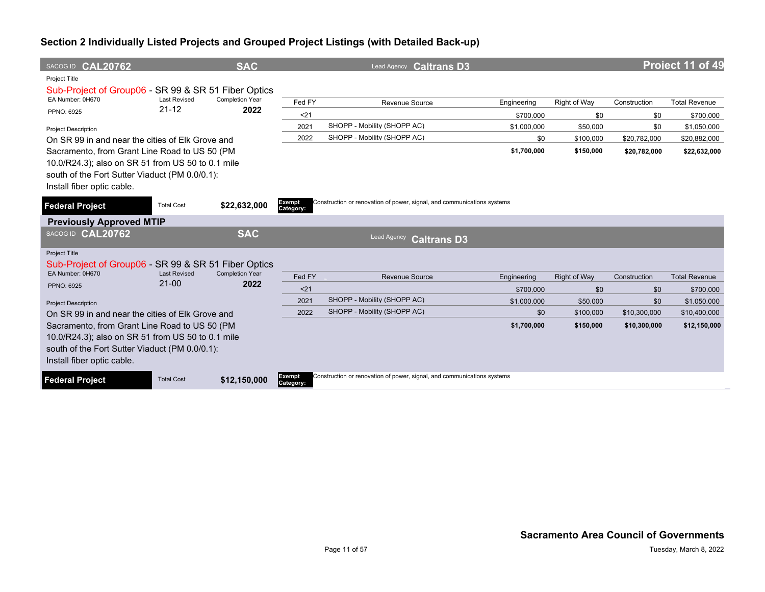| SACOG ID CAL20762                                   |                                  | <b>SAC</b>                     |                            | Lead Agency <b>Caltrans D3</b>                                          |             |              |              | Project 11 of 49     |
|-----------------------------------------------------|----------------------------------|--------------------------------|----------------------------|-------------------------------------------------------------------------|-------------|--------------|--------------|----------------------|
| <b>Project Title</b>                                |                                  |                                |                            |                                                                         |             |              |              |                      |
| Sub-Project of Group06 - SR 99 & SR 51 Fiber Optics |                                  |                                |                            |                                                                         |             |              |              |                      |
| EA Number: 0H670                                    | <b>Last Revised</b><br>$21 - 12$ | <b>Completion Year</b><br>2022 | Fed FY                     | Revenue Source                                                          | Engineering | Right of Way | Construction | <b>Total Revenue</b> |
| PPNO: 6925                                          |                                  |                                | $21$                       |                                                                         | \$700,000   | \$0          | \$0          | \$700,000            |
| <b>Project Description</b>                          |                                  |                                | 2021                       | SHOPP - Mobility (SHOPP AC)                                             | \$1,000,000 | \$50,000     | \$0          | \$1,050,000          |
| On SR 99 in and near the cities of Elk Grove and    |                                  |                                | 2022                       | SHOPP - Mobility (SHOPP AC)                                             | \$0         | \$100,000    | \$20,782,000 | \$20,882,000         |
| Sacramento, from Grant Line Road to US 50 (PM       |                                  |                                |                            |                                                                         | \$1,700,000 | \$150,000    | \$20,782,000 | \$22,632,000         |
| 10.0/R24.3); also on SR 51 from US 50 to 0.1 mile   |                                  |                                |                            |                                                                         |             |              |              |                      |
| south of the Fort Sutter Viaduct (PM 0.0/0.1):      |                                  |                                |                            |                                                                         |             |              |              |                      |
| Install fiber optic cable.                          |                                  |                                |                            |                                                                         |             |              |              |                      |
| <b>Federal Project</b>                              | <b>Total Cost</b>                | \$22,632,000                   | <b>Exempt</b><br>Category: | Construction or renovation of power, signal, and communications systems |             |              |              |                      |
| <b>Previously Approved MTIP</b>                     |                                  |                                |                            |                                                                         |             |              |              |                      |
| SACOG ID CAL20762                                   |                                  | <b>SAC</b>                     |                            | Lead Agency<br><b>Caltrans D3</b>                                       |             |              |              |                      |
| Project Title                                       |                                  |                                |                            |                                                                         |             |              |              |                      |
| Sub-Project of Group06 - SR 99 & SR 51 Fiber Optics |                                  |                                |                            |                                                                         |             |              |              |                      |
| EA Number: 0H670                                    | <b>Last Revised</b><br>$21 - 00$ | <b>Completion Year</b><br>2022 | Fed FY                     | <b>Revenue Source</b>                                                   | Engineering | Right of Way | Construction | <b>Total Revenue</b> |
| <b>PPNO: 6925</b>                                   |                                  |                                | $21$                       |                                                                         | \$700,000   | \$0          | \$0          | \$700,000            |
| <b>Project Description</b>                          |                                  |                                | 2021                       | SHOPP - Mobility (SHOPP AC)                                             | \$1,000,000 | \$50,000     | \$0          | \$1,050,000          |
| On SR 99 in and near the cities of Elk Grove and    |                                  |                                | 2022                       | SHOPP - Mobility (SHOPP AC)                                             | \$0         | \$100,000    | \$10,300,000 | \$10,400,000         |
| Sacramento, from Grant Line Road to US 50 (PM       |                                  |                                |                            |                                                                         | \$1,700,000 | \$150,000    | \$10,300,000 | \$12,150,000         |
| 10.0/R24.3); also on SR 51 from US 50 to 0.1 mile   |                                  |                                |                            |                                                                         |             |              |              |                      |
| south of the Fort Sutter Viaduct (PM 0.0/0.1):      |                                  |                                |                            |                                                                         |             |              |              |                      |
| Install fiber optic cable.                          |                                  |                                |                            |                                                                         |             |              |              |                      |
| <b>Federal Project</b>                              | <b>Total Cost</b>                | \$12,150,000                   | Exempt<br>Category:        | Construction or renovation of power, signal, and communications systems |             |              |              |                      |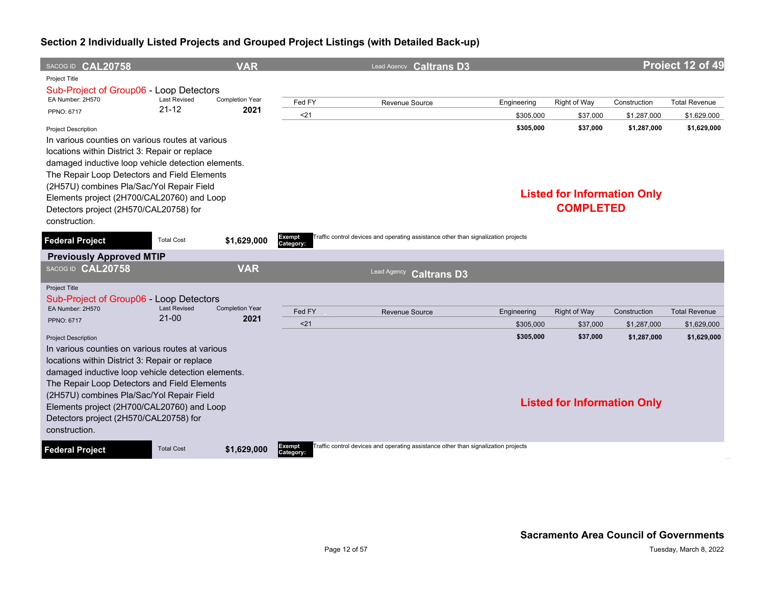|                                                                    | Project 12 of 49                                                      |
|--------------------------------------------------------------------|-----------------------------------------------------------------------|
|                                                                    |                                                                       |
| Right of Way                                                       | <b>Total Revenue</b><br>Construction                                  |
| \$37,000                                                           | \$1,287,000<br>\$1,629,000                                            |
| \$37,000<br><b>Listed for Information Only</b><br><b>COMPLETED</b> | \$1,287,000<br>\$1,629,000                                            |
|                                                                    |                                                                       |
|                                                                    |                                                                       |
|                                                                    |                                                                       |
|                                                                    | <b>Total Revenue</b><br>Construction                                  |
|                                                                    | \$1,629,000<br>\$1,287,000                                            |
| \$37,000                                                           | \$1,629,000<br>\$1,287,000                                            |
|                                                                    |                                                                       |
|                                                                    | <b>Right of Way</b><br>\$37,000<br><b>Listed for Information Only</b> |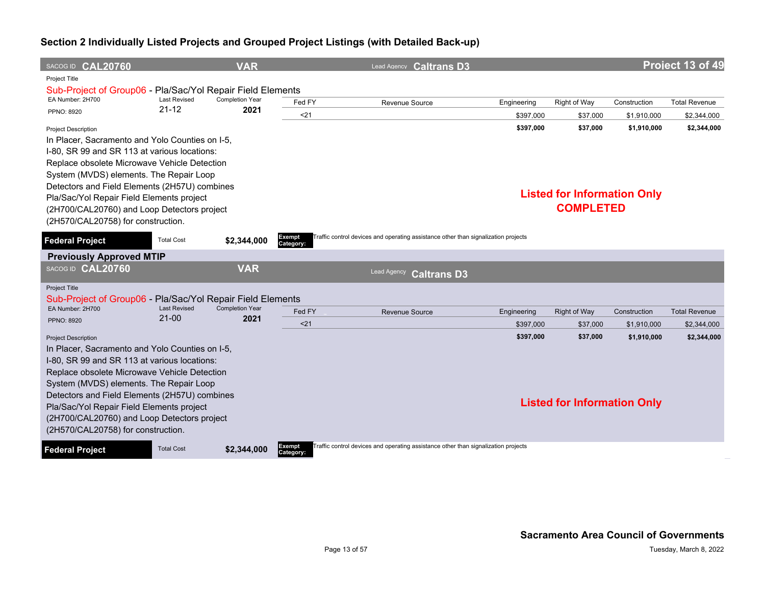| SACOG ID CAL20760                                                                                                                                                                                                                                                                                                                                                                                           |                                  | <b>VAR</b>                                                  |                     | Lead Agency Caltrans D3                                                            |                        |                                                |                            | Project 13 of 49           |
|-------------------------------------------------------------------------------------------------------------------------------------------------------------------------------------------------------------------------------------------------------------------------------------------------------------------------------------------------------------------------------------------------------------|----------------------------------|-------------------------------------------------------------|---------------------|------------------------------------------------------------------------------------|------------------------|------------------------------------------------|----------------------------|----------------------------|
| Project Title<br>Sub-Project of Group06 - Pla/Sac/Yol Repair Field Elements                                                                                                                                                                                                                                                                                                                                 |                                  |                                                             |                     |                                                                                    |                        |                                                |                            |                            |
| EA Number: 2H700                                                                                                                                                                                                                                                                                                                                                                                            | <b>Last Revised</b><br>$21 - 12$ | <b>Completion Year</b>                                      | Fed FY              | <b>Revenue Source</b>                                                              | Engineering            | Right of Way                                   | Construction               | <b>Total Revenue</b>       |
| PPNO: 8920                                                                                                                                                                                                                                                                                                                                                                                                  |                                  | 2021                                                        | $21$                |                                                                                    | \$397,000              | \$37,000                                       | \$1,910,000                | \$2,344,000                |
| <b>Project Description</b><br>In Placer, Sacramento and Yolo Counties on I-5,<br>I-80, SR 99 and SR 113 at various locations:<br>Replace obsolete Microwave Vehicle Detection<br>System (MVDS) elements. The Repair Loop<br>Detectors and Field Elements (2H57U) combines<br>Pla/Sac/Yol Repair Field Elements project                                                                                      |                                  |                                                             |                     |                                                                                    | \$397,000              | \$37.000<br><b>Listed for Information Only</b> | \$1,910,000                | \$2,344,000                |
| (2H700/CAL20760) and Loop Detectors project<br>(2H570/CAL20758) for construction.                                                                                                                                                                                                                                                                                                                           |                                  |                                                             |                     |                                                                                    |                        | <b>COMPLETED</b>                               |                            |                            |
| <b>Federal Project</b>                                                                                                                                                                                                                                                                                                                                                                                      | <b>Total Cost</b>                | \$2,344,000                                                 | Exempt<br>Category: | Traffic control devices and operating assistance other than signalization projects |                        |                                                |                            |                            |
| <b>Previously Approved MTIP</b>                                                                                                                                                                                                                                                                                                                                                                             |                                  |                                                             |                     |                                                                                    |                        |                                                |                            |                            |
| SACOG ID CAL20760                                                                                                                                                                                                                                                                                                                                                                                           |                                  | <b>VAR</b>                                                  |                     | Lead Agency<br><b>Caltrans D3</b>                                                  |                        |                                                |                            |                            |
| Project Title                                                                                                                                                                                                                                                                                                                                                                                               |                                  |                                                             |                     |                                                                                    |                        |                                                |                            |                            |
| Sub-Project of Group06 -<br>EA Number: 2H700                                                                                                                                                                                                                                                                                                                                                                | <b>Last Revised</b>              | Pla/Sac/Yol Repair Field Elements<br><b>Completion Year</b> |                     |                                                                                    |                        |                                                |                            |                            |
| <b>PPNO: 8920</b>                                                                                                                                                                                                                                                                                                                                                                                           | $21-00$                          | 2021                                                        | Fed FY              | <b>Revenue Source</b>                                                              | Engineering            | <b>Right of Way</b>                            | Construction               | <b>Total Revenue</b>       |
|                                                                                                                                                                                                                                                                                                                                                                                                             |                                  |                                                             | 21                  |                                                                                    | \$397.000<br>\$397,000 | \$37,000<br>\$37,000                           | \$1.910.000<br>\$1,910,000 | \$2,344,000<br>\$2,344,000 |
| <b>Project Description</b><br>In Placer, Sacramento and Yolo Counties on I-5,<br>I-80, SR 99 and SR 113 at various locations:<br>Replace obsolete Microwave Vehicle Detection<br>System (MVDS) elements. The Repair Loop<br>Detectors and Field Elements (2H57U) combines<br>Pla/Sac/Yol Repair Field Elements project<br>(2H700/CAL20760) and Loop Detectors project<br>(2H570/CAL20758) for construction. |                                  |                                                             |                     |                                                                                    |                        | <b>Listed for Information Only</b>             |                            |                            |
| <b>Federal Project</b>                                                                                                                                                                                                                                                                                                                                                                                      | <b>Total Cost</b>                | \$2,344,000                                                 | Exempt<br>Category: | Traffic control devices and operating assistance other than signalization projects |                        |                                                |                            |                            |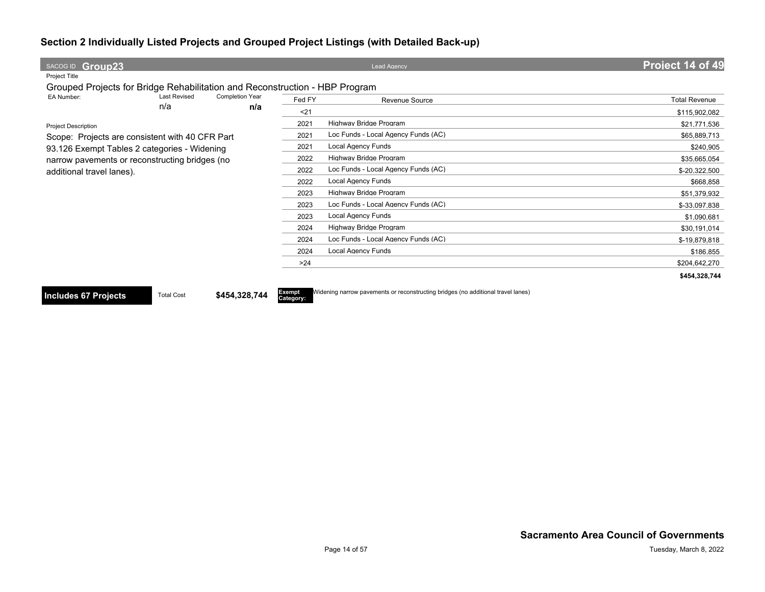| SACOG ID Group23                                                            |        | <b>Lead Agency</b>                  | Project 14 of 49     |
|-----------------------------------------------------------------------------|--------|-------------------------------------|----------------------|
| Project Title                                                               |        |                                     |                      |
| Grouped Projects for Bridge Rehabilitation and Reconstruction - HBP Program |        |                                     |                      |
| EA Number:<br><b>Last Revised</b><br><b>Completion Year</b>                 | Fed FY | Revenue Source                      | <b>Total Revenue</b> |
| n/a<br>n/a                                                                  | $21$   |                                     | \$115,902,082        |
| <b>Project Description</b>                                                  | 2021   | Highway Bridge Program              | \$21,771,536         |
| Scope: Projects are consistent with 40 CFR Part                             | 2021   | Loc Funds - Local Agency Funds (AC) | \$65,889,713         |
| 93.126 Exempt Tables 2 categories - Widening                                | 2021   | Local Agency Funds                  | \$240,905            |
| narrow pavements or reconstructing bridges (no                              | 2022   | Highway Bridge Program              | \$35,665,054         |
| additional travel lanes).                                                   | 2022   | Loc Funds - Local Agency Funds (AC) | \$-20,322,500        |
|                                                                             | 2022   | Local Agency Funds                  | \$668,858            |
|                                                                             | 2023   | Highway Bridge Program              | \$51,379,932         |
|                                                                             | 2023   | Loc Funds - Local Agency Funds (AC) | \$-33,097,838        |
|                                                                             | 2023   | Local Agency Funds                  | \$1,090,681          |
|                                                                             | 2024   | Highway Bridge Program              | \$30,191,014         |
|                                                                             | 2024   | Loc Funds - Local Agency Funds (AC) | \$-19,879,818        |
|                                                                             | 2024   | <b>Local Agency Funds</b>           | \$186,855            |
|                                                                             | >24    |                                     | \$204,642,270        |
|                                                                             |        |                                     | \$454,328,744        |

**Includes 67 Projects** Total Cost \$454,328,744

**Category:**

Widening narrow pavements or reconstructing bridges (no additional travel lanes)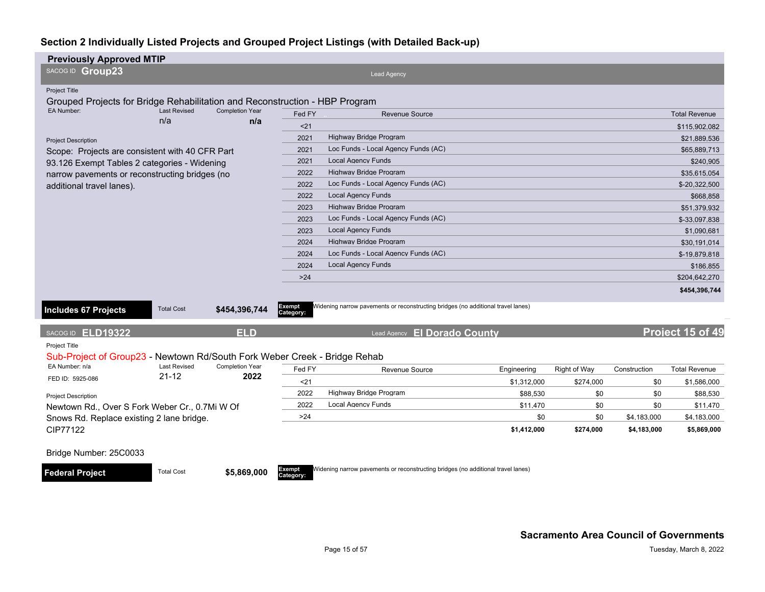| <b>Previously Approved MTIP</b>                                             |                                                 |                                |                     |                                                                                  |             |              |              |                      |
|-----------------------------------------------------------------------------|-------------------------------------------------|--------------------------------|---------------------|----------------------------------------------------------------------------------|-------------|--------------|--------------|----------------------|
| SACOG ID Group23                                                            |                                                 |                                |                     | <b>Lead Agency</b>                                                               |             |              |              |                      |
| Project Title                                                               |                                                 |                                |                     |                                                                                  |             |              |              |                      |
| Grouped Projects for Bridge Rehabilitation and Reconstruction - HBP Program |                                                 |                                |                     |                                                                                  |             |              |              |                      |
| EA Number:                                                                  | <b>Last Revised</b>                             | <b>Completion Year</b>         | Fed FY              | <b>Revenue Source</b>                                                            |             |              |              | <b>Total Revenue</b> |
|                                                                             | n/a                                             | n/a                            | < 21                |                                                                                  |             |              |              | \$115,902,082        |
| <b>Project Description</b>                                                  |                                                 |                                | 2021                | Highway Bridge Program                                                           |             |              |              | \$21.889.536         |
|                                                                             | Scope: Projects are consistent with 40 CFR Part |                                | 2021                | Loc Funds - Local Agency Funds (AC)                                              |             |              |              | \$65,889,713         |
|                                                                             | 93.126 Exempt Tables 2 categories - Widening    |                                |                     | <b>Local Agency Funds</b>                                                        |             |              |              | \$240,905            |
| narrow pavements or reconstructing bridges (no                              |                                                 |                                | 2022                | Highway Bridge Program                                                           |             |              |              | \$35,615,054         |
| additional travel lanes).                                                   |                                                 |                                | 2022                | Loc Funds - Local Agency Funds (AC)                                              |             |              |              | \$-20,322,500        |
|                                                                             |                                                 |                                | 2022                | <b>Local Agency Funds</b>                                                        |             |              |              | \$668,858            |
|                                                                             |                                                 |                                | 2023                | Highway Bridge Program                                                           |             |              |              | \$51,379,932         |
|                                                                             |                                                 |                                | 2023                | Loc Funds - Local Agency Funds (AC)                                              |             |              |              | \$-33,097,838        |
|                                                                             |                                                 |                                | 2023                | <b>Local Agency Funds</b>                                                        |             |              |              | \$1,090,681          |
|                                                                             |                                                 |                                | 2024                | Highway Bridge Program                                                           |             |              |              | \$30.191.014         |
|                                                                             |                                                 |                                | 2024                | Loc Funds - Local Agency Funds (AC)                                              |             |              |              | \$-19,879,818        |
|                                                                             |                                                 |                                | 2024                | <b>Local Agency Funds</b>                                                        |             |              |              | \$186,855            |
|                                                                             |                                                 |                                | $>24$               |                                                                                  |             |              |              | \$204,642,270        |
|                                                                             |                                                 |                                |                     |                                                                                  |             |              |              | \$454,396,744        |
| <b>Includes 67 Projects</b>                                                 | <b>Total Cost</b>                               | \$454,396,744                  | Exempt<br>Category: | Widening narrow pavements or reconstructing bridges (no additional travel lanes) |             |              |              |                      |
| SACOG ID ELD19322                                                           |                                                 | <b>ELD</b>                     |                     | Lead Agency El Dorado County                                                     |             |              |              | Project 15 of 49     |
| Project Title                                                               |                                                 |                                |                     |                                                                                  |             |              |              |                      |
| Sub-Project of Group23 - Newtown Rd/South Fork Weber Creek - Bridge Rehab   |                                                 |                                |                     |                                                                                  |             |              |              |                      |
| EA Number: n/a                                                              | <b>Last Revised</b><br>$21 - 12$                | <b>Completion Year</b><br>2022 | Fed FY              | <b>Revenue Source</b>                                                            | Engineering | Right of Way | Construction | <b>Total Revenue</b> |
| FED ID: 5925-086                                                            |                                                 |                                | $21$                |                                                                                  | \$1,312,000 | \$274,000    | \$0          | \$1,586,000          |
| <b>Project Description</b>                                                  |                                                 |                                | 2022                | Highway Bridge Program                                                           | \$88,530    | \$0          | \$0          | \$88,530             |
| Newtown Rd., Over S Fork Weber Cr., 0.7Mi W Of                              |                                                 |                                | 2022                | Local Agency Funds                                                               | \$11,470    | \$0          | \$0          | \$11,470             |
| Snows Rd. Replace existing 2 lane bridge.                                   |                                                 |                                | >24                 |                                                                                  | \$0         | \$0          | \$4,183,000  | \$4,183,000          |
| CIP77122                                                                    |                                                 |                                |                     |                                                                                  | \$1,412,000 | \$274,000    | \$4,183,000  | \$5,869,000          |
| Bridge Number: 25C0033                                                      |                                                 |                                |                     |                                                                                  |             |              |              |                      |
| <b>Federal Project</b>                                                      | <b>Total Cost</b>                               | \$5,869,000                    | Exempt<br>Category: | Widening narrow pavements or reconstructing bridges (no additional travel lanes) |             |              |              |                      |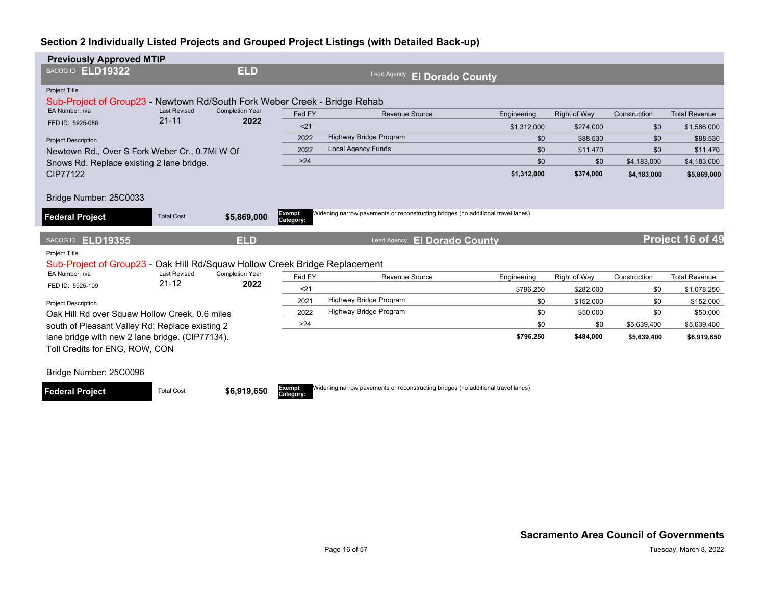| <b>Previously Approved MTIP</b>                                                                                     |                                                                                             |                        |                     |                                                                                  |                    |                  |                            |                            |
|---------------------------------------------------------------------------------------------------------------------|---------------------------------------------------------------------------------------------|------------------------|---------------------|----------------------------------------------------------------------------------|--------------------|------------------|----------------------------|----------------------------|
| SACOG ID ELD19322                                                                                                   |                                                                                             | <b>ELD</b>             |                     | Lead Agency<br><b>El Dorado County</b>                                           |                    |                  |                            |                            |
| <b>Project Title</b><br>Sub-Project of Group23 - Newtown Rd/South Fork Weber Creek - Bridge Rehab<br>EA Number: n/a | <b>Last Revised</b>                                                                         | <b>Completion Year</b> |                     |                                                                                  |                    |                  |                            |                            |
| FED ID: 5925-086                                                                                                    | $21 - 11$                                                                                   | 2022                   | Fed FY              | <b>Revenue Source</b>                                                            | Engineering        | Right of Way     | Construction               | <b>Total Revenue</b>       |
|                                                                                                                     |                                                                                             |                        | < 21                |                                                                                  | \$1,312,000        | \$274.000        | \$0                        | \$1,586,000                |
| <b>Project Description</b>                                                                                          |                                                                                             |                        | 2022<br>2022        | Highway Bridge Program<br><b>Local Agency Funds</b>                              | \$0                | \$88,530         | \$0                        | \$88,530                   |
|                                                                                                                     | Newtown Rd., Over S Fork Weber Cr., 0.7Mi W Of<br>Snows Rd. Replace existing 2 lane bridge. |                        |                     |                                                                                  | \$0                | \$11,470         | \$0                        | \$11,470                   |
| <b>CIP77122</b>                                                                                                     |                                                                                             |                        |                     |                                                                                  | \$0<br>\$1,312,000 | \$0<br>\$374,000 | \$4,183,000<br>\$4,183,000 | \$4,183,000<br>\$5,869,000 |
| Bridge Number: 25C0033<br><b>Federal Project</b>                                                                    | <b>Total Cost</b>                                                                           | \$5,869,000            | Exempt<br>Category: | Widening narrow pavements or reconstructing bridges (no additional travel lanes) |                    |                  |                            |                            |
|                                                                                                                     |                                                                                             |                        |                     |                                                                                  |                    |                  |                            |                            |
| SACOG ID <b>ELD19355</b>                                                                                            |                                                                                             | <b>ELD</b>             |                     | <b>El Dorado County</b><br><b>Lead Agency</b>                                    |                    |                  |                            | Project 16 of 49           |
| Project Title<br>Sub-Project of Group23 - Oak Hill Rd/Squaw Hollow Creek Bridge Replacement                         |                                                                                             |                        |                     |                                                                                  |                    |                  |                            |                            |
| EA Number: n/a                                                                                                      | <b>Last Revised</b>                                                                         | <b>Completion Year</b> | Fed FY              | Revenue Source                                                                   | Engineering        | Right of Way     | Construction               | <b>Total Revenue</b>       |
| FED ID: 5925-109                                                                                                    | $21 - 12$                                                                                   | 2022                   | $21$                |                                                                                  | \$796.250          | \$282.000        | \$0                        | \$1,078,250                |
| <b>Project Description</b>                                                                                          |                                                                                             |                        | 2021                | Highway Bridge Program                                                           | \$0                | \$152,000        | \$0                        | \$152,000                  |
| Oak Hill Rd over Squaw Hollow Creek, 0.6 miles                                                                      |                                                                                             |                        | 2022                | Highway Bridge Program                                                           | \$0                | \$50,000         | \$0                        | \$50,000                   |
| south of Pleasant Valley Rd: Replace existing 2                                                                     |                                                                                             |                        | >24                 |                                                                                  | \$0                | \$0              | \$5,639,400                | \$5,639,400                |
| lane bridge with new 2 lane bridge. (CIP77134).                                                                     |                                                                                             |                        |                     |                                                                                  | \$796,250          | \$484,000        | \$5,639,400                | \$6,919,650                |
| Toll Credits for ENG, ROW, CON                                                                                      |                                                                                             |                        |                     |                                                                                  |                    |                  |                            |                            |
| Bridge Number: 25C0096                                                                                              |                                                                                             |                        |                     |                                                                                  |                    |                  |                            |                            |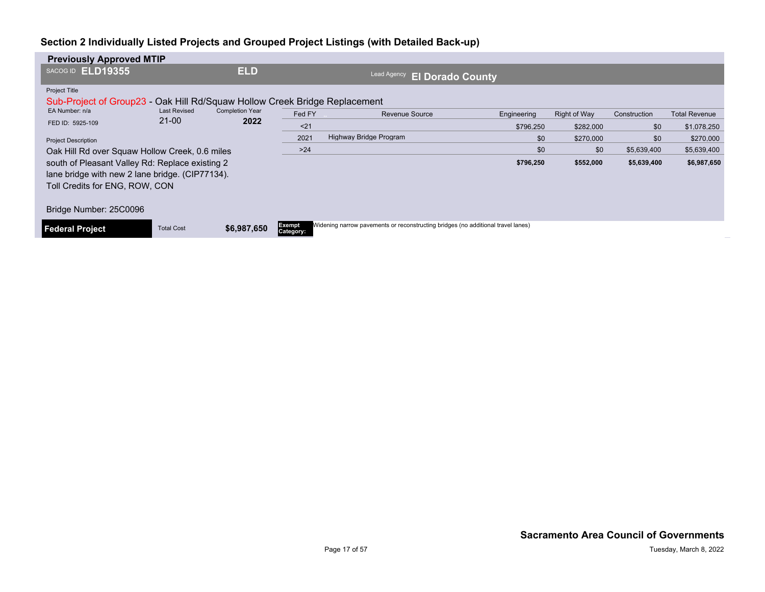| <b>Previously Approved MTIP</b>                 |                                                                            |                        |                            |                                                                                  |             |              |              |                      |  |  |  |  |
|-------------------------------------------------|----------------------------------------------------------------------------|------------------------|----------------------------|----------------------------------------------------------------------------------|-------------|--------------|--------------|----------------------|--|--|--|--|
| <b>ELD19355</b><br>SACOG ID                     |                                                                            | <b>ELD</b>             |                            | Lead Agency<br><b>El Dorado County</b>                                           |             |              |              |                      |  |  |  |  |
| Project Title                                   |                                                                            |                        |                            |                                                                                  |             |              |              |                      |  |  |  |  |
|                                                 | Sub-Project of Group23 - Oak Hill Rd/Squaw Hollow Creek Bridge Replacement |                        |                            |                                                                                  |             |              |              |                      |  |  |  |  |
| EA Number: n/a                                  | <b>Last Revised</b>                                                        | <b>Completion Year</b> | Fed FY                     | <b>Revenue Source</b>                                                            | Engineering | Right of Way | Construction | <b>Total Revenue</b> |  |  |  |  |
| FED ID: 5925-109                                | $21 - 00$                                                                  | 2022                   | $21$                       |                                                                                  | \$796.250   | \$282,000    | \$0          | \$1,078,250          |  |  |  |  |
| <b>Project Description</b>                      |                                                                            |                        | 2021                       | Highway Bridge Program                                                           | \$0         | \$270,000    | \$0          | \$270,000            |  |  |  |  |
| Oak Hill Rd over Squaw Hollow Creek, 0.6 miles  |                                                                            |                        | $>24$                      |                                                                                  | \$0         | \$0          | \$5,639,400  | \$5,639,400          |  |  |  |  |
| south of Pleasant Valley Rd: Replace existing 2 |                                                                            |                        |                            |                                                                                  | \$796,250   | \$552,000    | \$5,639,400  | \$6,987,650          |  |  |  |  |
| lane bridge with new 2 lane bridge. (CIP77134). |                                                                            |                        |                            |                                                                                  |             |              |              |                      |  |  |  |  |
| Toll Credits for ENG, ROW, CON                  |                                                                            |                        |                            |                                                                                  |             |              |              |                      |  |  |  |  |
| Bridge Number: 25C0096                          |                                                                            |                        |                            |                                                                                  |             |              |              |                      |  |  |  |  |
| <b>Federal Project</b>                          | <b>Total Cost</b>                                                          | \$6,987,650            | <b>Exempt</b><br>Category: | Widening narrow pavements or reconstructing bridges (no additional travel lanes) |             |              |              |                      |  |  |  |  |
|                                                 |                                                                            |                        |                            |                                                                                  |             |              |              |                      |  |  |  |  |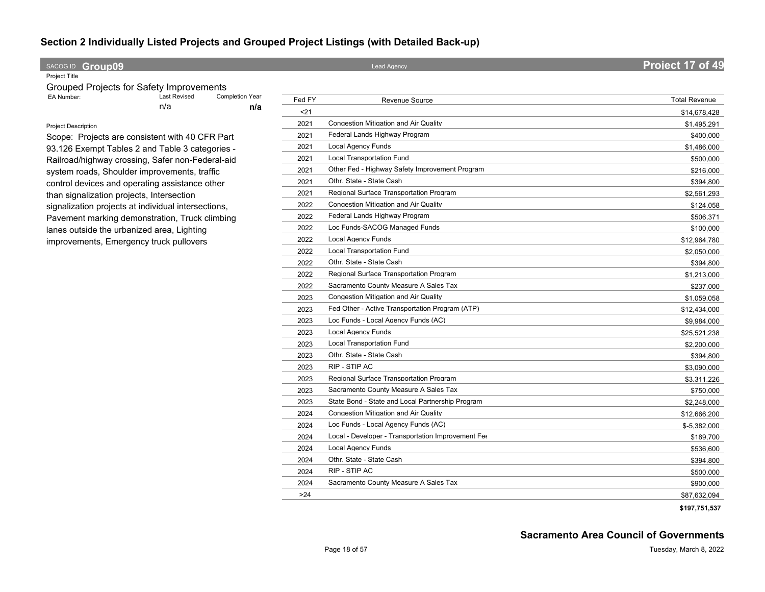#### **SACOG ID Croup09 Project 17 of 49**

Project Title

| Grouped Projects for Safety Improvements |                     |                        |
|------------------------------------------|---------------------|------------------------|
| EA Number:                               | <b>Last Revised</b> | <b>Completion Year</b> |
|                                          | n/a                 | n/a                    |

#### Project Description

Scope: Projects are consistent with 40 CFR Part 93.126 Exempt Tables 2 and Table 3 categories - Railroad/highway crossing, Safer non-Federal-aid system roads, Shoulder improvements, traffic control devices and operating assistance other than signalization projects, Intersection signalization projects at individual intersections, Pavement marking demonstration, Truck climbing lanes outside the urbanized area, Lighting improvements, Emergency truck pullovers

| Fed FY | <b>Revenue Source</b>                              | <b>Total Revenue</b> |
|--------|----------------------------------------------------|----------------------|
| $21$   |                                                    | \$14,678,428         |
| 2021   | Congestion Mitigation and Air Quality              | \$1,495,291          |
| 2021   | Federal Lands Highway Program                      | \$400,000            |
| 2021   | <b>Local Agency Funds</b>                          | \$1,486,000          |
| 2021   | Local Transportation Fund                          | \$500,000            |
| 2021   | Other Fed - Highway Safety Improvement Program     | \$216,000            |
| 2021   | Othr. State - State Cash                           | \$394,800            |
| 2021   | Regional Surface Transportation Program            | \$2,561,293          |
| 2022   | Congestion Mitigation and Air Quality              | \$124,058            |
| 2022   | Federal Lands Highway Program                      | \$506,371            |
| 2022   | Loc Funds-SACOG Managed Funds                      | \$100,000            |
| 2022   | <b>Local Agency Funds</b>                          | \$12,964,780         |
| 2022   | <b>Local Transportation Fund</b>                   | \$2,050,000          |
| 2022   | Othr. State - State Cash                           | \$394,800            |
| 2022   | Regional Surface Transportation Program            | \$1,213,000          |
| 2022   | Sacramento County Measure A Sales Tax              | \$237,000            |
| 2023   | Congestion Mitigation and Air Quality              | \$1,059,058          |
| 2023   | Fed Other - Active Transportation Program (ATP)    | \$12,434,000         |
| 2023   | Loc Funds - Local Agency Funds (AC)                | \$9,984,000          |
| 2023   | <b>Local Agency Funds</b>                          | \$25,521,238         |
| 2023   | Local Transportation Fund                          | \$2,200,000          |
| 2023   | Othr. State - State Cash                           | \$394,800            |
| 2023   | RIP - STIP AC                                      | \$3,090,000          |
| 2023   | Regional Surface Transportation Program            | \$3,311,226          |
| 2023   | Sacramento County Measure A Sales Tax              | \$750,000            |
| 2023   | State Bond - State and Local Partnership Program   | \$2,248,000          |
| 2024   | Congestion Mitigation and Air Quality              | \$12,666,200         |
| 2024   | Loc Funds - Local Agency Funds (AC)                | \$-5,382,000         |
| 2024   | Local - Developer - Transportation Improvement Fee | \$189,700            |
| 2024   | Local Agency Funds                                 | \$536,600            |
| 2024   | Othr. State - State Cash                           | \$394,800            |
| 2024   | RIP - STIP AC                                      | \$500,000            |
| 2024   | Sacramento County Measure A Sales Tax              | \$900,000            |
| >24    |                                                    | \$87,632,094         |
|        |                                                    | \$197,751,537        |

**Sacramento Area Council of Governments**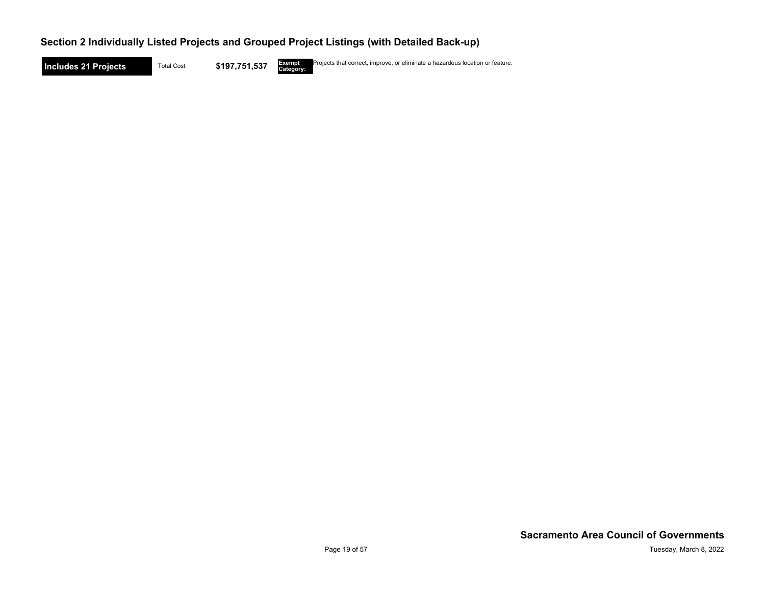**Includes 21 Projects** Total Cost \$197,751,537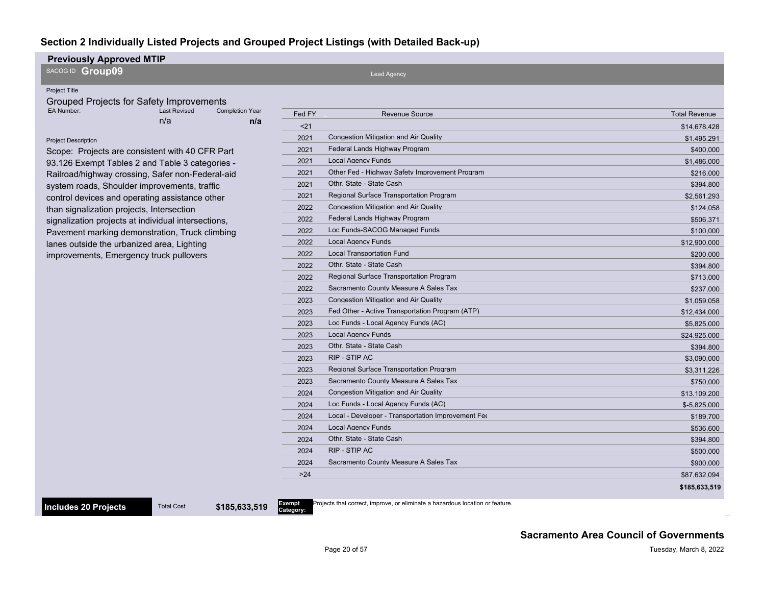#### **Previously Approved MTIP**

SACOG ID **Group09**

#### Project Title

Grouped Projects for Safety Improvements<br>EA Number: Last Revised Com n/a **n/a** Completion Year

#### Project Description

Scope: Projects are consistent with 40 CFR Part 93.126 Exempt Tables 2 and Table 3 categories - Railroad/highway crossing, Safer non-Federal-aid system roads, Shoulder improvements, traffic control devices and operating assistance other than signalization projects, Intersection signalization projects at individual intersections, Pavement marking demonstration, Truck climbing lanes outside the urbanized area, Lighting improvements, Emergency truck pullovers

**Includes 20 Projects** Total Cost \$185,633,519

| 21<br>\$14,678,428<br><b>Congestion Mitigation and Air Quality</b><br>2021<br>\$1.495.291<br>Federal Lands Highway Program<br>2021<br>\$400,000<br><b>Local Agency Funds</b><br>2021<br>\$1,486,000<br>Other Fed - Highway Safety Improvement Program<br>2021<br>\$216,000<br>Othr. State - State Cash<br>2021<br>\$394,800<br><b>Regional Surface Transportation Program</b><br>2021<br>\$2,561,293<br><b>Congestion Mitigation and Air Quality</b><br>2022<br>\$124.058<br>Federal Lands Highway Program<br>2022<br>\$506,371<br>Loc Funds-SACOG Managed Funds<br>2022<br>\$100,000<br>Local Agency Funds<br>2022<br>\$12,900,000<br><b>Local Transportation Fund</b><br>2022<br>\$200,000<br>Othr. State - State Cash<br>2022<br>\$394,800<br>Regional Surface Transportation Program<br>2022<br>\$713,000<br>Sacramento County Measure A Sales Tax<br>2022<br>\$237,000<br><b>Congestion Mitigation and Air Quality</b><br>2023<br>\$1,059,058<br>Fed Other - Active Transportation Program (ATP)<br>2023<br>\$12.434.000<br>Loc Funds - Local Agency Funds (AC)<br>2023<br>\$5.825,000<br><b>Local Agency Funds</b><br>2023<br>\$24,925,000<br>Othr. State - State Cash<br>2023<br>\$394.800<br><b>RIP - STIP AC</b><br>2023<br>\$3,090,000<br>Regional Surface Transportation Program<br>2023<br>\$3.311.226<br>Sacramento County Measure A Sales Tax<br>2023<br>\$750,000<br><b>Congestion Mitigation and Air Quality</b><br>2024<br>\$13,109,200<br>Loc Funds - Local Agency Funds (AC)<br>2024<br>$$-5.825.000$<br>Local - Developer - Transportation Improvement Fee<br>2024<br>\$189,700<br><b>Local Agency Funds</b><br>2024<br>\$536.600<br>Othr. State - State Cash<br>2024<br>\$394,800<br>RIP - STIP AC<br>2024<br>\$500,000<br>Sacramento County Measure A Sales Tax<br>2024<br>\$900,000<br>>24<br>\$87,632,094 | Fed FY | <b>Revenue Source</b> | <b>Total Revenue</b> |
|-----------------------------------------------------------------------------------------------------------------------------------------------------------------------------------------------------------------------------------------------------------------------------------------------------------------------------------------------------------------------------------------------------------------------------------------------------------------------------------------------------------------------------------------------------------------------------------------------------------------------------------------------------------------------------------------------------------------------------------------------------------------------------------------------------------------------------------------------------------------------------------------------------------------------------------------------------------------------------------------------------------------------------------------------------------------------------------------------------------------------------------------------------------------------------------------------------------------------------------------------------------------------------------------------------------------------------------------------------------------------------------------------------------------------------------------------------------------------------------------------------------------------------------------------------------------------------------------------------------------------------------------------------------------------------------------------------------------------------------------------------------------------------------------------------------------------------------|--------|-----------------------|----------------------|
|                                                                                                                                                                                                                                                                                                                                                                                                                                                                                                                                                                                                                                                                                                                                                                                                                                                                                                                                                                                                                                                                                                                                                                                                                                                                                                                                                                                                                                                                                                                                                                                                                                                                                                                                                                                                                                   |        |                       |                      |
|                                                                                                                                                                                                                                                                                                                                                                                                                                                                                                                                                                                                                                                                                                                                                                                                                                                                                                                                                                                                                                                                                                                                                                                                                                                                                                                                                                                                                                                                                                                                                                                                                                                                                                                                                                                                                                   |        |                       |                      |
|                                                                                                                                                                                                                                                                                                                                                                                                                                                                                                                                                                                                                                                                                                                                                                                                                                                                                                                                                                                                                                                                                                                                                                                                                                                                                                                                                                                                                                                                                                                                                                                                                                                                                                                                                                                                                                   |        |                       |                      |
|                                                                                                                                                                                                                                                                                                                                                                                                                                                                                                                                                                                                                                                                                                                                                                                                                                                                                                                                                                                                                                                                                                                                                                                                                                                                                                                                                                                                                                                                                                                                                                                                                                                                                                                                                                                                                                   |        |                       |                      |
|                                                                                                                                                                                                                                                                                                                                                                                                                                                                                                                                                                                                                                                                                                                                                                                                                                                                                                                                                                                                                                                                                                                                                                                                                                                                                                                                                                                                                                                                                                                                                                                                                                                                                                                                                                                                                                   |        |                       |                      |
|                                                                                                                                                                                                                                                                                                                                                                                                                                                                                                                                                                                                                                                                                                                                                                                                                                                                                                                                                                                                                                                                                                                                                                                                                                                                                                                                                                                                                                                                                                                                                                                                                                                                                                                                                                                                                                   |        |                       |                      |
|                                                                                                                                                                                                                                                                                                                                                                                                                                                                                                                                                                                                                                                                                                                                                                                                                                                                                                                                                                                                                                                                                                                                                                                                                                                                                                                                                                                                                                                                                                                                                                                                                                                                                                                                                                                                                                   |        |                       |                      |
|                                                                                                                                                                                                                                                                                                                                                                                                                                                                                                                                                                                                                                                                                                                                                                                                                                                                                                                                                                                                                                                                                                                                                                                                                                                                                                                                                                                                                                                                                                                                                                                                                                                                                                                                                                                                                                   |        |                       |                      |
|                                                                                                                                                                                                                                                                                                                                                                                                                                                                                                                                                                                                                                                                                                                                                                                                                                                                                                                                                                                                                                                                                                                                                                                                                                                                                                                                                                                                                                                                                                                                                                                                                                                                                                                                                                                                                                   |        |                       |                      |
|                                                                                                                                                                                                                                                                                                                                                                                                                                                                                                                                                                                                                                                                                                                                                                                                                                                                                                                                                                                                                                                                                                                                                                                                                                                                                                                                                                                                                                                                                                                                                                                                                                                                                                                                                                                                                                   |        |                       |                      |
|                                                                                                                                                                                                                                                                                                                                                                                                                                                                                                                                                                                                                                                                                                                                                                                                                                                                                                                                                                                                                                                                                                                                                                                                                                                                                                                                                                                                                                                                                                                                                                                                                                                                                                                                                                                                                                   |        |                       |                      |
|                                                                                                                                                                                                                                                                                                                                                                                                                                                                                                                                                                                                                                                                                                                                                                                                                                                                                                                                                                                                                                                                                                                                                                                                                                                                                                                                                                                                                                                                                                                                                                                                                                                                                                                                                                                                                                   |        |                       |                      |
|                                                                                                                                                                                                                                                                                                                                                                                                                                                                                                                                                                                                                                                                                                                                                                                                                                                                                                                                                                                                                                                                                                                                                                                                                                                                                                                                                                                                                                                                                                                                                                                                                                                                                                                                                                                                                                   |        |                       |                      |
|                                                                                                                                                                                                                                                                                                                                                                                                                                                                                                                                                                                                                                                                                                                                                                                                                                                                                                                                                                                                                                                                                                                                                                                                                                                                                                                                                                                                                                                                                                                                                                                                                                                                                                                                                                                                                                   |        |                       |                      |
|                                                                                                                                                                                                                                                                                                                                                                                                                                                                                                                                                                                                                                                                                                                                                                                                                                                                                                                                                                                                                                                                                                                                                                                                                                                                                                                                                                                                                                                                                                                                                                                                                                                                                                                                                                                                                                   |        |                       |                      |
|                                                                                                                                                                                                                                                                                                                                                                                                                                                                                                                                                                                                                                                                                                                                                                                                                                                                                                                                                                                                                                                                                                                                                                                                                                                                                                                                                                                                                                                                                                                                                                                                                                                                                                                                                                                                                                   |        |                       |                      |
|                                                                                                                                                                                                                                                                                                                                                                                                                                                                                                                                                                                                                                                                                                                                                                                                                                                                                                                                                                                                                                                                                                                                                                                                                                                                                                                                                                                                                                                                                                                                                                                                                                                                                                                                                                                                                                   |        |                       |                      |
|                                                                                                                                                                                                                                                                                                                                                                                                                                                                                                                                                                                                                                                                                                                                                                                                                                                                                                                                                                                                                                                                                                                                                                                                                                                                                                                                                                                                                                                                                                                                                                                                                                                                                                                                                                                                                                   |        |                       |                      |
|                                                                                                                                                                                                                                                                                                                                                                                                                                                                                                                                                                                                                                                                                                                                                                                                                                                                                                                                                                                                                                                                                                                                                                                                                                                                                                                                                                                                                                                                                                                                                                                                                                                                                                                                                                                                                                   |        |                       |                      |
|                                                                                                                                                                                                                                                                                                                                                                                                                                                                                                                                                                                                                                                                                                                                                                                                                                                                                                                                                                                                                                                                                                                                                                                                                                                                                                                                                                                                                                                                                                                                                                                                                                                                                                                                                                                                                                   |        |                       |                      |
|                                                                                                                                                                                                                                                                                                                                                                                                                                                                                                                                                                                                                                                                                                                                                                                                                                                                                                                                                                                                                                                                                                                                                                                                                                                                                                                                                                                                                                                                                                                                                                                                                                                                                                                                                                                                                                   |        |                       |                      |
|                                                                                                                                                                                                                                                                                                                                                                                                                                                                                                                                                                                                                                                                                                                                                                                                                                                                                                                                                                                                                                                                                                                                                                                                                                                                                                                                                                                                                                                                                                                                                                                                                                                                                                                                                                                                                                   |        |                       |                      |
|                                                                                                                                                                                                                                                                                                                                                                                                                                                                                                                                                                                                                                                                                                                                                                                                                                                                                                                                                                                                                                                                                                                                                                                                                                                                                                                                                                                                                                                                                                                                                                                                                                                                                                                                                                                                                                   |        |                       |                      |
|                                                                                                                                                                                                                                                                                                                                                                                                                                                                                                                                                                                                                                                                                                                                                                                                                                                                                                                                                                                                                                                                                                                                                                                                                                                                                                                                                                                                                                                                                                                                                                                                                                                                                                                                                                                                                                   |        |                       |                      |
|                                                                                                                                                                                                                                                                                                                                                                                                                                                                                                                                                                                                                                                                                                                                                                                                                                                                                                                                                                                                                                                                                                                                                                                                                                                                                                                                                                                                                                                                                                                                                                                                                                                                                                                                                                                                                                   |        |                       |                      |
|                                                                                                                                                                                                                                                                                                                                                                                                                                                                                                                                                                                                                                                                                                                                                                                                                                                                                                                                                                                                                                                                                                                                                                                                                                                                                                                                                                                                                                                                                                                                                                                                                                                                                                                                                                                                                                   |        |                       |                      |
|                                                                                                                                                                                                                                                                                                                                                                                                                                                                                                                                                                                                                                                                                                                                                                                                                                                                                                                                                                                                                                                                                                                                                                                                                                                                                                                                                                                                                                                                                                                                                                                                                                                                                                                                                                                                                                   |        |                       |                      |
|                                                                                                                                                                                                                                                                                                                                                                                                                                                                                                                                                                                                                                                                                                                                                                                                                                                                                                                                                                                                                                                                                                                                                                                                                                                                                                                                                                                                                                                                                                                                                                                                                                                                                                                                                                                                                                   |        |                       |                      |
|                                                                                                                                                                                                                                                                                                                                                                                                                                                                                                                                                                                                                                                                                                                                                                                                                                                                                                                                                                                                                                                                                                                                                                                                                                                                                                                                                                                                                                                                                                                                                                                                                                                                                                                                                                                                                                   |        |                       |                      |
|                                                                                                                                                                                                                                                                                                                                                                                                                                                                                                                                                                                                                                                                                                                                                                                                                                                                                                                                                                                                                                                                                                                                                                                                                                                                                                                                                                                                                                                                                                                                                                                                                                                                                                                                                                                                                                   |        |                       |                      |
|                                                                                                                                                                                                                                                                                                                                                                                                                                                                                                                                                                                                                                                                                                                                                                                                                                                                                                                                                                                                                                                                                                                                                                                                                                                                                                                                                                                                                                                                                                                                                                                                                                                                                                                                                                                                                                   |        |                       |                      |
|                                                                                                                                                                                                                                                                                                                                                                                                                                                                                                                                                                                                                                                                                                                                                                                                                                                                                                                                                                                                                                                                                                                                                                                                                                                                                                                                                                                                                                                                                                                                                                                                                                                                                                                                                                                                                                   |        |                       |                      |

**Category:** Projects that correct, improve, or eliminate a hazardous location or feature.

Lead Agency

#### **Sacramento Area Council of Governments**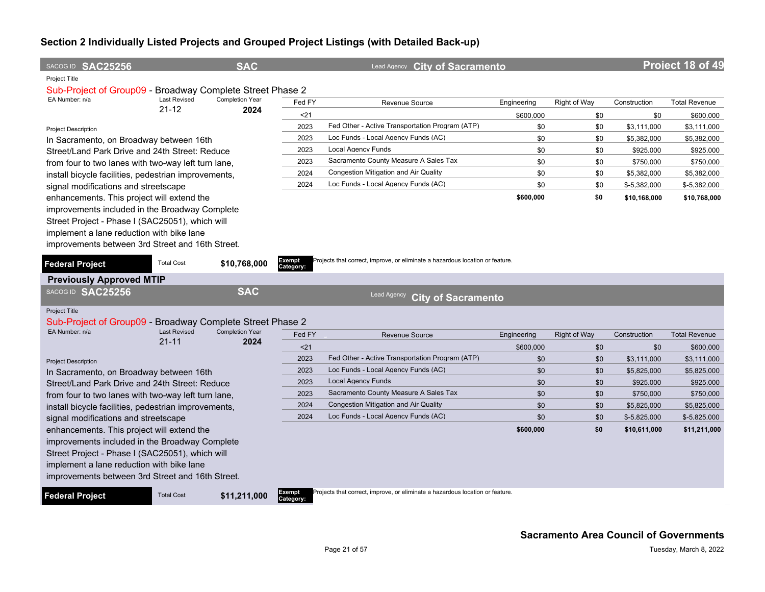| SACOG ID SAC25256                                                           |                                  | <b>SAC</b>             |            | Lead Agency City of Sacramento                                                |             |                     |               | Project 18 of 49     |
|-----------------------------------------------------------------------------|----------------------------------|------------------------|------------|-------------------------------------------------------------------------------|-------------|---------------------|---------------|----------------------|
| Project Title                                                               |                                  |                        |            |                                                                               |             |                     |               |                      |
| Sub-Project of Group09 - Broadway Complete Street Phase 2                   |                                  | <b>Completion Year</b> |            |                                                                               |             |                     |               |                      |
| EA Number: n/a                                                              | <b>Last Revised</b><br>$21 - 12$ | 2024                   | Fed FY     | <b>Revenue Source</b>                                                         | Engineering | Right of Way        | Construction  | <b>Total Revenue</b> |
|                                                                             |                                  |                        | 21<br>2023 |                                                                               | \$600,000   | \$0                 | \$0           | \$600,000            |
| <b>Project Description</b>                                                  |                                  |                        |            | Fed Other - Active Transportation Program (ATP)                               | \$0         | \$0                 | \$3,111,000   | \$3,111,000          |
| In Sacramento, on Broadway between 16th                                     |                                  |                        | 2023       | Loc Funds - Local Agency Funds (AC)                                           | \$0         | \$0                 | \$5,382,000   | \$5,382,000          |
| Street/Land Park Drive and 24th Street: Reduce                              |                                  |                        | 2023       | Local Agency Funds                                                            | \$0         | \$0                 | \$925,000     | \$925,000            |
| from four to two lanes with two-way left turn lane,                         |                                  |                        | 2023       | Sacramento County Measure A Sales Tax                                         | \$0         | \$0                 | \$750,000     | \$750,000            |
| install bicycle facilities, pedestrian improvements,                        |                                  |                        | 2024       | Congestion Mitigation and Air Quality                                         | \$0         | \$0                 | \$5,382,000   | \$5,382,000          |
| signal modifications and streetscape                                        |                                  |                        | 2024       | Loc Funds - Local Agency Funds (AC)                                           | \$0         | \$0                 | \$-5,382,000  | \$-5,382,000         |
| enhancements. This project will extend the                                  |                                  |                        |            |                                                                               | \$600,000   | \$0                 | \$10,168,000  | \$10,768,000         |
| improvements included in the Broadway Complete                              |                                  |                        |            |                                                                               |             |                     |               |                      |
| Street Project - Phase I (SAC25051), which will                             |                                  |                        |            |                                                                               |             |                     |               |                      |
| implement a lane reduction with bike lane                                   |                                  |                        |            |                                                                               |             |                     |               |                      |
| improvements between 3rd Street and 16th Street.                            |                                  |                        |            |                                                                               |             |                     |               |                      |
|                                                                             |                                  |                        | Exempt     | Projects that correct, improve, or eliminate a hazardous location or feature. |             |                     |               |                      |
| <b>Federal Project</b>                                                      | <b>Total Cost</b>                | \$10,768,000           | Category:  |                                                                               |             |                     |               |                      |
| <b>Previously Approved MTIP</b>                                             |                                  |                        |            |                                                                               |             |                     |               |                      |
| SACOG ID SAC25256                                                           |                                  | <b>SAC</b>             |            | Lead Agency<br><b>City of Sacramento</b>                                      |             |                     |               |                      |
|                                                                             |                                  |                        |            |                                                                               |             |                     |               |                      |
| Project Title                                                               |                                  |                        |            |                                                                               |             |                     |               |                      |
| Sub-Project of Group09 - Broadway Complete Street Phase 2<br>EA Number: n/a | <b>Last Revised</b>              | <b>Completion Year</b> |            |                                                                               |             |                     |               |                      |
|                                                                             | $21 - 11$                        | 2024                   | Fed FY     | <b>Revenue Source</b>                                                         | Engineering | <b>Right of Way</b> | Construction  | <b>Total Revenue</b> |
|                                                                             |                                  |                        | < 21       |                                                                               | \$600,000   | \$0                 | \$0           | \$600,000            |
| <b>Project Description</b>                                                  |                                  |                        | 2023       | Fed Other - Active Transportation Program (ATP)                               | \$0         | \$0                 | \$3.111.000   | \$3.111.000          |
| In Sacramento, on Broadway between 16th                                     |                                  |                        | 2023       | Loc Funds - Local Agency Funds (AC)                                           | \$0         | \$0                 | \$5,825,000   | \$5,825,000          |
| Street/Land Park Drive and 24th Street: Reduce                              |                                  |                        | 2023       | <b>Local Agency Funds</b>                                                     | \$0         | \$0                 | \$925,000     | \$925,000            |
| from four to two lanes with two-way left turn lane,                         |                                  |                        | 2023       | Sacramento County Measure A Sales Tax                                         | \$0         | \$0                 | \$750,000     | \$750,000            |
| install bicycle facilities, pedestrian improvements,                        |                                  |                        | 2024       | <b>Congestion Mitigation and Air Quality</b>                                  | \$0         | \$0                 | \$5,825,000   | \$5,825,000          |
| signal modifications and streetscape                                        |                                  |                        | 2024       | Loc Funds - Local Agency Funds (AC)                                           | \$0         | \$0                 | $$-5,825,000$ | $$-5,825,000$        |
| enhancements. This project will extend the                                  |                                  |                        |            |                                                                               | \$600,000   | \$0                 | \$10,611,000  | \$11,211,000         |
| improvements included in the Broadway Complete                              |                                  |                        |            |                                                                               |             |                     |               |                      |
| Street Project - Phase I (SAC25051), which will                             |                                  |                        |            |                                                                               |             |                     |               |                      |
| implement a lane reduction with bike lane                                   |                                  |                        |            |                                                                               |             |                     |               |                      |
| improvements between 3rd Street and 16th Street.                            |                                  |                        |            |                                                                               |             |                     |               |                      |
| <b>Federal Project</b>                                                      | <b>Total Cost</b>                | \$11,211,000           | Exempt     | Projects that correct, improve, or eliminate a hazardous location or feature. |             |                     |               |                      |
|                                                                             |                                  |                        | Category:  |                                                                               |             |                     |               |                      |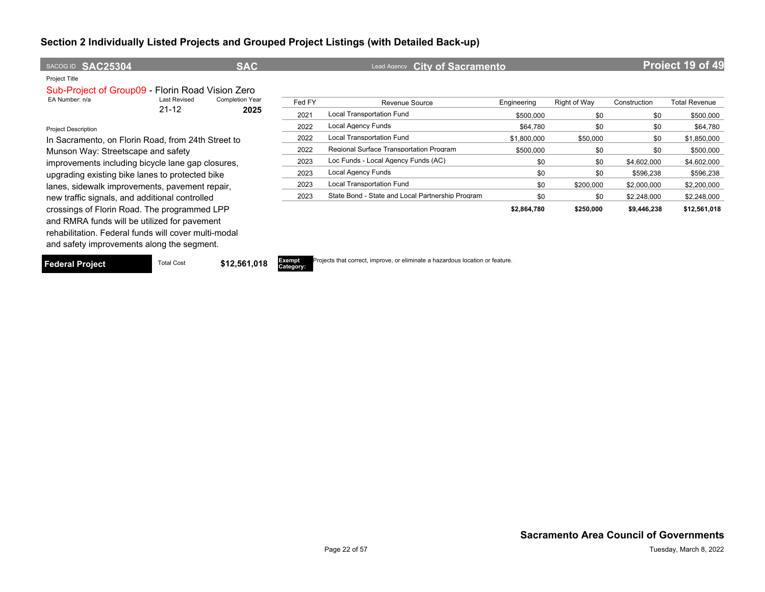| SACOG ID SAC25304                                    |                     | <b>SAC</b>             |        | Lead Agency City of Sacramento                   |             |              |              | Project 19 of 49     |
|------------------------------------------------------|---------------------|------------------------|--------|--------------------------------------------------|-------------|--------------|--------------|----------------------|
| Project Title                                        |                     |                        |        |                                                  |             |              |              |                      |
| Sub-Project of Group09 - Florin Road Vision Zero     |                     |                        |        |                                                  |             |              |              |                      |
| EA Number: n/a                                       | <b>Last Revised</b> | <b>Completion Year</b> | Fed FY | Revenue Source                                   | Engineering | Right of Way | Construction | <b>Total Revenue</b> |
|                                                      | $21 - 12$           | 2025                   | 2021   | Local Transportation Fund                        | \$500,000   | \$0          | \$0          | \$500,000            |
| <b>Project Description</b>                           |                     |                        | 2022   | <b>Local Agency Funds</b>                        | \$64.780    | \$0          | \$0          | \$64,780             |
| In Sacramento, on Florin Road, from 24th Street to   |                     |                        | 2022   | <b>Local Transportation Fund</b>                 | \$1,800,000 | \$50,000     | \$0          | \$1,850,000          |
| Munson Way: Streetscape and safety                   |                     |                        | 2022   | Regional Surface Transportation Program          | \$500.000   | \$0          | \$0          | \$500,000            |
| improvements including bicycle lane gap closures,    |                     |                        | 2023   | Loc Funds - Local Agency Funds (AC)              | \$0         | \$0          | \$4,602,000  | \$4,602,000          |
| upgrading existing bike lanes to protected bike      |                     |                        | 2023   | Local Agency Funds                               | \$0         | \$0          | \$596,238    | \$596,238            |
| lanes, sidewalk improvements, pavement repair,       |                     |                        | 2023   | <b>Local Transportation Fund</b>                 | \$0         | \$200,000    | \$2,000,000  | \$2,200,000          |
| new traffic signals, and additional controlled       |                     |                        | 2023   | State Bond - State and Local Partnership Program | \$0         | \$0          | \$2,248,000  | \$2,248,000          |
| crossings of Florin Road. The programmed LPP         |                     |                        |        |                                                  | \$2,864,780 | \$250,000    | \$9,446,238  | \$12,561,018         |
| and RMRA funds will be utilized for pavement         |                     |                        |        |                                                  |             |              |              |                      |
| rehabilitation. Federal funds will cover multi-modal |                     |                        |        |                                                  |             |              |              |                      |

and safety improvements along the segment.

**Federal Project** Total Cost **\$12,561,018** 

**Category:**

Projects that correct, improve, or eliminate a hazardous location or feature.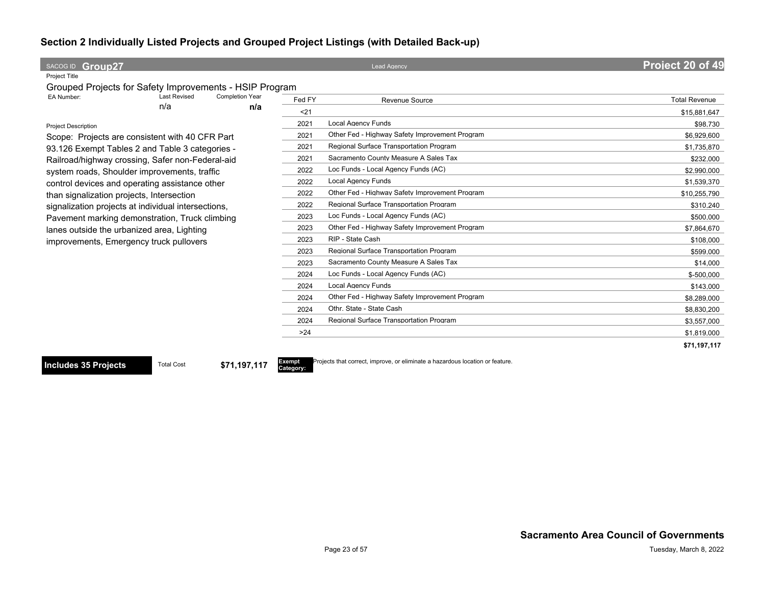| SACOG ID Group27                                            |        | <b>Lead Agency</b>                             | <b>Project 20 of 49</b> |
|-------------------------------------------------------------|--------|------------------------------------------------|-------------------------|
| Project Title                                               |        |                                                |                         |
| Grouped Projects for Safety Improvements - HSIP Program     |        |                                                |                         |
| EA Number:<br><b>Last Revised</b><br><b>Completion Year</b> | Fed FY | <b>Revenue Source</b>                          | <b>Total Revenue</b>    |
| n/a<br>n/a                                                  | $21$   |                                                | \$15,881,647            |
| <b>Project Description</b>                                  | 2021   | <b>Local Agency Funds</b>                      | \$98,730                |
| Scope: Projects are consistent with 40 CFR Part             | 2021   | Other Fed - Highway Safety Improvement Program | \$6.929.600             |
| 93.126 Exempt Tables 2 and Table 3 categories -             | 2021   | Regional Surface Transportation Program        | \$1,735,870             |
| Railroad/highway crossing, Safer non-Federal-aid            | 2021   | Sacramento County Measure A Sales Tax          | \$232,000               |
| system roads, Shoulder improvements, traffic                | 2022   | Loc Funds - Local Agency Funds (AC)            | \$2,990,000             |
| control devices and operating assistance other              | 2022   | <b>Local Agency Funds</b>                      | \$1,539,370             |
| than signalization projects, Intersection                   | 2022   | Other Fed - Highway Safety Improvement Program | \$10,255,790            |
| signalization projects at individual intersections,         | 2022   | Regional Surface Transportation Program        | \$310,240               |
| Pavement marking demonstration, Truck climbing              | 2023   | Loc Funds - Local Agency Funds (AC)            | \$500,000               |
| lanes outside the urbanized area, Lighting                  | 2023   | Other Fed - Highway Safety Improvement Program | \$7,864,670             |
| improvements, Emergency truck pullovers                     | 2023   | RIP - State Cash                               | \$108,000               |
|                                                             | 2023   | Regional Surface Transportation Program        | \$599,000               |
|                                                             | 2023   | Sacramento County Measure A Sales Tax          | \$14,000                |
|                                                             | 2024   | Loc Funds - Local Agency Funds (AC)            | $$-500,000$             |
|                                                             | 2024   | <b>Local Agency Funds</b>                      | \$143,000               |
|                                                             | 2024   | Other Fed - Highway Safety Improvement Program | \$8,289,000             |
|                                                             | 2024   | Othr. State - State Cash                       | \$8,830,200             |
|                                                             | 2024   | Regional Surface Transportation Program        | \$3,557,000             |
|                                                             | >24    |                                                | \$1,819,000             |
|                                                             |        |                                                | \$71,197,117            |

**Includes 35 Projects** Total Cost **\$71,197,117** 

**Category:**

Projects that correct, improve, or eliminate a hazardous location or feature.

**Sacramento Area Council of Governments**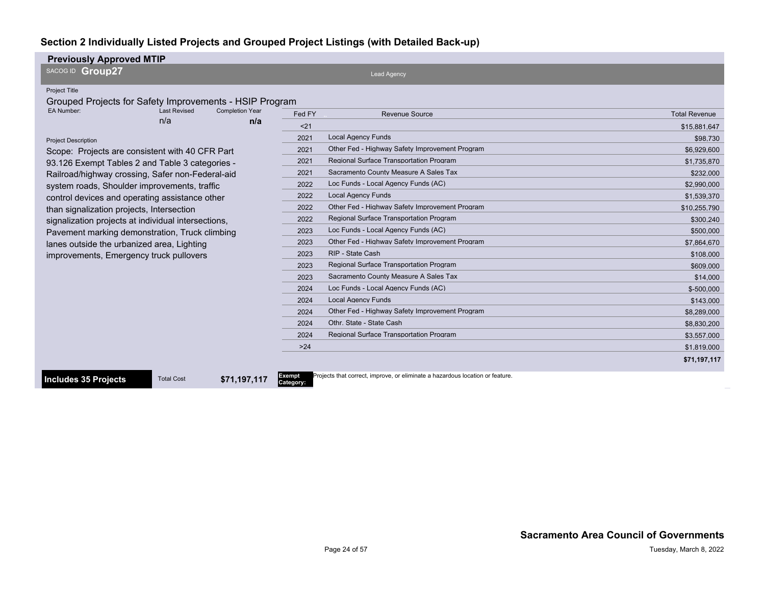| <b>Previously Approved MTIP</b>                                                                                                                                                                                                                                                                                                                                                                                                                                                                                                                                                                                                                                                                |                                                                                                                                                |                                                                                                                                                                                                                                                                                                                                                                                                                                                                                                                                                                                                                                                                                                |                                                                                                                                                                                                                                                                    |
|------------------------------------------------------------------------------------------------------------------------------------------------------------------------------------------------------------------------------------------------------------------------------------------------------------------------------------------------------------------------------------------------------------------------------------------------------------------------------------------------------------------------------------------------------------------------------------------------------------------------------------------------------------------------------------------------|------------------------------------------------------------------------------------------------------------------------------------------------|------------------------------------------------------------------------------------------------------------------------------------------------------------------------------------------------------------------------------------------------------------------------------------------------------------------------------------------------------------------------------------------------------------------------------------------------------------------------------------------------------------------------------------------------------------------------------------------------------------------------------------------------------------------------------------------------|--------------------------------------------------------------------------------------------------------------------------------------------------------------------------------------------------------------------------------------------------------------------|
| SACOG ID Group27                                                                                                                                                                                                                                                                                                                                                                                                                                                                                                                                                                                                                                                                               |                                                                                                                                                | <b>Lead Agency</b>                                                                                                                                                                                                                                                                                                                                                                                                                                                                                                                                                                                                                                                                             |                                                                                                                                                                                                                                                                    |
| Project Title<br>Grouped Projects for Safety Improvements - HSIP Program<br>EA Number:<br><b>Last Revised</b><br><b>Completion Year</b><br>n/a<br>n/a<br><b>Project Description</b><br>Scope: Projects are consistent with 40 CFR Part<br>93.126 Exempt Tables 2 and Table 3 categories -<br>Railroad/highway crossing, Safer non-Federal-aid<br>system roads, Shoulder improvements, traffic<br>control devices and operating assistance other<br>than signalization projects, Intersection<br>signalization projects at individual intersections,<br>Pavement marking demonstration, Truck climbing<br>lanes outside the urbanized area, Lighting<br>improvements, Emergency truck pullovers | Fed FY<br>$21$<br>2021<br>2021<br>2021<br>2021<br>2022<br>2022<br>2022<br>2022<br>2023<br>2023<br>2023<br>2023<br>2023<br>2024<br>2024<br>2024 | <b>Revenue Source</b><br><b>Local Agency Funds</b><br>Other Fed - Highway Safety Improvement Program<br><b>Regional Surface Transportation Program</b><br>Sacramento County Measure A Sales Tax<br>Loc Funds - Local Agency Funds (AC)<br><b>Local Agency Funds</b><br>Other Fed - Highway Safety Improvement Program<br>Regional Surface Transportation Program<br>Loc Funds - Local Agency Funds (AC)<br>Other Fed - Highway Safety Improvement Program<br>RIP - State Cash<br><b>Regional Surface Transportation Program</b><br>Sacramento County Measure A Sales Tax<br>Loc Funds - Local Agency Funds (AC)<br><b>Local Agency Funds</b><br>Other Fed - Highway Safety Improvement Program | <b>Total Revenue</b><br>\$15.881.647<br>\$98,730<br>\$6,929,600<br>\$1,735,870<br>\$232,000<br>\$2,990,000<br>\$1.539.370<br>\$10.255.790<br>\$300.240<br>\$500,000<br>\$7,864,670<br>\$108,000<br>\$609,000<br>\$14,000<br>\$-500.000<br>\$143.000<br>\$8,289,000 |
|                                                                                                                                                                                                                                                                                                                                                                                                                                                                                                                                                                                                                                                                                                | 2024                                                                                                                                           | Othr. State - State Cash                                                                                                                                                                                                                                                                                                                                                                                                                                                                                                                                                                                                                                                                       | \$8,830,200                                                                                                                                                                                                                                                        |
|                                                                                                                                                                                                                                                                                                                                                                                                                                                                                                                                                                                                                                                                                                | 2024                                                                                                                                           | <b>Regional Surface Transportation Program</b>                                                                                                                                                                                                                                                                                                                                                                                                                                                                                                                                                                                                                                                 | \$3,557,000                                                                                                                                                                                                                                                        |
|                                                                                                                                                                                                                                                                                                                                                                                                                                                                                                                                                                                                                                                                                                | $>24$                                                                                                                                          |                                                                                                                                                                                                                                                                                                                                                                                                                                                                                                                                                                                                                                                                                                | \$1,819,000                                                                                                                                                                                                                                                        |
|                                                                                                                                                                                                                                                                                                                                                                                                                                                                                                                                                                                                                                                                                                |                                                                                                                                                |                                                                                                                                                                                                                                                                                                                                                                                                                                                                                                                                                                                                                                                                                                | \$71,197,117                                                                                                                                                                                                                                                       |

**Includes 35 Projects** Total Cost **\$71,197,117** 

Exempt<br>Category:

Projects that correct, improve, or eliminate a hazardous location or feature.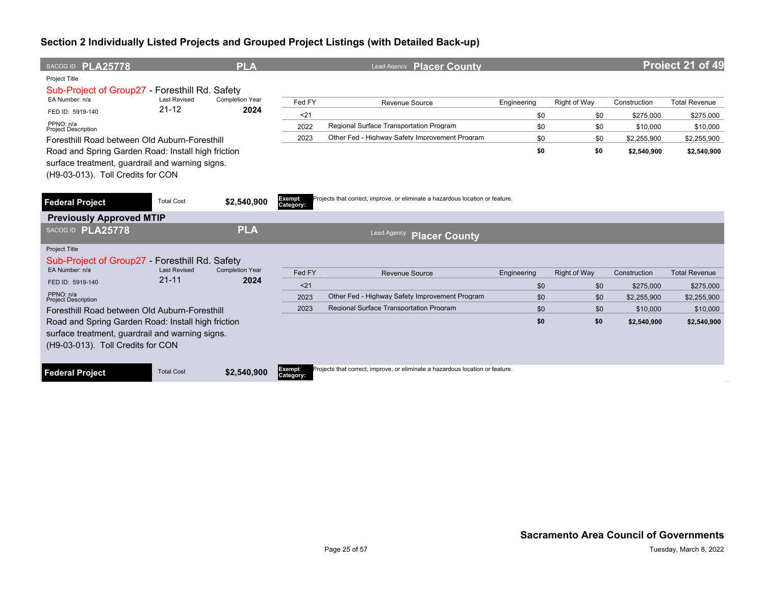| SACOG ID PLA25778                                                                                                                          |                     | <b>PLA</b>             |                     | <b>Placer County</b><br>Lead Agency                                           |             |              |              | Project 21 of 49     |
|--------------------------------------------------------------------------------------------------------------------------------------------|---------------------|------------------------|---------------------|-------------------------------------------------------------------------------|-------------|--------------|--------------|----------------------|
| <b>Project Title</b><br>Sub-Project of Group 27 - Foresthill Rd. Safety                                                                    |                     |                        |                     |                                                                               |             |              |              |                      |
| EA Number: n/a                                                                                                                             | <b>Last Revised</b> | <b>Completion Year</b> | Fed FY              | <b>Revenue Source</b>                                                         | Engineering | Right of Way | Construction | <b>Total Revenue</b> |
| FED ID: 5919-140                                                                                                                           | $21 - 12$           | 2024                   | < 21                |                                                                               | \$0         | \$0          | \$275,000    | \$275,000            |
| PPNO: n/a<br><b>Project Description</b>                                                                                                    |                     |                        | 2022                | Regional Surface Transportation Program                                       | \$0         | \$0          | \$10,000     | \$10,000             |
| Foresthill Road between Old Auburn-Foresthill                                                                                              |                     |                        | 2023                | Other Fed - Highway Safety Improvement Program                                | \$0         | \$0          | \$2,255,900  | \$2,255,900          |
| Road and Spring Garden Road: Install high friction<br>surface treatment, guardrail and warning signs.<br>(H9-03-013). Toll Credits for CON |                     |                        |                     |                                                                               | \$0         | \$0          | \$2,540,900  | \$2,540,900          |
| <b>Federal Project</b>                                                                                                                     | <b>Total Cost</b>   | \$2,540,900            | Exempt<br>Category: | Projects that correct, improve, or eliminate a hazardous location or feature. |             |              |              |                      |
| <b>Previously Approved MTIP</b>                                                                                                            |                     |                        |                     |                                                                               |             |              |              |                      |
| SACOG ID PLA25778                                                                                                                          |                     | <b>PLA</b>             |                     | <b>Lead Agency</b><br><b>Placer County</b>                                    |             |              |              |                      |
| <b>Project Title</b><br>Sub-Project of Group27 - Foresthill Rd. Safety<br>EA Number: n/a                                                   | <b>Last Revised</b> | <b>Completion Year</b> |                     |                                                                               |             |              |              |                      |
|                                                                                                                                            | $21 - 11$           | 2024                   | Fed FY              | <b>Revenue Source</b>                                                         | Engineering | Right of Way | Construction | <b>Total Revenue</b> |
| FED ID: 5919-140<br>PPNO: n/a                                                                                                              |                     |                        | < 21                |                                                                               | \$0         | \$0          | \$275,000    | \$275,000            |
| <b>Project Description</b>                                                                                                                 |                     |                        | 2023                | Other Fed - Highway Safety Improvement Program                                | \$0         | \$0          | \$2,255,900  | \$2.255.900          |
| Foresthill Road between Old Auburn-Foresthill                                                                                              |                     |                        | 2023                | Regional Surface Transportation Program                                       | \$0         | \$0          | \$10,000     | \$10,000             |
| Road and Spring Garden Road: Install high friction<br>surface treatment, guardrail and warning signs.<br>(H9-03-013). Toll Credits for CON |                     |                        |                     |                                                                               | \$0         | \$0          | \$2,540,900  | \$2,540,900          |
| <b>Federal Project</b>                                                                                                                     | <b>Total Cost</b>   | \$2,540,900            | Exempt<br>Category: | Projects that correct, improve, or eliminate a hazardous location or feature. |             |              |              |                      |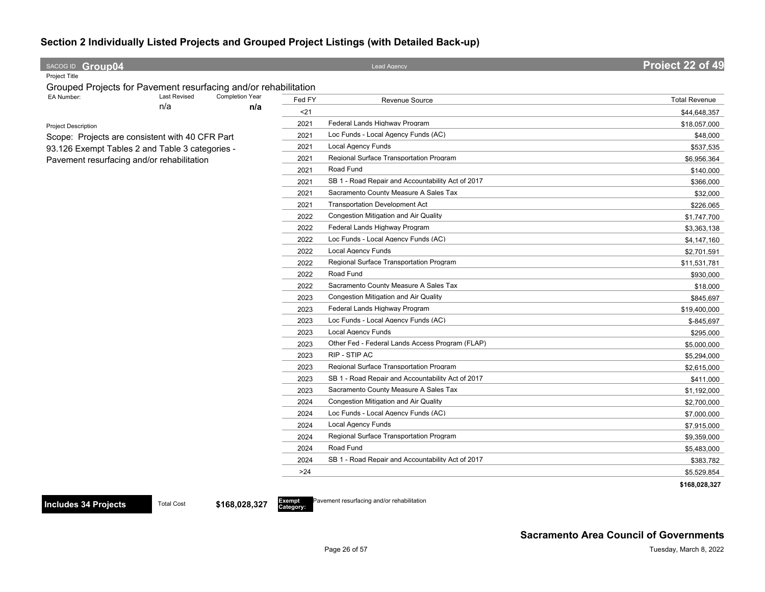| SACOG ID Group04                                                |                               |        | <b>Lead Agency</b>                                | Project 22 of 49     |
|-----------------------------------------------------------------|-------------------------------|--------|---------------------------------------------------|----------------------|
| Project Title                                                   |                               |        |                                                   |                      |
| Grouped Projects for Pavement resurfacing and/or rehabilitation |                               |        |                                                   |                      |
| <b>Last Revised</b><br>EA Number:<br>n/a                        | <b>Completion Year</b><br>n/a | Fed FY | Revenue Source                                    | <b>Total Revenue</b> |
|                                                                 |                               | $21$   |                                                   | \$44,648,357         |
| <b>Project Description</b>                                      |                               | 2021   | Federal Lands Highway Program                     | \$18,057,000         |
| Scope: Projects are consistent with 40 CFR Part                 |                               | 2021   | Loc Funds - Local Agency Funds (AC)               | \$48,000             |
| 93.126 Exempt Tables 2 and Table 3 categories -                 |                               | 2021   | <b>Local Agency Funds</b>                         | \$537,535            |
| Pavement resurfacing and/or rehabilitation                      |                               | 2021   | Regional Surface Transportation Program           | \$6,956,364          |
|                                                                 |                               | 2021   | Road Fund                                         | \$140,000            |
|                                                                 |                               | 2021   | SB 1 - Road Repair and Accountability Act of 2017 | \$366,000            |
|                                                                 |                               | 2021   | Sacramento County Measure A Sales Tax             | \$32,000             |
|                                                                 |                               | 2021   | <b>Transportation Development Act</b>             | \$226,065            |
|                                                                 |                               | 2022   | Congestion Mitigation and Air Quality             | \$1,747,700          |
|                                                                 |                               | 2022   | Federal Lands Highway Program                     | \$3,363,138          |
|                                                                 |                               | 2022   | Loc Funds - Local Agency Funds (AC)               | \$4,147,160          |
|                                                                 |                               | 2022   | <b>Local Agency Funds</b>                         | \$2,701,591          |
|                                                                 |                               | 2022   | Regional Surface Transportation Program           | \$11,531,781         |
|                                                                 |                               | 2022   | Road Fund                                         | \$930,000            |
|                                                                 |                               | 2022   | Sacramento County Measure A Sales Tax             | \$18,000             |
|                                                                 |                               | 2023   | Congestion Mitigation and Air Quality             | \$845,697            |
|                                                                 |                               | 2023   | Federal Lands Highway Program                     | \$19,400,000         |
|                                                                 |                               | 2023   | Loc Funds - Local Agency Funds (AC)               | \$-845,697           |
|                                                                 |                               | 2023   | <b>Local Agency Funds</b>                         | \$295,000            |
|                                                                 |                               | 2023   | Other Fed - Federal Lands Access Program (FLAP)   | \$5,000,000          |
|                                                                 |                               | 2023   | RIP - STIP AC                                     | \$5,294,000          |
|                                                                 |                               | 2023   | Regional Surface Transportation Program           | \$2,615,000          |
|                                                                 |                               | 2023   | SB 1 - Road Repair and Accountability Act of 2017 | \$411,000            |
|                                                                 |                               | 2023   | Sacramento County Measure A Sales Tax             | \$1,192,000          |
|                                                                 |                               | 2024   | Congestion Mitigation and Air Quality             | \$2,700,000          |
|                                                                 |                               | 2024   | Loc Funds - Local Agency Funds (AC)               | \$7,000,000          |
|                                                                 |                               | 2024   | <b>Local Agency Funds</b>                         | \$7,915,000          |
|                                                                 |                               | 2024   | Regional Surface Transportation Program           | \$9,359,000          |
|                                                                 |                               | 2024   | Road Fund                                         | \$5,483,000          |
|                                                                 |                               | 2024   | SB 1 - Road Repair and Accountability Act of 2017 | \$383,782            |
|                                                                 |                               | >24    |                                                   | \$5,529,854          |
|                                                                 |                               |        |                                                   | \$168,028,327        |

**Category:**

Pavement resurfacing and/or rehabilitation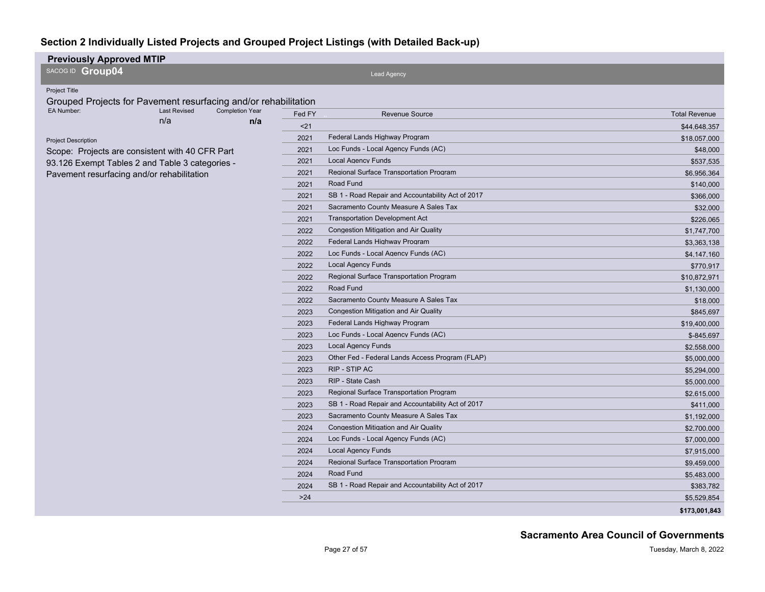| <b>Previously Approved MTIP</b>                                 |                     |                        |                           |                                                   |                      |
|-----------------------------------------------------------------|---------------------|------------------------|---------------------------|---------------------------------------------------|----------------------|
| SACOG ID Group04                                                |                     |                        |                           | <b>Lead Agency</b>                                |                      |
| <b>Project Title</b>                                            |                     |                        |                           |                                                   |                      |
| Grouped Projects for Pavement resurfacing and/or rehabilitation |                     |                        |                           |                                                   |                      |
| EA Number:                                                      | <b>Last Revised</b> | <b>Completion Year</b> | Fed FY                    | <b>Revenue Source</b>                             | <b>Total Revenue</b> |
|                                                                 | n/a                 | n/a                    | $21$                      |                                                   | \$44,648,357         |
| <b>Project Description</b>                                      |                     |                        | 2021                      | Federal Lands Highway Program                     | \$18,057,000         |
| Scope: Projects are consistent with 40 CFR Part                 |                     |                        | 2021                      | Loc Funds - Local Agency Funds (AC)               | \$48,000             |
| 93.126 Exempt Tables 2 and Table 3 categories -                 |                     | 2021                   | <b>Local Agency Funds</b> | \$537,535                                         |                      |
| Pavement resurfacing and/or rehabilitation                      |                     |                        | 2021                      | Regional Surface Transportation Program           | \$6,956,364          |
|                                                                 |                     |                        | 2021                      | Road Fund                                         | \$140,000            |
|                                                                 |                     |                        | 2021                      | SB 1 - Road Repair and Accountability Act of 2017 | \$366,000            |
|                                                                 |                     |                        | 2021                      | Sacramento County Measure A Sales Tax             | \$32,000             |
|                                                                 |                     |                        | 2021                      | <b>Transportation Development Act</b>             | \$226,065            |
|                                                                 |                     |                        | 2022                      | <b>Congestion Mitigation and Air Quality</b>      | \$1,747,700          |
|                                                                 |                     |                        | 2022                      | Federal Lands Highway Program                     | \$3,363,138          |
|                                                                 |                     |                        | 2022                      | Loc Funds - Local Agency Funds (AC)               | \$4,147,160          |
|                                                                 |                     |                        | 2022                      | <b>Local Agency Funds</b>                         | \$770,917            |
|                                                                 |                     |                        | 2022                      | Regional Surface Transportation Program           | \$10,872,971         |
|                                                                 |                     |                        | 2022                      | Road Fund                                         | \$1,130,000          |
|                                                                 |                     |                        | 2022                      | Sacramento County Measure A Sales Tax             | \$18,000             |
|                                                                 |                     |                        | 2023                      | <b>Congestion Mitigation and Air Quality</b>      | \$845,697            |
|                                                                 |                     |                        | 2023                      | Federal Lands Highway Program                     | \$19,400,000         |
|                                                                 |                     |                        | 2023                      | Loc Funds - Local Agency Funds (AC)               | \$-845,697           |
|                                                                 |                     |                        | 2023                      | <b>Local Agency Funds</b>                         | \$2,558,000          |
|                                                                 |                     |                        | 2023                      | Other Fed - Federal Lands Access Program (FLAP)   | \$5,000,000          |
|                                                                 |                     |                        | 2023                      | <b>RIP - STIP AC</b>                              | \$5,294,000          |
|                                                                 |                     |                        | 2023                      | RIP - State Cash                                  | \$5,000,000          |
|                                                                 |                     |                        | 2023                      | Regional Surface Transportation Program           | \$2,615,000          |
|                                                                 |                     |                        | 2023                      | SB 1 - Road Repair and Accountability Act of 2017 | \$411,000            |
|                                                                 |                     |                        | 2023                      | Sacramento County Measure A Sales Tax             | \$1,192,000          |
|                                                                 |                     |                        | 2024                      | <b>Congestion Mitigation and Air Quality</b>      | \$2,700,000          |
|                                                                 |                     |                        | 2024                      | Loc Funds - Local Agency Funds (AC)               | \$7,000,000          |
|                                                                 |                     |                        | 2024                      | <b>Local Agency Funds</b>                         | \$7,915,000          |
|                                                                 |                     |                        | 2024                      | Regional Surface Transportation Program           | \$9,459,000          |
|                                                                 |                     |                        | 2024                      | Road Fund                                         | \$5,483,000          |
|                                                                 |                     |                        | 2024                      | SB 1 - Road Repair and Accountability Act of 2017 | \$383,782            |
|                                                                 |                     |                        | $>24$                     |                                                   | \$5,529,854          |
|                                                                 |                     |                        |                           |                                                   | \$173,001,843        |

#### **Sacramento Area Council of Governments**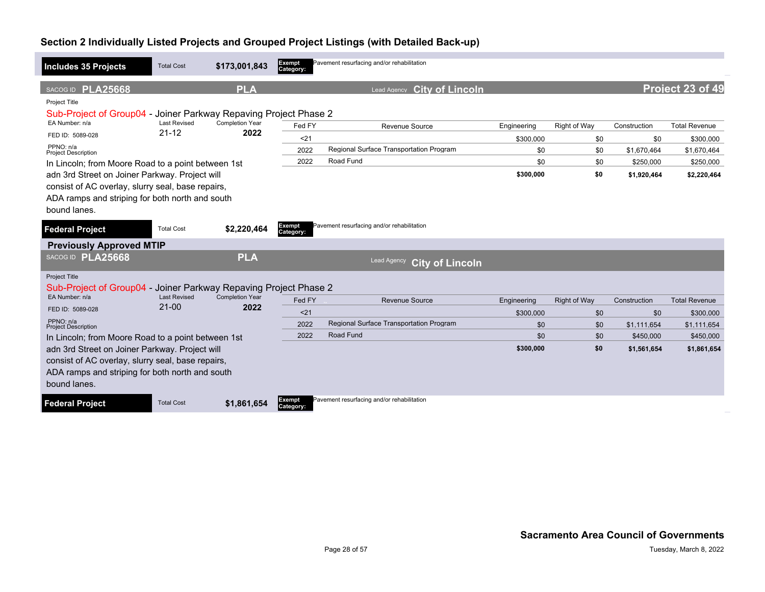| <b>Includes 35 Projects</b>                                                                                                                                            | <b>Total Cost</b>                | \$173,001,843                  | Exempt<br>Category: | Pavement resurfacing and/or rehabilitation |                          |                     |                     |                                   |
|------------------------------------------------------------------------------------------------------------------------------------------------------------------------|----------------------------------|--------------------------------|---------------------|--------------------------------------------|--------------------------|---------------------|---------------------|-----------------------------------|
| SACOG ID PLA25668<br>Project Title                                                                                                                                     |                                  | <b>PLA</b>                     |                     | <b>City of Lincoln</b><br>Lead Agency      |                          |                     |                     | Project 23 of 49                  |
| Sub-Project of Group04 - Joiner Parkway Repaving Project Phase 2<br>EA Number: n/a<br>FED ID: 5089-028                                                                 | <b>Last Revised</b><br>$21 - 12$ | <b>Completion Year</b><br>2022 | Fed FY<br>$21$      | Revenue Source                             | Engineering<br>\$300.000 | Right of Way<br>\$0 | Construction<br>\$0 | <b>Total Revenue</b><br>\$300,000 |
| PPNO: n/a<br><b>Project Description</b>                                                                                                                                |                                  |                                | 2022                | Regional Surface Transportation Program    | \$0                      | \$0                 | \$1,670,464         | \$1,670,464                       |
| In Lincoln; from Moore Road to a point between 1st                                                                                                                     |                                  |                                | 2022                | Road Fund                                  | \$0                      | \$0                 | \$250,000           | \$250,000                         |
| adn 3rd Street on Joiner Parkway. Project will<br>consist of AC overlay, slurry seal, base repairs,<br>ADA ramps and striping for both north and south<br>bound lanes. |                                  |                                |                     |                                            | \$300,000                | \$0                 | \$1,920,464         | \$2,220,464                       |
| <b>Federal Project</b>                                                                                                                                                 | <b>Total Cost</b>                | \$2,220,464                    | Exempt<br>Category: | Pavement resurfacing and/or rehabilitation |                          |                     |                     |                                   |
| <b>Previously Approved MTIP</b>                                                                                                                                        |                                  |                                |                     |                                            |                          |                     |                     |                                   |
| SACOG ID PLA25668                                                                                                                                                      |                                  | <b>PLA</b>                     |                     | Lead Agency<br><b>City of Lincoln</b>      |                          |                     |                     |                                   |
| <b>Project Title</b><br>Sub-Project of Group04 - Joiner Parkway Repaving Project Phase 2                                                                               |                                  |                                |                     |                                            |                          |                     |                     |                                   |
| EA Number: n/a                                                                                                                                                         | <b>Last Revised</b><br>$21 - 00$ | <b>Completion Year</b><br>2022 | Fed FY              | <b>Revenue Source</b>                      | Engineering              | <b>Right of Way</b> | Construction        | <b>Total Revenue</b>              |
| FED ID: 5089-028                                                                                                                                                       |                                  |                                | $21$                |                                            | \$300,000                | \$0                 | \$0                 | \$300,000                         |
| PPNO: n/a<br><b>Project Description</b>                                                                                                                                |                                  |                                | 2022                | Regional Surface Transportation Program    | \$0                      | \$0                 | \$1,111,654         | \$1,111,654                       |
| In Lincoln; from Moore Road to a point between 1st                                                                                                                     |                                  |                                | 2022                | Road Fund                                  | \$0                      | \$0                 | \$450,000           | \$450,000                         |
| adn 3rd Street on Joiner Parkway. Project will<br>consist of AC overlay, slurry seal, base repairs,<br>ADA ramps and striping for both north and south<br>bound lanes. |                                  |                                |                     |                                            | \$300,000                | \$0                 | \$1,561,654         | \$1,861,654                       |
| <b>Federal Project</b>                                                                                                                                                 | <b>Total Cost</b>                | \$1,861,654                    | Exempt<br>Category: | Pavement resurfacing and/or rehabilitation |                          |                     |                     |                                   |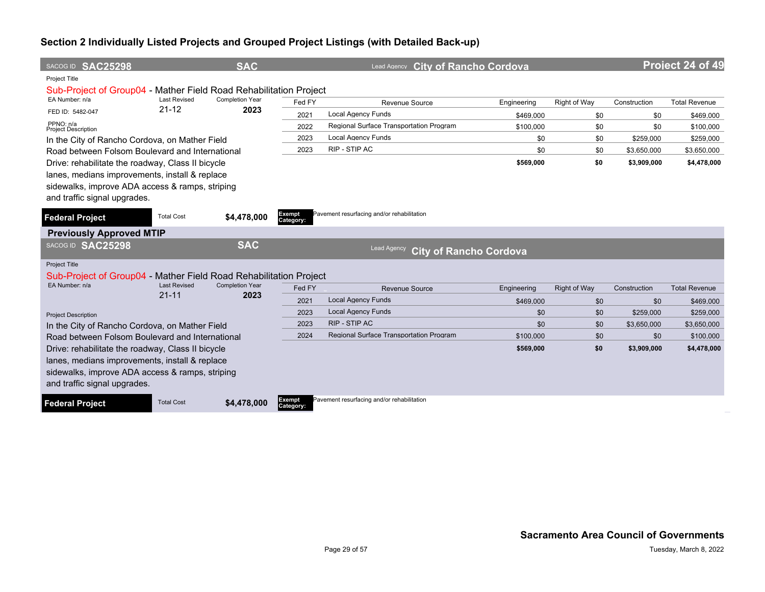| SACOG ID SAC25298                                                 |                                  | <b>SAC</b>             |                     | Lead Agency City of Rancho Cordova                  |             |                     |              | Project 24 of 49     |
|-------------------------------------------------------------------|----------------------------------|------------------------|---------------------|-----------------------------------------------------|-------------|---------------------|--------------|----------------------|
| Project Title                                                     |                                  |                        |                     |                                                     |             |                     |              |                      |
| Sub-Project of Group04 - Mather Field Road Rehabilitation Project |                                  |                        |                     |                                                     |             |                     |              |                      |
| EA Number: n/a                                                    | <b>Last Revised</b><br>$21 - 12$ | <b>Completion Year</b> | Fed FY              | Revenue Source                                      | Engineering | Right of Way        | Construction | <b>Total Revenue</b> |
| FED ID: 5482-047                                                  |                                  | 2023                   | 2021                | <b>Local Agency Funds</b>                           | \$469,000   | \$0                 | \$0          | \$469,000            |
| PPNO: n/a<br><b>Project Description</b>                           |                                  |                        | 2022                | Regional Surface Transportation Program             | \$100,000   | \$0                 | \$0          | \$100,000            |
| In the City of Rancho Cordova, on Mather Field                    |                                  |                        | 2023                | <b>Local Agency Funds</b>                           | \$0         | \$0                 | \$259,000    | \$259,000            |
| Road between Folsom Boulevard and International                   |                                  |                        | 2023                | RIP - STIP AC                                       | \$0         | \$0                 | \$3,650,000  | \$3,650,000          |
| Drive: rehabilitate the roadway, Class II bicycle                 |                                  |                        |                     |                                                     | \$569,000   | \$0                 | \$3,909,000  | \$4,478,000          |
| lanes, medians improvements, install & replace                    |                                  |                        |                     |                                                     |             |                     |              |                      |
| sidewalks, improve ADA access & ramps, striping                   |                                  |                        |                     |                                                     |             |                     |              |                      |
| and traffic signal upgrades.                                      |                                  |                        |                     |                                                     |             |                     |              |                      |
|                                                                   | <b>Total Cost</b>                |                        | Exempt              | Pavement resurfacing and/or rehabilitation          |             |                     |              |                      |
| <b>Federal Project</b>                                            |                                  | \$4,478,000            | Category:           |                                                     |             |                     |              |                      |
| <b>Previously Approved MTIP</b>                                   |                                  |                        |                     |                                                     |             |                     |              |                      |
| SACOG ID SAC25298                                                 |                                  | <b>SAC</b>             |                     | <b>Lead Agency</b><br><b>City of Rancho Cordova</b> |             |                     |              |                      |
| Project Title                                                     |                                  |                        |                     |                                                     |             |                     |              |                      |
| Sub-Project of Group04 - Mather Field Road Rehabilitation Project |                                  |                        |                     |                                                     |             |                     |              |                      |
| EA Number: n/a                                                    | <b>Last Revised</b>              | <b>Completion Year</b> | Fed FY              | Revenue Source                                      | Engineering | <b>Right of Way</b> | Construction | <b>Total Revenue</b> |
|                                                                   | $21 - 11$                        | 2023                   | 2021                | <b>Local Agency Funds</b>                           | \$469,000   | \$0                 | \$0          | \$469,000            |
| <b>Project Description</b>                                        |                                  |                        | 2023                | <b>Local Agency Funds</b>                           | \$0         | \$0                 | \$259,000    | \$259,000            |
| In the City of Rancho Cordova, on Mather Field                    |                                  |                        | 2023                | RIP - STIP AC                                       | \$0         | \$0                 | \$3,650,000  | \$3,650,000          |
| Road between Folsom Boulevard and International                   |                                  |                        | 2024                | Regional Surface Transportation Program             | \$100,000   | \$0                 | \$0          | \$100,000            |
| Drive: rehabilitate the roadway, Class II bicycle                 |                                  |                        |                     |                                                     | \$569,000   | \$0                 | \$3,909,000  | \$4,478,000          |
| lanes, medians improvements, install & replace                    |                                  |                        |                     |                                                     |             |                     |              |                      |
| sidewalks, improve ADA access & ramps, striping                   |                                  |                        |                     |                                                     |             |                     |              |                      |
| and traffic signal upgrades.                                      |                                  |                        |                     |                                                     |             |                     |              |                      |
| <b>Federal Project</b>                                            | <b>Total Cost</b>                | \$4,478,000            | Exempt<br>Category: | Pavement resurfacing and/or rehabilitation          |             |                     |              |                      |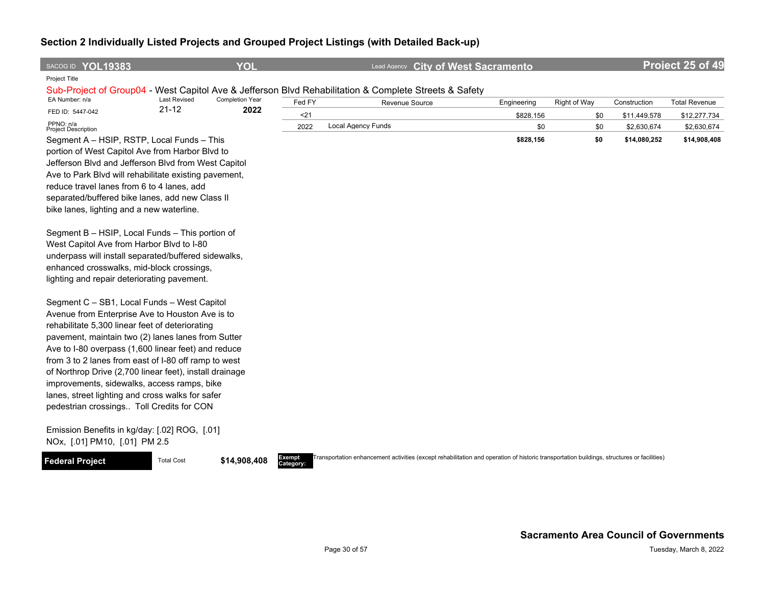| SACOG ID YOL19383                                                                                               |                     | <b>YOL</b>      |                     | Lead Agency City of West Sacramento                                                                                                        |                  |              |                             | Project 25 of 49            |
|-----------------------------------------------------------------------------------------------------------------|---------------------|-----------------|---------------------|--------------------------------------------------------------------------------------------------------------------------------------------|------------------|--------------|-----------------------------|-----------------------------|
| Project Title                                                                                                   |                     |                 |                     |                                                                                                                                            |                  |              |                             |                             |
| EA Number: n/a                                                                                                  | <b>Last Revised</b> | Completion Year |                     | Sub-Project of Group04 - West Capitol Ave & Jefferson Blvd Rehabilitation & Complete Streets & Safety                                      |                  |              |                             |                             |
| FED ID: 5447-042                                                                                                | $21 - 12$           | 2022            | Fed FY              | Revenue Source                                                                                                                             | Engineering      | Right of Way | Construction                | <b>Total Revenue</b>        |
| PPNO: n/a                                                                                                       |                     |                 | $21$<br>2022        | <b>Local Agency Funds</b>                                                                                                                  | \$828,156<br>\$0 | \$0<br>\$0   | \$11,449,578<br>\$2,630,674 | \$12,277,734<br>\$2,630,674 |
| Project Description<br>Segment A - HSIP, RSTP, Local Funds - This                                               |                     |                 |                     |                                                                                                                                            | \$828,156        | \$0          | \$14,080,252                | \$14,908,408                |
| portion of West Capitol Ave from Harbor Blvd to                                                                 |                     |                 |                     |                                                                                                                                            |                  |              |                             |                             |
| Jefferson Blvd and Jefferson Blvd from West Capitol                                                             |                     |                 |                     |                                                                                                                                            |                  |              |                             |                             |
| Ave to Park Blvd will rehabilitate existing pavement,                                                           |                     |                 |                     |                                                                                                                                            |                  |              |                             |                             |
| reduce travel lanes from 6 to 4 lanes, add                                                                      |                     |                 |                     |                                                                                                                                            |                  |              |                             |                             |
| separated/buffered bike lanes, add new Class II                                                                 |                     |                 |                     |                                                                                                                                            |                  |              |                             |                             |
| bike lanes, lighting and a new waterline.                                                                       |                     |                 |                     |                                                                                                                                            |                  |              |                             |                             |
| Segment B - HSIP, Local Funds - This portion of                                                                 |                     |                 |                     |                                                                                                                                            |                  |              |                             |                             |
| West Capitol Ave from Harbor Blvd to I-80                                                                       |                     |                 |                     |                                                                                                                                            |                  |              |                             |                             |
| underpass will install separated/buffered sidewalks,                                                            |                     |                 |                     |                                                                                                                                            |                  |              |                             |                             |
| enhanced crosswalks, mid-block crossings,                                                                       |                     |                 |                     |                                                                                                                                            |                  |              |                             |                             |
| lighting and repair deteriorating pavement.                                                                     |                     |                 |                     |                                                                                                                                            |                  |              |                             |                             |
| Segment C - SB1, Local Funds - West Capitol                                                                     |                     |                 |                     |                                                                                                                                            |                  |              |                             |                             |
| Avenue from Enterprise Ave to Houston Ave is to                                                                 |                     |                 |                     |                                                                                                                                            |                  |              |                             |                             |
| rehabilitate 5,300 linear feet of deteriorating                                                                 |                     |                 |                     |                                                                                                                                            |                  |              |                             |                             |
| pavement, maintain two (2) lanes lanes from Sutter                                                              |                     |                 |                     |                                                                                                                                            |                  |              |                             |                             |
| Ave to I-80 overpass (1,600 linear feet) and reduce                                                             |                     |                 |                     |                                                                                                                                            |                  |              |                             |                             |
| from 3 to 2 lanes from east of I-80 off ramp to west<br>of Northrop Drive (2,700 linear feet), install drainage |                     |                 |                     |                                                                                                                                            |                  |              |                             |                             |
| improvements, sidewalks, access ramps, bike                                                                     |                     |                 |                     |                                                                                                                                            |                  |              |                             |                             |
| lanes, street lighting and cross walks for safer                                                                |                     |                 |                     |                                                                                                                                            |                  |              |                             |                             |
| pedestrian crossings Toll Credits for CON                                                                       |                     |                 |                     |                                                                                                                                            |                  |              |                             |                             |
|                                                                                                                 |                     |                 |                     |                                                                                                                                            |                  |              |                             |                             |
| Emission Benefits in kg/day: [.02] ROG, [.01]<br>NOx, [.01] PM10, [.01] PM 2.5                                  |                     |                 |                     |                                                                                                                                            |                  |              |                             |                             |
|                                                                                                                 |                     |                 |                     |                                                                                                                                            |                  |              |                             |                             |
| <b>Federal Project</b>                                                                                          | <b>Total Cost</b>   | \$14,908,408    | Exempt<br>Category: | Transportation enhancement activities (except rehabilitation and operation of historic transportation buildings, structures or facilities) |                  |              |                             |                             |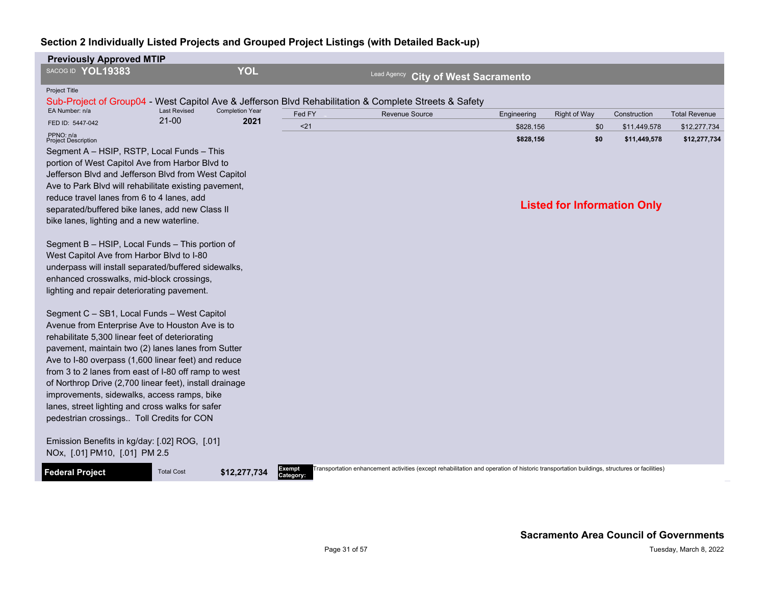| <b>Previously Approved MTIP</b>                                                                 |                     |                        |                     |                                                                                                                                            |                                |                                    |              |                      |
|-------------------------------------------------------------------------------------------------|---------------------|------------------------|---------------------|--------------------------------------------------------------------------------------------------------------------------------------------|--------------------------------|------------------------------------|--------------|----------------------|
| SACOG ID YOL19383                                                                               |                     | <b>YOL</b>             |                     | <b>Lead Agency</b>                                                                                                                         | <b>City of West Sacramento</b> |                                    |              |                      |
| <b>Project Title</b>                                                                            |                     |                        |                     |                                                                                                                                            |                                |                                    |              |                      |
|                                                                                                 |                     |                        |                     | Sub-Project of Group04 - West Capitol Ave & Jefferson Blvd Rehabilitation & Complete Streets & Safety                                      |                                |                                    |              |                      |
| EA Number: n/a                                                                                  | <b>Last Revised</b> | <b>Completion Year</b> | Fed FY              | <b>Revenue Source</b>                                                                                                                      | Engineering                    | Right of Way                       | Construction | <b>Total Revenue</b> |
| FED ID: 5447-042                                                                                | $21 - 00$           | 2021                   | < 21                |                                                                                                                                            | \$828,156                      | \$0                                | \$11,449,578 | \$12,277,734         |
| PPNO: n/a<br><b>Project Description</b>                                                         |                     |                        |                     |                                                                                                                                            | \$828,156                      | \$0                                | \$11,449,578 | \$12,277,734         |
| Segment A - HSIP, RSTP, Local Funds - This                                                      |                     |                        |                     |                                                                                                                                            |                                |                                    |              |                      |
| portion of West Capitol Ave from Harbor Blvd to                                                 |                     |                        |                     |                                                                                                                                            |                                |                                    |              |                      |
| Jefferson Blvd and Jefferson Blvd from West Capitol                                             |                     |                        |                     |                                                                                                                                            |                                |                                    |              |                      |
| Ave to Park Blvd will rehabilitate existing pavement,                                           |                     |                        |                     |                                                                                                                                            |                                |                                    |              |                      |
| reduce travel lanes from 6 to 4 lanes, add<br>separated/buffered bike lanes, add new Class II   |                     |                        |                     |                                                                                                                                            |                                | <b>Listed for Information Only</b> |              |                      |
| bike lanes, lighting and a new waterline.                                                       |                     |                        |                     |                                                                                                                                            |                                |                                    |              |                      |
|                                                                                                 |                     |                        |                     |                                                                                                                                            |                                |                                    |              |                      |
| Segment B - HSIP, Local Funds - This portion of                                                 |                     |                        |                     |                                                                                                                                            |                                |                                    |              |                      |
| West Capitol Ave from Harbor Blvd to I-80                                                       |                     |                        |                     |                                                                                                                                            |                                |                                    |              |                      |
| underpass will install separated/buffered sidewalks,                                            |                     |                        |                     |                                                                                                                                            |                                |                                    |              |                      |
| enhanced crosswalks, mid-block crossings,                                                       |                     |                        |                     |                                                                                                                                            |                                |                                    |              |                      |
| lighting and repair deteriorating pavement.                                                     |                     |                        |                     |                                                                                                                                            |                                |                                    |              |                      |
| Segment C - SB1, Local Funds - West Capitol                                                     |                     |                        |                     |                                                                                                                                            |                                |                                    |              |                      |
| Avenue from Enterprise Ave to Houston Ave is to                                                 |                     |                        |                     |                                                                                                                                            |                                |                                    |              |                      |
| rehabilitate 5,300 linear feet of deteriorating                                                 |                     |                        |                     |                                                                                                                                            |                                |                                    |              |                      |
| pavement, maintain two (2) lanes lanes from Sutter                                              |                     |                        |                     |                                                                                                                                            |                                |                                    |              |                      |
| Ave to I-80 overpass (1,600 linear feet) and reduce                                             |                     |                        |                     |                                                                                                                                            |                                |                                    |              |                      |
| from 3 to 2 lanes from east of I-80 off ramp to west                                            |                     |                        |                     |                                                                                                                                            |                                |                                    |              |                      |
| of Northrop Drive (2,700 linear feet), install drainage                                         |                     |                        |                     |                                                                                                                                            |                                |                                    |              |                      |
| improvements, sidewalks, access ramps, bike<br>lanes, street lighting and cross walks for safer |                     |                        |                     |                                                                                                                                            |                                |                                    |              |                      |
| pedestrian crossings Toll Credits for CON                                                       |                     |                        |                     |                                                                                                                                            |                                |                                    |              |                      |
|                                                                                                 |                     |                        |                     |                                                                                                                                            |                                |                                    |              |                      |
| Emission Benefits in kg/day: [.02] ROG, [.01]                                                   |                     |                        |                     |                                                                                                                                            |                                |                                    |              |                      |
| NOx, [.01] PM10, [.01] PM 2.5                                                                   |                     |                        |                     |                                                                                                                                            |                                |                                    |              |                      |
| <b>Federal Project</b>                                                                          | <b>Total Cost</b>   | \$12,277,734           | Exempt<br>Category: | Transportation enhancement activities (except rehabilitation and operation of historic transportation buildings, structures or facilities) |                                |                                    |              |                      |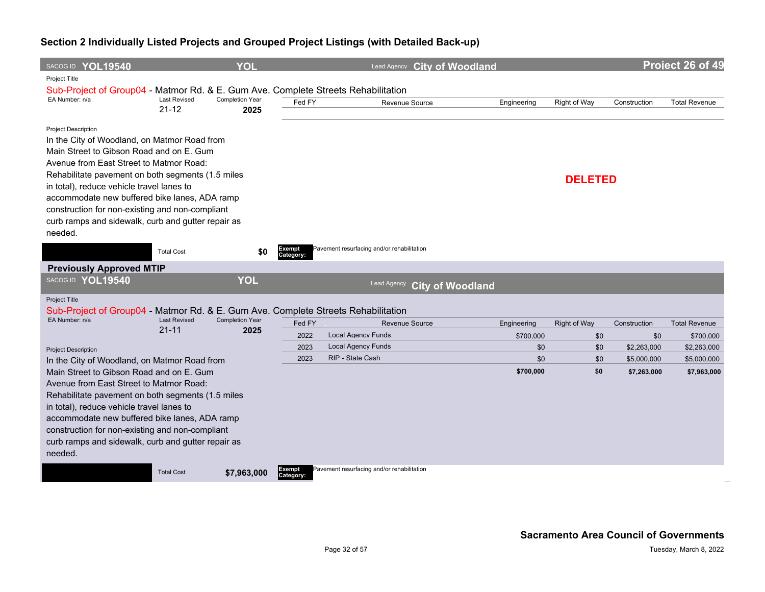| SACOG ID YOL19540                                                                                     |                                  | <b>YOL</b>                     |                     | Lead Agency City of Woodland               |             |                     |              | Project 26 of 49     |
|-------------------------------------------------------------------------------------------------------|----------------------------------|--------------------------------|---------------------|--------------------------------------------|-------------|---------------------|--------------|----------------------|
| Project Title                                                                                         |                                  |                                |                     |                                            |             |                     |              |                      |
| Sub-Project of Group04 - Matmor Rd. & E. Gum Ave. Complete Streets Rehabilitation                     |                                  |                                |                     |                                            |             |                     |              |                      |
| EA Number: n/a                                                                                        | <b>Last Revised</b><br>$21 - 12$ | <b>Completion Year</b>         | Fed FY              | Revenue Source                             | Engineering | Right of Way        | Construction | <b>Total Revenue</b> |
|                                                                                                       |                                  | 2025                           |                     |                                            |             |                     |              |                      |
| <b>Project Description</b>                                                                            |                                  |                                |                     |                                            |             |                     |              |                      |
| In the City of Woodland, on Matmor Road from                                                          |                                  |                                |                     |                                            |             |                     |              |                      |
| Main Street to Gibson Road and on E. Gum                                                              |                                  |                                |                     |                                            |             |                     |              |                      |
| Avenue from East Street to Matmor Road:                                                               |                                  |                                |                     |                                            |             |                     |              |                      |
| Rehabilitate pavement on both segments (1.5 miles                                                     |                                  |                                |                     |                                            |             | <b>DELETED</b>      |              |                      |
| in total), reduce vehicle travel lanes to                                                             |                                  |                                |                     |                                            |             |                     |              |                      |
| accommodate new buffered bike lanes, ADA ramp                                                         |                                  |                                |                     |                                            |             |                     |              |                      |
| construction for non-existing and non-compliant<br>curb ramps and sidewalk, curb and gutter repair as |                                  |                                |                     |                                            |             |                     |              |                      |
| needed.                                                                                               |                                  |                                |                     |                                            |             |                     |              |                      |
|                                                                                                       |                                  |                                |                     |                                            |             |                     |              |                      |
|                                                                                                       | <b>Total Cost</b>                | \$0                            | Exempt<br>Category: | Pavement resurfacing and/or rehabilitation |             |                     |              |                      |
| <b>Previously Approved MTIP</b>                                                                       |                                  |                                |                     |                                            |             |                     |              |                      |
| SACOG ID YOL19540                                                                                     |                                  | <b>YOL</b>                     |                     | Lead Agency<br><b>City of Woodland</b>     |             |                     |              |                      |
| <b>Project Title</b>                                                                                  |                                  |                                |                     |                                            |             |                     |              |                      |
| Sub-Project of Group04 - Matmor Rd. & E. Gum Ave. Complete Streets Rehabilitation                     |                                  |                                |                     |                                            |             |                     |              |                      |
| EA Number: n/a                                                                                        | <b>Last Revised</b><br>$21 - 11$ | <b>Completion Year</b><br>2025 | Fed FY              | <b>Revenue Source</b>                      | Engineering | <b>Right of Way</b> | Construction | <b>Total Revenue</b> |
|                                                                                                       |                                  |                                | 2022                | <b>Local Agency Funds</b>                  | \$700,000   | \$0                 | \$0          | \$700,000            |
| <b>Project Description</b>                                                                            |                                  |                                | 2023                | <b>Local Agency Funds</b>                  | \$0         | \$0                 | \$2,263,000  | \$2,263,000          |
| In the City of Woodland, on Matmor Road from                                                          |                                  |                                | 2023                | RIP - State Cash                           | \$0         | \$0                 | \$5,000,000  | \$5,000,000          |
| Main Street to Gibson Road and on E. Gum                                                              |                                  |                                |                     |                                            | \$700,000   | \$0                 | \$7,263,000  | \$7,963,000          |
| Avenue from East Street to Matmor Road:                                                               |                                  |                                |                     |                                            |             |                     |              |                      |
| Rehabilitate pavement on both segments (1.5 miles                                                     |                                  |                                |                     |                                            |             |                     |              |                      |
| in total), reduce vehicle travel lanes to                                                             |                                  |                                |                     |                                            |             |                     |              |                      |
| accommodate new buffered bike lanes, ADA ramp                                                         |                                  |                                |                     |                                            |             |                     |              |                      |
| construction for non-existing and non-compliant<br>curb ramps and sidewalk, curb and gutter repair as |                                  |                                |                     |                                            |             |                     |              |                      |
| needed.                                                                                               |                                  |                                |                     |                                            |             |                     |              |                      |
|                                                                                                       |                                  |                                |                     |                                            |             |                     |              |                      |
|                                                                                                       | <b>Total Cost</b>                | \$7,963,000                    | Exempt<br>Category: | Pavement resurfacing and/or rehabilitation |             |                     |              |                      |
|                                                                                                       |                                  |                                |                     |                                            |             |                     |              |                      |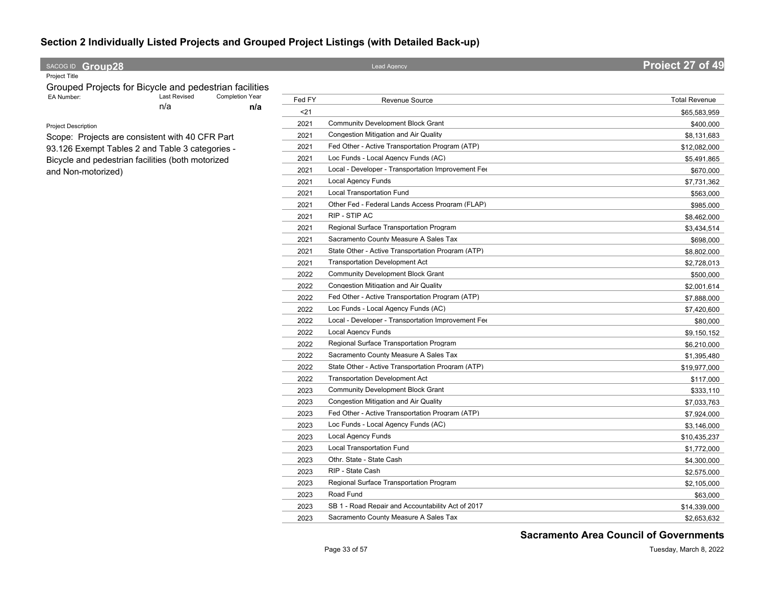#### **SACOG ID Group28 Project 27 of 49**

Project Title

Grouped Projects for Bicycle and pedestrian facilities<br>EA Number: Last Revised Completion Year n/a **n/a** Completion Year

Project Description

Scope: Projects are consistent with 40 CFR Part 93.126 Exempt Tables 2 and Table 3 categories - Bicycle and pedestrian facilities (both motorized and Non-motorized)

| Fed FY | Revenue Source                                     | <b>Total Revenue</b> |
|--------|----------------------------------------------------|----------------------|
| $21$   |                                                    | \$65,583,959         |
| 2021   | <b>Community Development Block Grant</b>           | \$400.000            |
| 2021   | <b>Congestion Mitigation and Air Quality</b>       | \$8,131,683          |
| 2021   | Fed Other - Active Transportation Program (ATP)    | \$12,082,000         |
| 2021   | Loc Funds - Local Agency Funds (AC)                | \$5,491,865          |
| 2021   | Local - Developer - Transportation Improvement Fee | \$670,000            |
| 2021   | <b>Local Agency Funds</b>                          | \$7,731,362          |
| 2021   | Local Transportation Fund                          | \$563,000            |
| 2021   | Other Fed - Federal Lands Access Program (FLAP)    | \$985,000            |
| 2021   | RIP - STIP AC                                      | \$8,462,000          |
| 2021   | Regional Surface Transportation Program            | \$3,434,514          |
| 2021   | Sacramento County Measure A Sales Tax              | \$698,000            |
| 2021   | State Other - Active Transportation Program (ATP)  | \$8,802,000          |
| 2021   | <b>Transportation Development Act</b>              | \$2,728,013          |
| 2022   | <b>Community Development Block Grant</b>           | \$500,000            |
| 2022   | Congestion Mitigation and Air Quality              | \$2,001,614          |
| 2022   | Fed Other - Active Transportation Program (ATP)    | \$7,888,000          |
| 2022   | Loc Funds - Local Agency Funds (AC)                | \$7,420,600          |
| 2022   | Local - Developer - Transportation Improvement Fee | \$80,000             |
| 2022   | <b>Local Agency Funds</b>                          | \$9,150,152          |
| 2022   | Regional Surface Transportation Program            | \$6,210,000          |
| 2022   | Sacramento County Measure A Sales Tax              | \$1,395,480          |
| 2022   | State Other - Active Transportation Program (ATP)  | \$19,977,000         |
| 2022   | <b>Transportation Development Act</b>              | \$117,000            |
| 2023   | <b>Community Development Block Grant</b>           | \$333,110            |
| 2023   | Congestion Mitigation and Air Quality              | \$7,033,763          |
| 2023   | Fed Other - Active Transportation Program (ATP)    | \$7,924,000          |
| 2023   | Loc Funds - Local Agency Funds (AC)                | \$3,146,000          |
| 2023   | Local Agency Funds                                 | \$10,435,237         |
| 2023   | Local Transportation Fund                          | \$1,772,000          |
| 2023   | Othr. State - State Cash                           | \$4,300,000          |
| 2023   | RIP - State Cash                                   | \$2,575,000          |
| 2023   | Regional Surface Transportation Program            | \$2,105,000          |
| 2023   | Road Fund                                          | \$63,000             |
| 2023   | SB 1 - Road Repair and Accountability Act of 2017  | \$14,339,000         |
| 2023   | Sacramento County Measure A Sales Tax              | \$2.653.632          |

**Sacramento Area Council of Governments**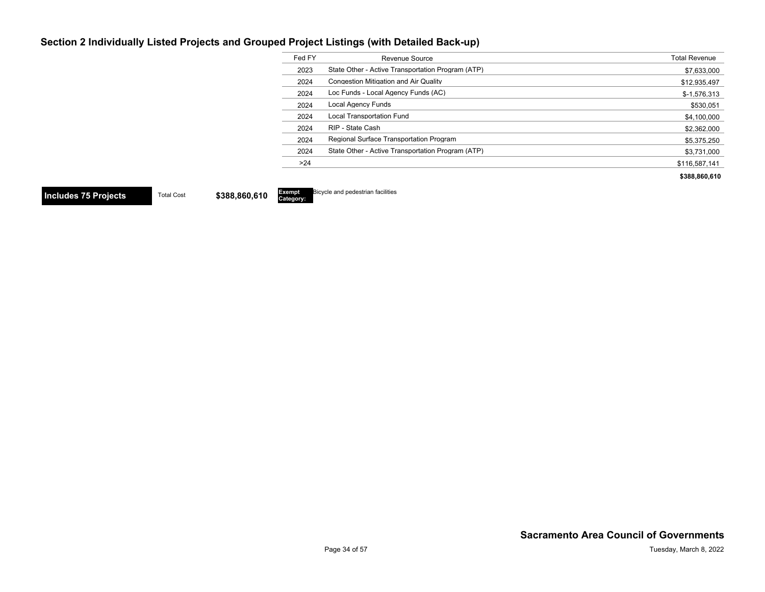| Fed FY | Revenue Source                                    | <b>Total Revenue</b> |
|--------|---------------------------------------------------|----------------------|
| 2023   | State Other - Active Transportation Program (ATP) | \$7,633,000          |
| 2024   | <b>Congestion Mitigation and Air Quality</b>      | \$12,935,497         |
| 2024   | Loc Funds - Local Agency Funds (AC)               | $$-1,576,313$        |
| 2024   | Local Agency Funds                                | \$530.051            |
| 2024   | Local Transportation Fund                         | \$4,100,000          |
| 2024   | RIP - State Cash                                  | \$2,362,000          |
| 2024   | Regional Surface Transportation Program           | \$5,375,250          |
| 2024   | State Other - Active Transportation Program (ATP) | \$3,731,000          |
| >24    |                                                   | \$116,587,141        |
|        |                                                   | \$388,860,610        |

**Includes 75 Projects** Total Cost \$388,860,610

**Category:** Bicycle and pedestrian facilities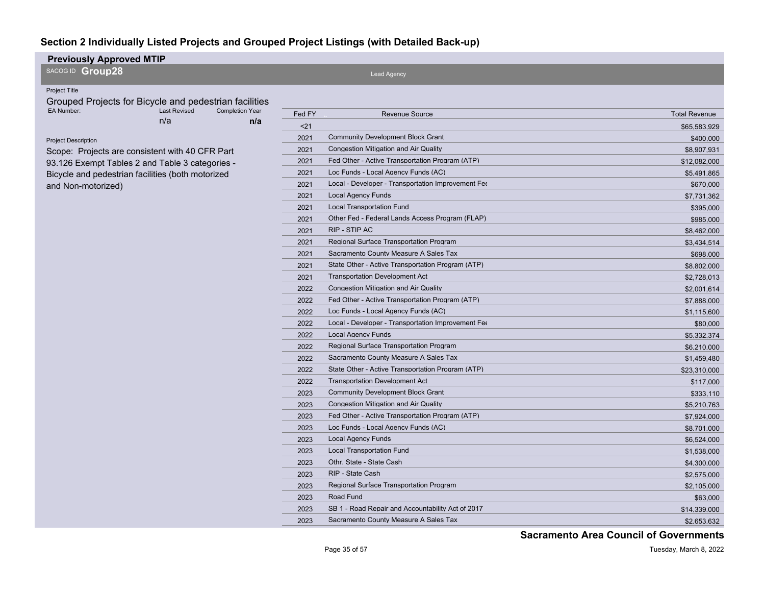| SACOG ID Group28<br>Lead Agency<br>Project Title<br>Grouped Projects for Bicycle and pedestrian facilities<br>EA Number:<br><b>Last Revised</b><br><b>Completion Year</b><br>Fed FY<br><b>Total Revenue</b><br><b>Revenue Source</b><br>n/a<br>n/a<br>$21$<br>\$65,583,929<br>Community Development Block Grant<br>2021<br>\$400,000<br><b>Project Description</b><br><b>Congestion Mitigation and Air Quality</b><br>2021<br>\$8,907,931<br>Scope: Projects are consistent with 40 CFR Part |
|----------------------------------------------------------------------------------------------------------------------------------------------------------------------------------------------------------------------------------------------------------------------------------------------------------------------------------------------------------------------------------------------------------------------------------------------------------------------------------------------|
|                                                                                                                                                                                                                                                                                                                                                                                                                                                                                              |
|                                                                                                                                                                                                                                                                                                                                                                                                                                                                                              |
|                                                                                                                                                                                                                                                                                                                                                                                                                                                                                              |
|                                                                                                                                                                                                                                                                                                                                                                                                                                                                                              |
|                                                                                                                                                                                                                                                                                                                                                                                                                                                                                              |
|                                                                                                                                                                                                                                                                                                                                                                                                                                                                                              |
|                                                                                                                                                                                                                                                                                                                                                                                                                                                                                              |
| Fed Other - Active Transportation Program (ATP)<br>2021<br>\$12,082,000<br>93.126 Exempt Tables 2 and Table 3 categories -                                                                                                                                                                                                                                                                                                                                                                   |
| Loc Funds - Local Agency Funds (AC)<br>2021<br>\$5,491,865<br>Bicycle and pedestrian facilities (both motorized                                                                                                                                                                                                                                                                                                                                                                              |
| Local - Developer - Transportation Improvement Fee<br>2021<br>\$670,000<br>and Non-motorized)                                                                                                                                                                                                                                                                                                                                                                                                |
| <b>Local Agency Funds</b><br>2021<br>\$7,731,362                                                                                                                                                                                                                                                                                                                                                                                                                                             |
| <b>Local Transportation Fund</b><br>2021<br>\$395,000                                                                                                                                                                                                                                                                                                                                                                                                                                        |
| Other Fed - Federal Lands Access Program (FLAP)<br>2021<br>\$985,000                                                                                                                                                                                                                                                                                                                                                                                                                         |
| RIP - STIP AC<br>2021<br>\$8,462,000                                                                                                                                                                                                                                                                                                                                                                                                                                                         |
| Regional Surface Transportation Program<br>2021<br>\$3,434,514                                                                                                                                                                                                                                                                                                                                                                                                                               |
| Sacramento County Measure A Sales Tax<br>2021<br>\$698,000                                                                                                                                                                                                                                                                                                                                                                                                                                   |
| State Other - Active Transportation Program (ATP)<br>2021<br>\$8,802,000                                                                                                                                                                                                                                                                                                                                                                                                                     |
| <b>Transportation Development Act</b><br>2021<br>\$2,728,013                                                                                                                                                                                                                                                                                                                                                                                                                                 |
| <b>Congestion Mitigation and Air Quality</b><br>2022<br>\$2,001,614                                                                                                                                                                                                                                                                                                                                                                                                                          |
| 2022<br>Fed Other - Active Transportation Program (ATP)<br>\$7,888,000                                                                                                                                                                                                                                                                                                                                                                                                                       |
| Loc Funds - Local Agency Funds (AC)<br>2022<br>\$1,115,600                                                                                                                                                                                                                                                                                                                                                                                                                                   |
| Local - Developer - Transportation Improvement Fee<br>2022<br>\$80,000                                                                                                                                                                                                                                                                                                                                                                                                                       |
| 2022<br><b>Local Agency Funds</b><br>\$5,332,374                                                                                                                                                                                                                                                                                                                                                                                                                                             |
| Regional Surface Transportation Program<br>2022<br>\$6,210,000                                                                                                                                                                                                                                                                                                                                                                                                                               |
| Sacramento County Measure A Sales Tax<br>2022<br>\$1,459,480                                                                                                                                                                                                                                                                                                                                                                                                                                 |
| 2022<br>State Other - Active Transportation Program (ATP)<br>\$23,310,000                                                                                                                                                                                                                                                                                                                                                                                                                    |
| <b>Transportation Development Act</b><br>2022<br>\$117,000                                                                                                                                                                                                                                                                                                                                                                                                                                   |
| <b>Community Development Block Grant</b><br>2023<br>\$333,110                                                                                                                                                                                                                                                                                                                                                                                                                                |
| 2023<br>Congestion Mitigation and Air Quality<br>\$5,210,763                                                                                                                                                                                                                                                                                                                                                                                                                                 |
| Fed Other - Active Transportation Program (ATP)<br>2023<br>\$7,924,000                                                                                                                                                                                                                                                                                                                                                                                                                       |
| Loc Funds - Local Agency Funds (AC)<br>2023<br>\$8,701,000                                                                                                                                                                                                                                                                                                                                                                                                                                   |
| <b>Local Agency Funds</b><br>2023<br>\$6,524,000                                                                                                                                                                                                                                                                                                                                                                                                                                             |
| <b>Local Transportation Fund</b><br>2023<br>\$1,538,000                                                                                                                                                                                                                                                                                                                                                                                                                                      |
| Othr. State - State Cash<br>2023<br>\$4,300,000                                                                                                                                                                                                                                                                                                                                                                                                                                              |
| RIP - State Cash<br>2023<br>\$2,575,000                                                                                                                                                                                                                                                                                                                                                                                                                                                      |
| Regional Surface Transportation Program<br>2023<br>\$2,105,000                                                                                                                                                                                                                                                                                                                                                                                                                               |
| Road Fund<br>2023<br>\$63,000                                                                                                                                                                                                                                                                                                                                                                                                                                                                |
| SB 1 - Road Repair and Accountability Act of 2017<br>2023<br>\$14,339,000                                                                                                                                                                                                                                                                                                                                                                                                                    |
| 2023<br>Sacramento County Measure A Sales Tax<br>\$2,653,632                                                                                                                                                                                                                                                                                                                                                                                                                                 |

**Sacramento Area Council of Governments**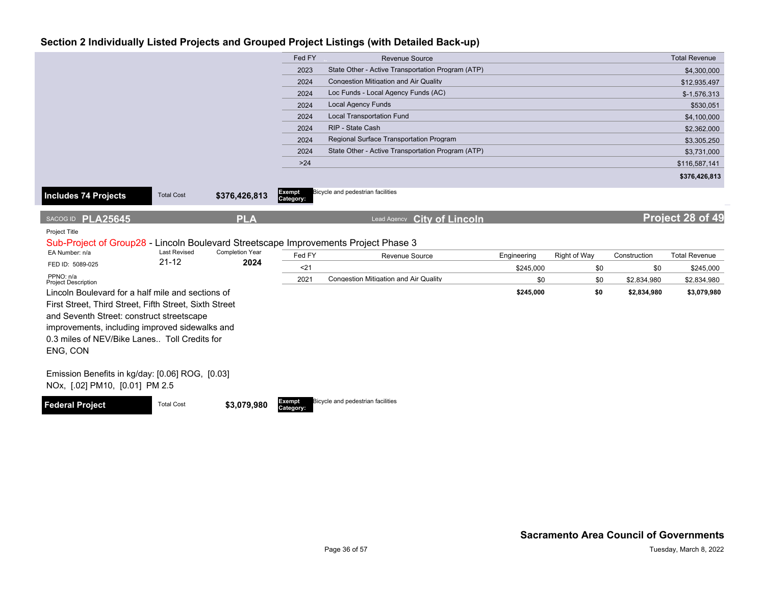|                                                                                                       |                     |                        | Fed FY    | <b>Revenue Source</b>                             |             |              |              | <b>Total Revenue</b> |
|-------------------------------------------------------------------------------------------------------|---------------------|------------------------|-----------|---------------------------------------------------|-------------|--------------|--------------|----------------------|
|                                                                                                       |                     |                        | 2023      | State Other - Active Transportation Program (ATP) |             |              |              | \$4,300,000          |
|                                                                                                       |                     |                        | 2024      | <b>Congestion Mitigation and Air Quality</b>      |             |              |              | \$12,935,497         |
|                                                                                                       |                     |                        | 2024      | Loc Funds - Local Agency Funds (AC)               |             |              |              | $$-1,576,313$        |
|                                                                                                       |                     |                        | 2024      | <b>Local Agency Funds</b>                         |             |              |              | \$530,051            |
|                                                                                                       |                     |                        | 2024      | <b>Local Transportation Fund</b>                  |             |              |              | \$4,100,000          |
|                                                                                                       |                     |                        | 2024      | RIP - State Cash                                  |             |              |              | \$2,362,000          |
|                                                                                                       |                     |                        | 2024      | Regional Surface Transportation Program           |             |              |              | \$3,305,250          |
|                                                                                                       |                     |                        | 2024      | State Other - Active Transportation Program (ATP) |             |              |              | \$3,731,000          |
|                                                                                                       |                     |                        | $>24$     |                                                   |             |              |              | \$116,587,141        |
|                                                                                                       |                     |                        |           |                                                   |             |              |              | \$376,426,813        |
|                                                                                                       |                     |                        | Exempt    | Bicycle and pedestrian facilities                 |             |              |              |                      |
| Includes 74 Projects                                                                                  | <b>Total Cost</b>   | \$376,426,813          | Category: |                                                   |             |              |              |                      |
|                                                                                                       |                     |                        |           |                                                   |             |              |              | Project 28 of 49     |
| SACOG ID PLA25645                                                                                     |                     | <b>PLA</b>             |           | <b>City of Lincoln</b><br>Lead Agency             |             |              |              |                      |
| Project Title                                                                                         |                     |                        |           |                                                   |             |              |              |                      |
| Sub-Project of Group28 - Lincoln Boulevard Streetscape Improvements Project Phase 3<br>EA Number: n/a | <b>Last Revised</b> | <b>Completion Year</b> |           |                                                   |             |              |              |                      |
| FED ID: 5089-025                                                                                      | $21 - 12$           | 2024                   | Fed FY    | Revenue Source                                    | Engineering | Right of Way | Construction | <b>Total Revenue</b> |
| PPNO: n/a                                                                                             |                     |                        | $21$      |                                                   | \$245,000   | \$0          | \$0          | \$245,000            |
| <b>Project Description</b>                                                                            |                     |                        | 2021      | Congestion Mitigation and Air Quality             | \$0         | \$0          | \$2,834,980  | \$2,834,980          |
| Lincoln Boulevard for a half mile and sections of                                                     |                     |                        |           |                                                   | \$245,000   | \$0          | \$2,834,980  | \$3,079,980          |
| First Street, Third Street, Fifth Street, Sixth Street                                                |                     |                        |           |                                                   |             |              |              |                      |
| and Seventh Street: construct streetscape                                                             |                     |                        |           |                                                   |             |              |              |                      |
| improvements, including improved sidewalks and                                                        |                     |                        |           |                                                   |             |              |              |                      |
| 0.3 miles of NEV/Bike Lanes Toll Credits for                                                          |                     |                        |           |                                                   |             |              |              |                      |
| ENG, CON                                                                                              |                     |                        |           |                                                   |             |              |              |                      |
|                                                                                                       |                     |                        |           |                                                   |             |              |              |                      |
| Emission Benefits in kg/day: [0.06] ROG, [0.03]                                                       |                     |                        |           |                                                   |             |              |              |                      |
| NOx, [.02] PM10, [0.01] PM 2.5                                                                        |                     |                        |           |                                                   |             |              |              |                      |
|                                                                                                       |                     |                        | Exempt    | Bicycle and pedestrian facilities                 |             |              |              |                      |
| <b>Federal Project</b>                                                                                | <b>Total Cost</b>   | \$3,079,980            | Category: |                                                   |             |              |              |                      |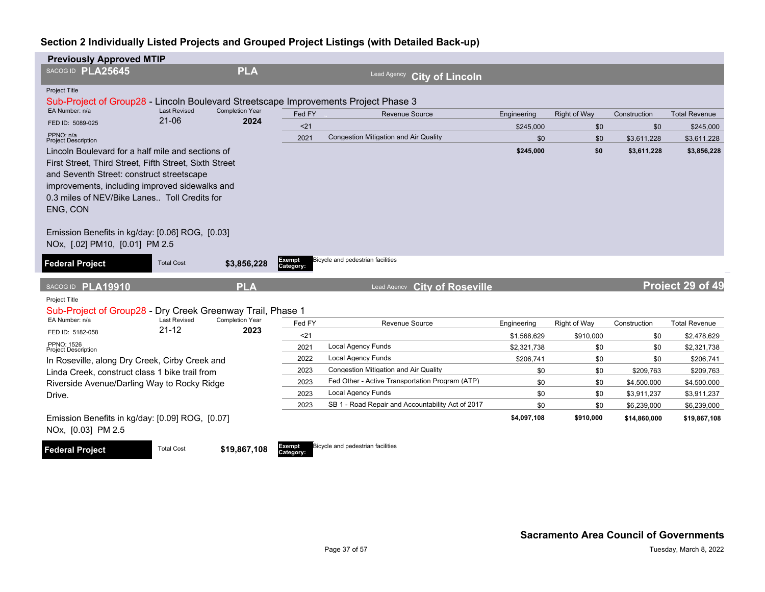| <b>Previously Approved MTIP</b>                                                                                                                                                                                                                                                                                                                             |                     |                        |                            |                                                   |                          |                     |              |                          |
|-------------------------------------------------------------------------------------------------------------------------------------------------------------------------------------------------------------------------------------------------------------------------------------------------------------------------------------------------------------|---------------------|------------------------|----------------------------|---------------------------------------------------|--------------------------|---------------------|--------------|--------------------------|
| SACOG ID PLA25645                                                                                                                                                                                                                                                                                                                                           |                     | <b>PLA</b>             |                            | Lead Agency<br><b>City of Lincoln</b>             |                          |                     |              |                          |
| <b>Project Title</b>                                                                                                                                                                                                                                                                                                                                        |                     |                        |                            |                                                   |                          |                     |              |                          |
| Sub-Project of Group28 - Lincoln Boulevard Streetscape Improvements Project Phase 3<br>EA Number: n/a                                                                                                                                                                                                                                                       | <b>Last Revised</b> | <b>Completion Year</b> |                            |                                                   |                          |                     |              |                          |
|                                                                                                                                                                                                                                                                                                                                                             | $21 - 06$           | 2024                   | Fed FY                     | <b>Revenue Source</b>                             | Engineering              | <b>Right of Way</b> | Construction | <b>Total Revenue</b>     |
| FED ID: 5089-025<br>PPNO: n/a                                                                                                                                                                                                                                                                                                                               |                     |                        | < 21                       |                                                   | \$245,000                | \$0                 | \$0          | \$245,000                |
| <b>Project Description</b>                                                                                                                                                                                                                                                                                                                                  |                     |                        | 2021                       | <b>Congestion Mitigation and Air Quality</b>      | \$0                      | \$0                 | \$3,611,228  | \$3,611,228              |
| Lincoln Boulevard for a half mile and sections of<br>First Street, Third Street, Fifth Street, Sixth Street<br>and Seventh Street: construct streetscape<br>improvements, including improved sidewalks and<br>0.3 miles of NEV/Bike Lanes Toll Credits for<br>ENG, CON<br>Emission Benefits in kg/day: [0.06] ROG, [0.03]<br>NOx, [.02] PM10, [0.01] PM 2.5 |                     |                        |                            |                                                   | \$245,000                | \$0                 | \$3,611,228  | \$3,856,228              |
| <b>Federal Project</b>                                                                                                                                                                                                                                                                                                                                      | <b>Total Cost</b>   | \$3,856,228            | <b>Exempt</b><br>Category: | Bicycle and pedestrian facilities                 |                          |                     |              |                          |
| SACOG ID PLA19910                                                                                                                                                                                                                                                                                                                                           |                     | <b>PLA</b>             |                            | <b>City of Roseville</b><br>Lead Agency           |                          |                     |              | Project 29 of 49         |
| Project Title                                                                                                                                                                                                                                                                                                                                               |                     |                        |                            |                                                   |                          |                     |              |                          |
| Sub-Project of Group28 - Dry Creek Greenway Trail, Phase 1<br>EA Number: n/a                                                                                                                                                                                                                                                                                | <b>Last Revised</b> | <b>Completion Year</b> | Fed FY                     | Revenue Source                                    |                          | Right of Way        | Construction | <b>Total Revenue</b>     |
| FED ID: 5182-058                                                                                                                                                                                                                                                                                                                                            | $21 - 12$           | 2023                   |                            |                                                   | Engineering              |                     |              |                          |
| PPNO: 1526                                                                                                                                                                                                                                                                                                                                                  |                     |                        | $21$<br>2021               | <b>Local Agency Funds</b>                         | \$1.568.629              | \$910,000           | \$0          | \$2,478,629              |
| <b>Project Description</b>                                                                                                                                                                                                                                                                                                                                  |                     |                        | 2022                       | <b>Local Agency Funds</b>                         | \$2,321,738<br>\$206,741 | \$0<br>\$0          | \$0<br>\$0   | \$2,321,738<br>\$206,741 |
| In Roseville, along Dry Creek, Cirby Creek and                                                                                                                                                                                                                                                                                                              |                     |                        | 2023                       | <b>Congestion Mitigation and Air Quality</b>      | \$0                      | \$0                 | \$209,763    | \$209,763                |
| Linda Creek, construct class 1 bike trail from<br>Riverside Avenue/Darling Way to Rocky Ridge                                                                                                                                                                                                                                                               |                     |                        | 2023                       | Fed Other - Active Transportation Program (ATP)   | \$0                      | \$0                 | \$4,500,000  | \$4,500,000              |
| Drive.                                                                                                                                                                                                                                                                                                                                                      |                     |                        | 2023                       | <b>Local Agency Funds</b>                         | \$0                      | \$0                 | \$3,911,237  | \$3,911,237              |
|                                                                                                                                                                                                                                                                                                                                                             |                     |                        | 2023                       | SB 1 - Road Repair and Accountability Act of 2017 | \$0                      | \$0                 | \$6,239,000  | \$6,239,000              |
| Emission Benefits in kg/day: [0.09] ROG, [0.07]<br>NOx, [0.03] PM 2.5                                                                                                                                                                                                                                                                                       |                     |                        |                            |                                                   | \$4,097,108              | \$910,000           | \$14,860,000 | \$19,867,108             |
| <b>Federal Project</b>                                                                                                                                                                                                                                                                                                                                      | <b>Total Cost</b>   | \$19,867,108           | Exempt<br>Category:        | Bicycle and pedestrian facilities                 |                          |                     |              |                          |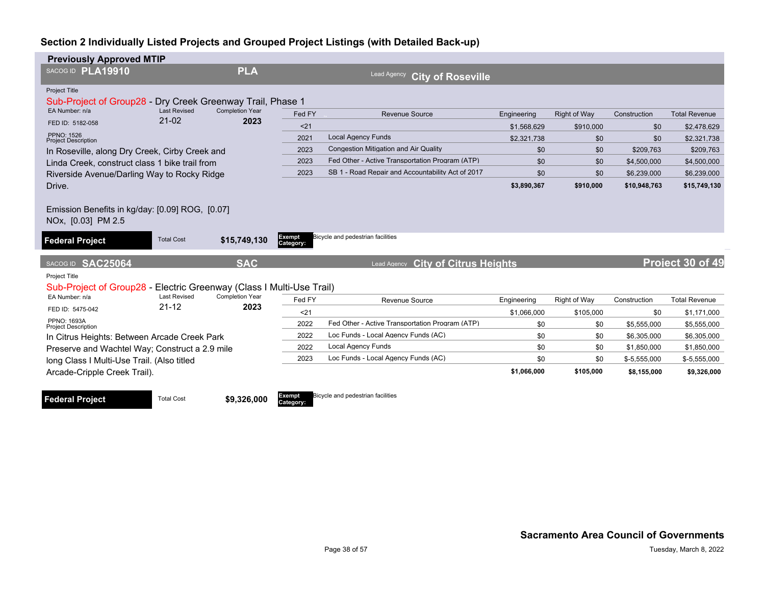| <b>Previously Approved MTIP</b>                                                       |                     |                                   |                     |                                                   |             |                     |               |                      |
|---------------------------------------------------------------------------------------|---------------------|-----------------------------------|---------------------|---------------------------------------------------|-------------|---------------------|---------------|----------------------|
| SACOG ID PLA19910                                                                     |                     | <b>PLA</b>                        |                     | Lead Agency<br><b>City of Roseville</b>           |             |                     |               |                      |
| Project Title                                                                         |                     |                                   |                     |                                                   |             |                     |               |                      |
| Sub-Project of Group28                                                                |                     | Dry Creek Greenway Trail, Phase 1 |                     |                                                   |             |                     |               |                      |
| EA Number: n/a                                                                        | <b>Last Revised</b> | <b>Completion Year</b>            | Fed FY              | Revenue Source                                    | Engineering | <b>Right of Way</b> | Construction  | <b>Total Revenue</b> |
| FED ID: 5182-058                                                                      | $21-02$             | 2023                              | < 21                |                                                   | \$1.568.629 | \$910,000           | \$0           | \$2,478,629          |
| PPNO: 1526<br><b>Project Description</b>                                              |                     |                                   | 2021                | <b>Local Agency Funds</b>                         | \$2,321,738 | \$0                 | \$0           | \$2,321,738          |
| In Roseville, along Dry Creek, Cirby Creek and                                        |                     |                                   | 2023                | Congestion Mitigation and Air Quality             | \$0         | \$0                 | \$209.763     | \$209.763            |
| Linda Creek, construct class 1 bike trail from                                        |                     |                                   | 2023                | Fed Other - Active Transportation Program (ATP)   | \$0         | \$0                 | \$4,500,000   | \$4,500,000          |
| Riverside Avenue/Darling Way to Rocky Ridge                                           |                     |                                   | 2023                | SB 1 - Road Repair and Accountability Act of 2017 | \$0         | \$0                 | \$6,239,000   | \$6,239,000          |
| Drive.                                                                                |                     |                                   |                     |                                                   | \$3,890,367 | \$910,000           | \$10,948,763  | \$15,749,130         |
|                                                                                       |                     |                                   |                     |                                                   |             |                     |               |                      |
| <b>Federal Project</b>                                                                | <b>Total Cost</b>   | \$15,749,130                      | Exempt<br>Category: | Bicycle and pedestrian facilities                 |             |                     |               |                      |
| SACOG ID SAC25064                                                                     |                     | <b>SAC</b>                        |                     | <b>City of Citrus Heights</b><br>Lead Agency      |             |                     |               | Project 30 of 49     |
| Project Title<br>Sub-Project of Group28 - Electric Greenway (Class I Multi-Use Trail) |                     |                                   |                     |                                                   |             |                     |               |                      |
| EA Number: n/a                                                                        | <b>Last Revised</b> | <b>Completion Year</b>            | Fed FY              | Revenue Source                                    | Engineering | Right of Way        | Construction  | <b>Total Revenue</b> |
| FED ID: 5475-042                                                                      | $21 - 12$           | 2023                              | $21$                |                                                   | \$1,066,000 | \$105,000           | \$0           | \$1,171,000          |
| PPNO: 1693A<br><b>Project Description</b>                                             |                     |                                   | 2022                | Fed Other - Active Transportation Program (ATP)   | \$0         | \$0                 | \$5,555,000   | \$5,555,000          |
| In Citrus Heights: Between Arcade Creek Park                                          |                     |                                   | 2022                | Loc Funds - Local Agency Funds (AC)               | \$0         | \$0                 | \$6,305,000   | \$6,305,000          |
| Preserve and Wachtel Way; Construct a 2.9 mile                                        |                     |                                   | 2022                | <b>Local Agency Funds</b>                         | \$0         | \$0                 | \$1,850,000   | \$1,850,000          |
| long Class I Multi-Use Trail. (Also titled                                            |                     |                                   | 2023                | Loc Funds - Local Agency Funds (AC)               | \$0         | \$0                 | $$-5,555,000$ | $$-5,555,000$        |
| Arcade-Cripple Creek Trail).                                                          |                     |                                   |                     |                                                   | \$1,066,000 | \$105,000           | \$8,155,000   | \$9,326,000          |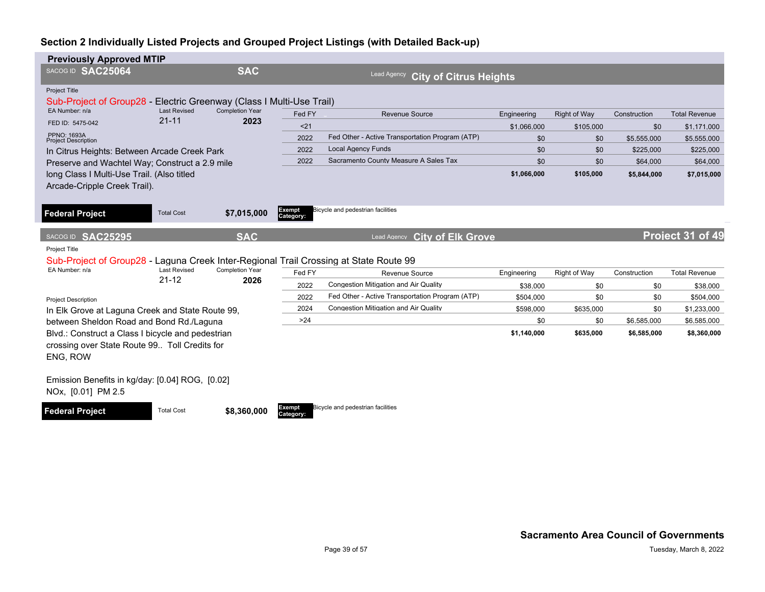| <b>Previously Approved MTIP</b>                                                       |                                  |                                |                     |                                                     |             |              |              |                      |
|---------------------------------------------------------------------------------------|----------------------------------|--------------------------------|---------------------|-----------------------------------------------------|-------------|--------------|--------------|----------------------|
| SACOG ID SAC25064                                                                     |                                  | <b>SAC</b>                     |                     | <b>Lead Agency</b><br><b>City of Citrus Heights</b> |             |              |              |                      |
| Project Title<br>Sub-Project of Group28 - Electric Greenway (Class I Multi-Use Trail) |                                  |                                |                     |                                                     |             |              |              |                      |
| EA Number: n/a                                                                        | <b>Last Revised</b><br>$21 - 11$ | <b>Completion Year</b><br>2023 | Fed FY              | <b>Revenue Source</b>                               | Engineering | Right of Way | Construction | <b>Total Revenue</b> |
| FED ID: 5475-042                                                                      |                                  |                                | < 21                |                                                     | \$1.066.000 | \$105.000    | \$0          | \$1.171.000          |
| PPNO: 1693A<br><b>Project Description</b>                                             |                                  |                                | 2022                | Fed Other - Active Transportation Program (ATP)     | \$0         | \$0          | \$5,555,000  | \$5,555,000          |
| In Citrus Heights: Between Arcade Creek Park                                          |                                  |                                | 2022                | <b>Local Agency Funds</b>                           | \$0         | \$0          | \$225,000    | \$225,000            |
| Preserve and Wachtel Way; Construct a 2.9 mile                                        |                                  |                                | 2022                | Sacramento County Measure A Sales Tax               | \$0         | \$0          | \$64,000     | \$64,000             |
| long Class I Multi-Use Trail. (Also titled                                            |                                  |                                |                     |                                                     | \$1,066,000 | \$105,000    | \$5,844,000  | \$7,015,000          |
| Arcade-Cripple Creek Trail).                                                          |                                  |                                |                     |                                                     |             |              |              |                      |
|                                                                                       |                                  |                                |                     |                                                     |             |              |              |                      |
| <b>Federal Project</b>                                                                | <b>Total Cost</b>                | \$7,015,000                    | Exempt              | Bicycle and pedestrian facilities                   |             |              |              |                      |
|                                                                                       |                                  |                                | Category:           |                                                     |             |              |              |                      |
| SACOG ID SAC25295                                                                     |                                  | <b>SAC</b>                     |                     | Lead Agency City of Elk Grove                       |             |              |              | Project 31 of 49     |
| Project Title                                                                         |                                  |                                |                     |                                                     |             |              |              |                      |
| Sub-Project of Group28 - Laguna Creek Inter-Regional Trail Crossing at State Route 99 |                                  |                                |                     |                                                     |             |              |              |                      |
|                                                                                       |                                  |                                |                     |                                                     |             |              |              |                      |
| EA Number: n/a                                                                        | <b>Last Revised</b>              | <b>Completion Year</b>         | Fed FY              | Revenue Source                                      | Engineering | Right of Way | Construction | <b>Total Revenue</b> |
|                                                                                       | $21 - 12$                        | 2026                           | 2022                | Congestion Mitigation and Air Quality               | \$38,000    | \$0          | \$0          | \$38,000             |
|                                                                                       |                                  |                                | 2022                | Fed Other - Active Transportation Program (ATP)     | \$504,000   | \$0          | \$0          | \$504,000            |
| <b>Project Description</b>                                                            |                                  |                                | 2024                | Congestion Mitigation and Air Quality               | \$598,000   | \$635,000    | \$0          | \$1,233,000          |
| In Elk Grove at Laguna Creek and State Route 99,                                      |                                  |                                | >24                 |                                                     | \$0         | \$0          | \$6,585,000  | \$6,585,000          |
| between Sheldon Road and Bond Rd./Laguna                                              |                                  |                                |                     |                                                     | \$1,140,000 | \$635,000    | \$6,585,000  | \$8,360,000          |
| Blvd.: Construct a Class I bicycle and pedestrian                                     |                                  |                                |                     |                                                     |             |              |              |                      |
| crossing over State Route 99 Toll Credits for                                         |                                  |                                |                     |                                                     |             |              |              |                      |
| ENG, ROW                                                                              |                                  |                                |                     |                                                     |             |              |              |                      |
| Emission Benefits in kg/day: [0.04] ROG, [0.02]                                       |                                  |                                |                     |                                                     |             |              |              |                      |
| NOx, [0.01] PM 2.5                                                                    |                                  |                                |                     |                                                     |             |              |              |                      |
|                                                                                       |                                  |                                |                     |                                                     |             |              |              |                      |
| <b>Federal Project</b>                                                                | <b>Total Cost</b>                | \$8,360,000                    | Exempt<br>Category: | Bicycle and pedestrian facilities                   |             |              |              |                      |
|                                                                                       |                                  |                                |                     |                                                     |             |              |              |                      |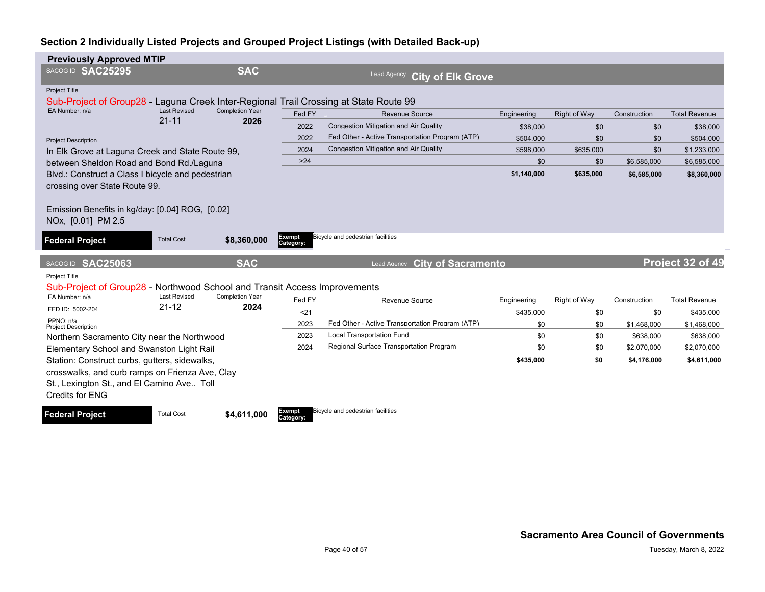| <b>Previously Approved MTIP</b>                                                       |                     |                        |           |                                                 |             |              |              |                      |
|---------------------------------------------------------------------------------------|---------------------|------------------------|-----------|-------------------------------------------------|-------------|--------------|--------------|----------------------|
| SACOGID SAC25295                                                                      |                     | <b>SAC</b>             |           | Lead Agency<br><b>City of Elk Grove</b>         |             |              |              |                      |
| Project Title                                                                         |                     |                        |           |                                                 |             |              |              |                      |
| Sub-Project of Group28 - Laguna Creek Inter-Regional Trail Crossing at State Route 99 |                     |                        |           |                                                 |             |              |              |                      |
| EA Number: n/a                                                                        | <b>Last Revised</b> | <b>Completion Year</b> | Fed FY    | <b>Revenue Source</b>                           | Engineering | Right of Way | Construction | <b>Total Revenue</b> |
|                                                                                       | $21 - 11$           | 2026                   | 2022      | <b>Congestion Mitigation and Air Quality</b>    | \$38,000    | \$0          | \$0          | \$38,000             |
| <b>Project Description</b>                                                            |                     |                        | 2022      | Fed Other - Active Transportation Program (ATP) | \$504,000   | \$0          | \$0          | \$504,000            |
| In Elk Grove at Laguna Creek and State Route 99,                                      |                     |                        | 2024      | <b>Congestion Mitigation and Air Quality</b>    | \$598,000   | \$635,000    | \$0          | \$1,233,000          |
| between Sheldon Road and Bond Rd./Laguna                                              |                     |                        | $>24$     |                                                 | \$0         | \$0          | \$6,585,000  | \$6,585,000          |
| Blvd.: Construct a Class I bicycle and pedestrian                                     |                     |                        |           |                                                 | \$1,140,000 | \$635,000    | \$6,585,000  | \$8,360,000          |
| crossing over State Route 99.                                                         |                     |                        |           |                                                 |             |              |              |                      |
|                                                                                       |                     |                        |           |                                                 |             |              |              |                      |
| Emission Benefits in kg/day: [0.04] ROG, [0.02]                                       |                     |                        |           |                                                 |             |              |              |                      |
| NOx, [0.01] PM 2.5                                                                    |                     |                        |           |                                                 |             |              |              |                      |
| <b>Federal Project</b>                                                                | <b>Total Cost</b>   | \$8,360,000            | Exempt    | Bicycle and pedestrian facilities               |             |              |              |                      |
|                                                                                       |                     |                        | Category: |                                                 |             |              |              |                      |
| SACOG ID SAC25063                                                                     |                     | <b>SAC</b>             |           | <b>City of Sacramento</b><br>Lead Agency        |             |              |              | Project 32 of 49     |
| Project Title                                                                         |                     |                        |           |                                                 |             |              |              |                      |
| Sub-Project of Group28 - Northwood School and Transit Access Improvements             |                     |                        |           |                                                 |             |              |              |                      |
| EA Number: n/a                                                                        | <b>Last Revised</b> | <b>Completion Year</b> | Fed FY    | Revenue Source                                  | Engineering | Right of Way | Construction | <b>Total Revenue</b> |
| FED ID: 5002-204                                                                      | $21 - 12$           | 2024                   | $21$      |                                                 | \$435,000   | \$0          | \$0          | \$435,000            |
| PPNO: n/a<br><b>Project Description</b>                                               |                     |                        | 2023      | Fed Other - Active Transportation Program (ATP) | \$0         | \$0          | \$1,468,000  | \$1,468,000          |
| Northern Sacramento City near the Northwood                                           |                     |                        | 2023      | <b>Local Transportation Fund</b>                | \$0         | \$0          | \$638,000    | \$638,000            |
| Elementary School and Swanston Light Rail                                             |                     |                        | 2024      | Regional Surface Transportation Program         | \$0         | \$0          | \$2,070,000  | \$2,070,000          |
| Station: Construct curbs, gutters, sidewalks,                                         |                     |                        |           |                                                 | \$435,000   | \$0          | \$4,176,000  | \$4,611,000          |
|                                                                                       |                     |                        |           |                                                 |             |              |              |                      |
| crosswalks, and curb ramps on Frienza Ave, Clay                                       |                     |                        |           |                                                 |             |              |              |                      |
| St., Lexington St., and El Camino Ave Toll                                            |                     |                        |           |                                                 |             |              |              |                      |
| Credits for ENG                                                                       |                     |                        |           |                                                 |             |              |              |                      |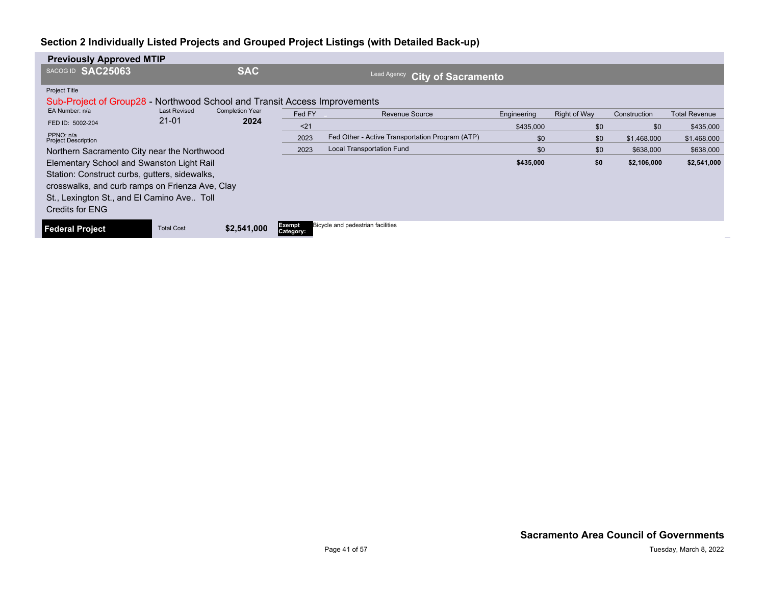| <b>Previously Approved MTIP</b>                                           |                     |                        |                     |                                                 |             |                     |              |                      |  |  |  |
|---------------------------------------------------------------------------|---------------------|------------------------|---------------------|-------------------------------------------------|-------------|---------------------|--------------|----------------------|--|--|--|
| SACOG ID SAC25063                                                         |                     | <b>SAC</b>             |                     | Lead Agency<br><b>City of Sacramento</b>        |             |                     |              |                      |  |  |  |
| Project Title                                                             |                     |                        |                     |                                                 |             |                     |              |                      |  |  |  |
| Sub-Project of Group28 - Northwood School and Transit Access Improvements |                     |                        |                     |                                                 |             |                     |              |                      |  |  |  |
| EA Number: n/a                                                            | <b>Last Revised</b> | <b>Completion Year</b> | Fed FY              | <b>Revenue Source</b>                           | Engineering | <b>Right of Way</b> | Construction | <b>Total Revenue</b> |  |  |  |
| FED ID: 5002-204                                                          | $21 - 01$           | 2024                   | < 21                |                                                 | \$435,000   | \$0                 | \$0          | \$435,000            |  |  |  |
| PPNO: n/a<br><b>Project Description</b>                                   |                     |                        | 2023                | Fed Other - Active Transportation Program (ATP) | \$0         | \$0                 | \$1,468,000  | \$1,468,000          |  |  |  |
| Northern Sacramento City near the Northwood                               |                     |                        | 2023                | <b>Local Transportation Fund</b>                | \$0         | \$0                 | \$638,000    | \$638,000            |  |  |  |
| Elementary School and Swanston Light Rail                                 |                     |                        |                     |                                                 | \$435,000   | \$0                 | \$2,106,000  | \$2,541,000          |  |  |  |
| Station: Construct curbs, gutters, sidewalks,                             |                     |                        |                     |                                                 |             |                     |              |                      |  |  |  |
| crosswalks, and curb ramps on Frienza Ave, Clay                           |                     |                        |                     |                                                 |             |                     |              |                      |  |  |  |
| St., Lexington St., and El Camino Ave Toll                                |                     |                        |                     |                                                 |             |                     |              |                      |  |  |  |
| Credits for ENG                                                           |                     |                        |                     |                                                 |             |                     |              |                      |  |  |  |
| <b>Federal Project</b>                                                    | <b>Total Cost</b>   | \$2,541,000            | Exempt<br>Category: | Bicycle and pedestrian facilities               |             |                     |              |                      |  |  |  |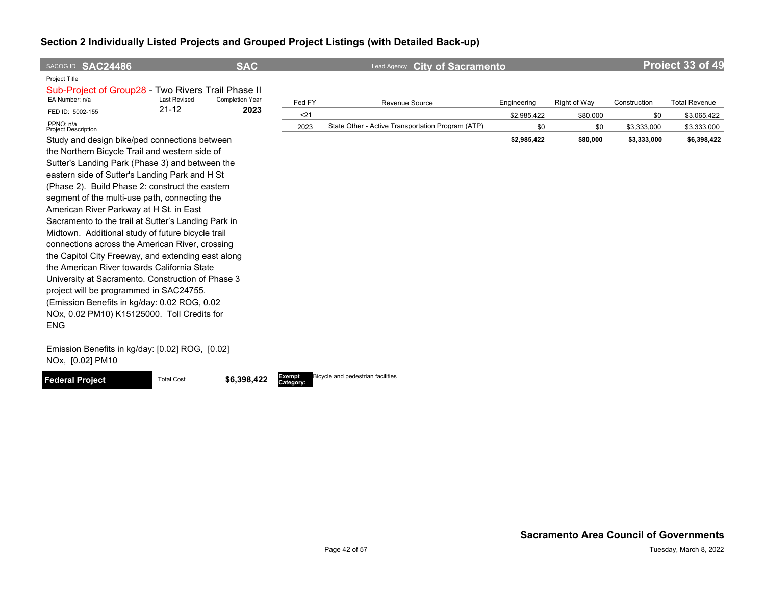| SACOG ID SAC24486                                                   |                     | <b>SAC</b>             |        | <b>City of Sacramento</b><br>Lead Agency          |             |              |              | Project 33 of 49     |
|---------------------------------------------------------------------|---------------------|------------------------|--------|---------------------------------------------------|-------------|--------------|--------------|----------------------|
| Project Title<br>Sub-Project of Group28 - Two Rivers Trail Phase II |                     |                        |        |                                                   |             |              |              |                      |
| EA Number: n/a                                                      | <b>Last Revised</b> | <b>Completion Year</b> | Fed FY | <b>Revenue Source</b>                             | Engineering | Right of Way | Construction | <b>Total Revenue</b> |
| FED ID: 5002-155                                                    | $21 - 12$           | 2023                   | $21$   |                                                   | \$2,985,422 | \$80,000     | \$0          | \$3,065,422          |
| PPNO: n/a<br><b>Project Description</b>                             |                     |                        | 2023   | State Other - Active Transportation Program (ATP) | \$0         | \$0          | \$3,333,000  | \$3,333,000          |
| Study and design bike/ped connections between                       |                     |                        |        |                                                   | \$2,985,422 | \$80,000     | \$3,333,000  | \$6,398,422          |
| the Northern Bicycle Trail and western side of                      |                     |                        |        |                                                   |             |              |              |                      |
| Sutter's Landing Park (Phase 3) and between the                     |                     |                        |        |                                                   |             |              |              |                      |
| eastern side of Sutter's Landing Park and H St                      |                     |                        |        |                                                   |             |              |              |                      |
| (Phase 2). Build Phase 2: construct the eastern                     |                     |                        |        |                                                   |             |              |              |                      |
| segment of the multi-use path, connecting the                       |                     |                        |        |                                                   |             |              |              |                      |
| American River Parkway at H St. in East                             |                     |                        |        |                                                   |             |              |              |                      |
| Sacramento to the trail at Sutter's Landing Park in                 |                     |                        |        |                                                   |             |              |              |                      |
| Midtown. Additional study of future bicycle trail                   |                     |                        |        |                                                   |             |              |              |                      |
| connections across the American River, crossing                     |                     |                        |        |                                                   |             |              |              |                      |
| the Capitol City Freeway, and extending east along                  |                     |                        |        |                                                   |             |              |              |                      |
| the American River towards California State                         |                     |                        |        |                                                   |             |              |              |                      |
| University at Sacramento. Construction of Phase 3                   |                     |                        |        |                                                   |             |              |              |                      |
| project will be programmed in SAC24755.                             |                     |                        |        |                                                   |             |              |              |                      |
| (Emission Benefits in kg/day: 0.02 ROG, 0.02                        |                     |                        |        |                                                   |             |              |              |                      |
| NOx, 0.02 PM10) K15125000. Toll Credits for                         |                     |                        |        |                                                   |             |              |              |                      |
| <b>ENG</b>                                                          |                     |                        |        |                                                   |             |              |              |                      |

Emission Benefits in kg/day: [0.02] ROG, [0.02] NOx, [0.02] PM10



**Category:** Bicycle and pedestrian facilities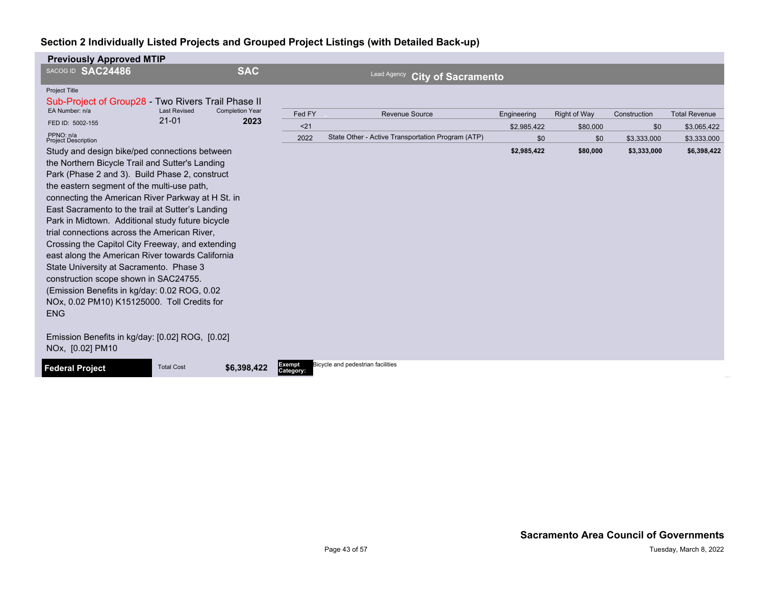| <b>Previously Approved MTIP</b>                                     |                     |                                |                     |                                                   |             |                     |              |                      |
|---------------------------------------------------------------------|---------------------|--------------------------------|---------------------|---------------------------------------------------|-------------|---------------------|--------------|----------------------|
| SACOG ID SAC24486                                                   |                     | <b>SAC</b>                     |                     | Lead Agency<br><b>City of Sacramento</b>          |             |                     |              |                      |
| Project Title<br>Sub-Project of Group28 - Two Rivers Trail Phase II |                     |                                |                     |                                                   |             |                     |              |                      |
| EA Number: n/a                                                      | <b>Last Revised</b> |                                | Fed FY              | Revenue Source                                    | Engineering | <b>Right of Way</b> | Construction | <b>Total Revenue</b> |
| FED ID: 5002-155                                                    | $21 - 01$           | <b>Completion Year</b><br>2023 | < 21                |                                                   | \$2,985,422 | \$80,000            | \$0          | \$3,065,422          |
| PPNO: n/a<br><b>Project Description</b>                             |                     |                                | 2022                | State Other - Active Transportation Program (ATP) | \$0         | \$0                 | \$3,333,000  | \$3,333,000          |
| Study and design bike/ped connections between                       |                     |                                |                     |                                                   | \$2,985,422 | \$80,000            | \$3,333,000  | \$6,398,422          |
| the Northern Bicycle Trail and Sutter's Landing                     |                     |                                |                     |                                                   |             |                     |              |                      |
| Park (Phase 2 and 3). Build Phase 2, construct                      |                     |                                |                     |                                                   |             |                     |              |                      |
| the eastern segment of the multi-use path,                          |                     |                                |                     |                                                   |             |                     |              |                      |
| connecting the American River Parkway at H St. in                   |                     |                                |                     |                                                   |             |                     |              |                      |
| East Sacramento to the trail at Sutter's Landing                    |                     |                                |                     |                                                   |             |                     |              |                      |
| Park in Midtown. Additional study future bicycle                    |                     |                                |                     |                                                   |             |                     |              |                      |
| trial connections across the American River,                        |                     |                                |                     |                                                   |             |                     |              |                      |
| Crossing the Capitol City Freeway, and extending                    |                     |                                |                     |                                                   |             |                     |              |                      |
| east along the American River towards California                    |                     |                                |                     |                                                   |             |                     |              |                      |
| State University at Sacramento. Phase 3                             |                     |                                |                     |                                                   |             |                     |              |                      |
| construction scope shown in SAC24755.                               |                     |                                |                     |                                                   |             |                     |              |                      |
| (Emission Benefits in kg/day: 0.02 ROG, 0.02                        |                     |                                |                     |                                                   |             |                     |              |                      |
| NOx, 0.02 PM10) K15125000. Toll Credits for<br><b>ENG</b>           |                     |                                |                     |                                                   |             |                     |              |                      |
|                                                                     |                     |                                |                     |                                                   |             |                     |              |                      |
| Emission Benefits in kg/day: [0.02] ROG, [0.02]<br>NOx, [0.02] PM10 |                     |                                |                     |                                                   |             |                     |              |                      |
| <b>Federal Project</b>                                              | <b>Total Cost</b>   | \$6,398,422                    | Exempt<br>Category: | Bicycle and pedestrian facilities                 |             |                     |              |                      |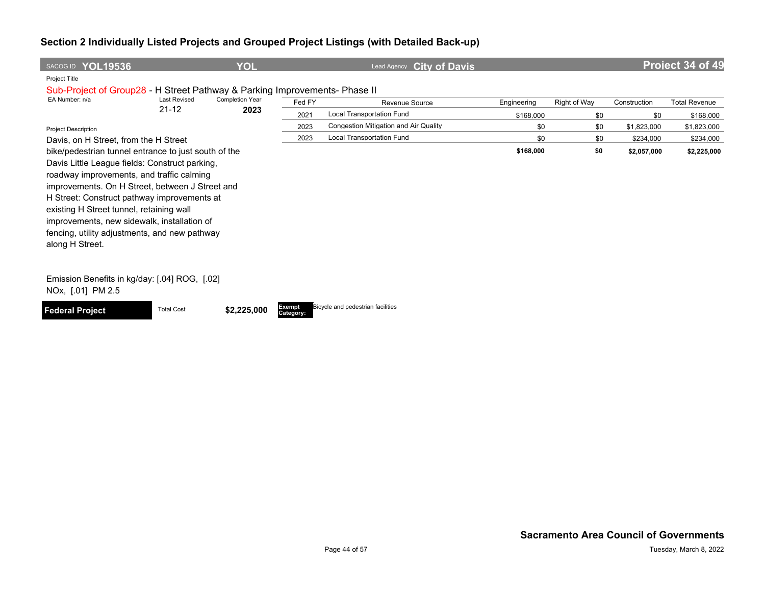| SACOG ID YOL19536                                                                           |                     | <b>YOL</b>             |                     | <b>City of Davis</b><br>Lead Agency   |             |              |              | Project 34 of 49     |
|---------------------------------------------------------------------------------------------|---------------------|------------------------|---------------------|---------------------------------------|-------------|--------------|--------------|----------------------|
| Project Title<br>Sub-Project of Group28 - H Street Pathway & Parking Improvements- Phase II |                     |                        |                     |                                       |             |              |              |                      |
| EA Number: n/a                                                                              | <b>Last Revised</b> | <b>Completion Year</b> | Fed FY              | Revenue Source                        | Engineering | Right of Way | Construction | <b>Total Revenue</b> |
|                                                                                             | $21 - 12$           | 2023                   | 2021                | <b>Local Transportation Fund</b>      | \$168,000   | \$0          | \$0          | \$168,000            |
| <b>Project Description</b>                                                                  |                     |                        | 2023                | Congestion Mitigation and Air Quality | \$0         | \$0          | \$1,823,000  | \$1,823,000          |
| Davis, on H Street, from the H Street                                                       |                     |                        | 2023                | <b>Local Transportation Fund</b>      | \$0         | \$0          | \$234,000    | \$234,000            |
| bike/pedestrian tunnel entrance to just south of the                                        |                     |                        |                     |                                       | \$168,000   | \$0          | \$2,057,000  | \$2,225,000          |
| Davis Little League fields: Construct parking,                                              |                     |                        |                     |                                       |             |              |              |                      |
| roadway improvements, and traffic calming                                                   |                     |                        |                     |                                       |             |              |              |                      |
| improvements. On H Street, between J Street and                                             |                     |                        |                     |                                       |             |              |              |                      |
| H Street: Construct pathway improvements at                                                 |                     |                        |                     |                                       |             |              |              |                      |
| existing H Street tunnel, retaining wall                                                    |                     |                        |                     |                                       |             |              |              |                      |
| improvements, new sidewalk, installation of                                                 |                     |                        |                     |                                       |             |              |              |                      |
| fencing, utility adjustments, and new pathway<br>along H Street.                            |                     |                        |                     |                                       |             |              |              |                      |
|                                                                                             |                     |                        |                     |                                       |             |              |              |                      |
| Emission Benefits in kg/day: [.04] ROG, [.02]<br>NOx, [.01] PM 2.5                          |                     |                        |                     |                                       |             |              |              |                      |
| <b>Federal Project</b>                                                                      | <b>Total Cost</b>   | \$2,225,000            | Exempt<br>Category: | Bicycle and pedestrian facilities     |             |              |              |                      |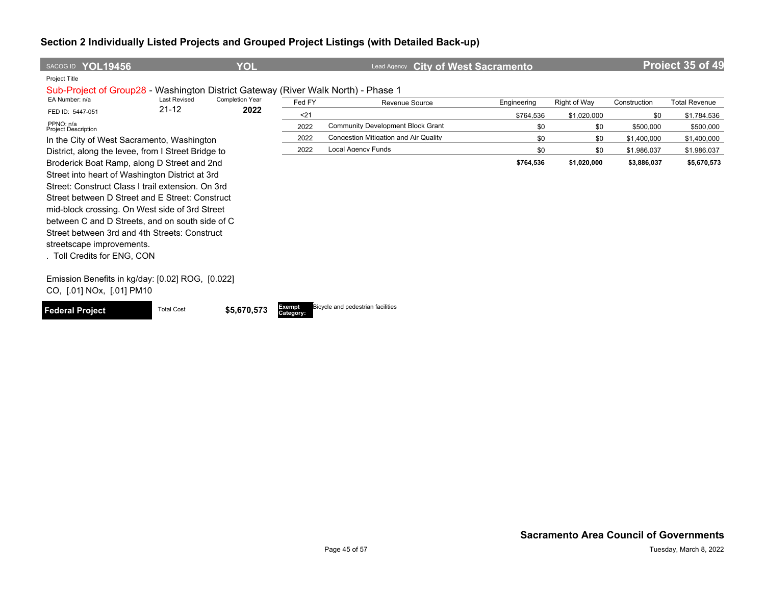| SACOG ID YOL19456                                                                                                                                                                                                                                                                                                                                                                                                        |                     | YOL                    |                     | <b>City of West Sacramento</b><br><b>Lead Agency</b> |             |              |              | Project 35 of 49     |
|--------------------------------------------------------------------------------------------------------------------------------------------------------------------------------------------------------------------------------------------------------------------------------------------------------------------------------------------------------------------------------------------------------------------------|---------------------|------------------------|---------------------|------------------------------------------------------|-------------|--------------|--------------|----------------------|
| <b>Project Title</b><br>Sub-Project of Group28 - Washington District Gateway (River Walk North) - Phase 1                                                                                                                                                                                                                                                                                                                |                     |                        |                     |                                                      |             |              |              |                      |
| EA Number: n/a                                                                                                                                                                                                                                                                                                                                                                                                           | <b>Last Revised</b> | <b>Completion Year</b> | Fed FY              | Revenue Source                                       | Engineering | Right of Way | Construction | <b>Total Revenue</b> |
| FED ID: 5447-051                                                                                                                                                                                                                                                                                                                                                                                                         | $21 - 12$           | 2022                   | $21$                |                                                      | \$764,536   | \$1,020,000  | \$0          | \$1,784,536          |
| PPNO: n/a<br><b>Project Description</b>                                                                                                                                                                                                                                                                                                                                                                                  |                     |                        | 2022                | <b>Community Development Block Grant</b>             | \$0         | \$0          | \$500,000    | \$500,000            |
| In the City of West Sacramento, Washington                                                                                                                                                                                                                                                                                                                                                                               |                     |                        | 2022                | Congestion Mitigation and Air Quality                | \$0         | \$0          | \$1,400,000  | \$1,400,000          |
| District, along the levee, from I Street Bridge to                                                                                                                                                                                                                                                                                                                                                                       |                     |                        | 2022                | <b>Local Agency Funds</b>                            | \$0         | \$0          | \$1,986,037  | \$1,986,037          |
| Broderick Boat Ramp, along D Street and 2nd<br>Street into heart of Washington District at 3rd<br>Street: Construct Class I trail extension. On 3rd<br>Street between D Street and E Street: Construct<br>mid-block crossing. On West side of 3rd Street<br>between C and D Streets, and on south side of C<br>Street between 3rd and 4th Streets: Construct<br>streetscape improvements.<br>. Toll Credits for ENG, CON |                     |                        |                     |                                                      | \$764,536   | \$1,020,000  | \$3,886,037  | \$5,670,573          |
| Emission Benefits in kg/day: [0.02] ROG, [0.022]<br>CO, [.01] NOx, [.01] PM10                                                                                                                                                                                                                                                                                                                                            |                     |                        |                     |                                                      |             |              |              |                      |
| <b>Federal Project</b>                                                                                                                                                                                                                                                                                                                                                                                                   | <b>Total Cost</b>   | \$5,670,573            | Exempt<br>Category: | Bicycle and pedestrian facilities                    |             |              |              |                      |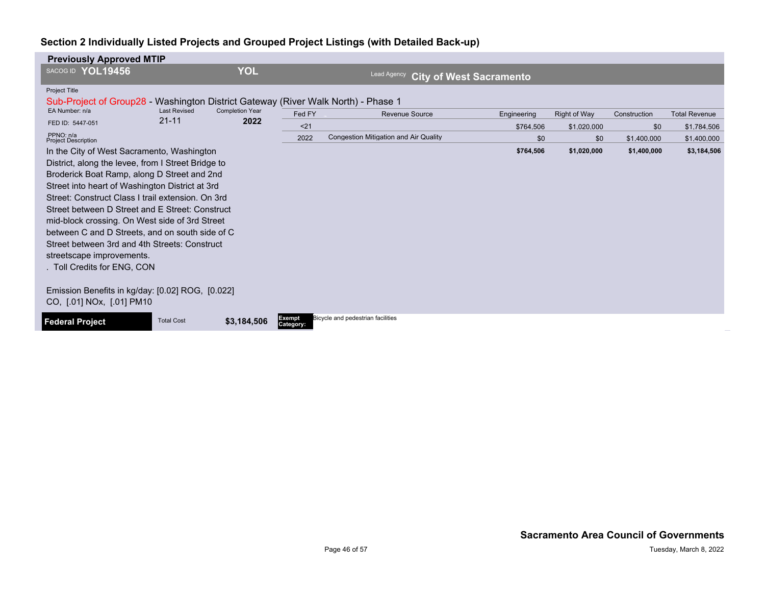| <b>Previously Approved MTIP</b>                                                   |                     |                                |                     |                                               |             |                     |              |                      |
|-----------------------------------------------------------------------------------|---------------------|--------------------------------|---------------------|-----------------------------------------------|-------------|---------------------|--------------|----------------------|
| SACOG ID YOL19456                                                                 |                     | <b>YOL</b>                     |                     | Lead Agency<br><b>City of West Sacramento</b> |             |                     |              |                      |
| Project Title                                                                     |                     |                                |                     |                                               |             |                     |              |                      |
| Sub-Project of Group28 - Washington District Gateway (River Walk North) - Phase 1 |                     |                                |                     |                                               |             |                     |              |                      |
| EA Number: n/a                                                                    | <b>Last Revised</b> |                                | Fed FY              | Revenue Source                                | Engineering | <b>Right of Way</b> | Construction | <b>Total Revenue</b> |
| FED ID: 5447-051                                                                  | $21 - 11$           |                                | $21$                |                                               | \$764,506   | \$1,020,000         | \$0          | \$1,784,506          |
| PPNO: n/a<br><b>Project Description</b>                                           |                     | <b>Completion Year</b><br>2022 | 2022                | <b>Congestion Mitigation and Air Quality</b>  | \$0         | \$0                 | \$1,400,000  | \$1,400,000          |
| In the City of West Sacramento, Washington                                        |                     |                                |                     |                                               | \$764,506   | \$1,020,000         | \$1,400,000  | \$3,184,506          |
| District, along the levee, from I Street Bridge to                                |                     |                                |                     |                                               |             |                     |              |                      |
| Broderick Boat Ramp, along D Street and 2nd                                       |                     |                                |                     |                                               |             |                     |              |                      |
| Street into heart of Washington District at 3rd                                   |                     |                                |                     |                                               |             |                     |              |                      |
| Street: Construct Class I trail extension. On 3rd                                 |                     |                                |                     |                                               |             |                     |              |                      |
| Street between D Street and E Street: Construct                                   |                     |                                |                     |                                               |             |                     |              |                      |
| mid-block crossing. On West side of 3rd Street                                    |                     |                                |                     |                                               |             |                     |              |                      |
| between C and D Streets, and on south side of C                                   |                     |                                |                     |                                               |             |                     |              |                      |
| Street between 3rd and 4th Streets: Construct                                     |                     |                                |                     |                                               |             |                     |              |                      |
| streetscape improvements.                                                         |                     |                                |                     |                                               |             |                     |              |                      |
| . Toll Credits for ENG, CON                                                       |                     |                                |                     |                                               |             |                     |              |                      |
| Emission Benefits in kg/day: [0.02] ROG, [0.022]                                  |                     |                                |                     |                                               |             |                     |              |                      |
| CO, [.01] NOx, [.01] PM10                                                         |                     |                                |                     |                                               |             |                     |              |                      |
| <b>Federal Project</b>                                                            | <b>Total Cost</b>   | \$3,184,506                    | Exempt<br>Category: | Bicycle and pedestrian facilities             |             |                     |              |                      |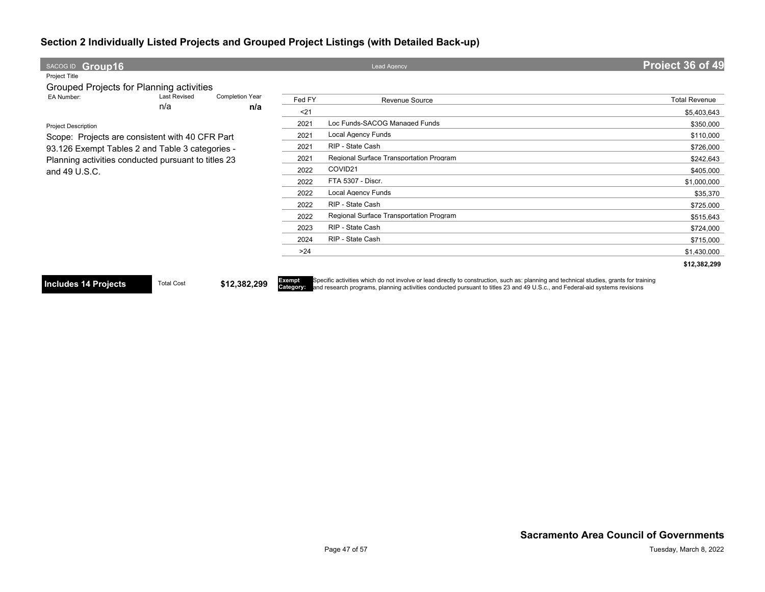| SACOG ID Group16                                    |                     |                 |        | <b>Lead Agency</b>                      | Project 36 of 49     |
|-----------------------------------------------------|---------------------|-----------------|--------|-----------------------------------------|----------------------|
| Project Title                                       |                     |                 |        |                                         |                      |
| Grouped Projects for Planning activities            |                     |                 |        |                                         |                      |
| EA Number:                                          | <b>Last Revised</b> | Completion Year | Fed FY | Revenue Source                          | <b>Total Revenue</b> |
|                                                     | n/a                 | n/a             | $21$   |                                         | \$5,403,643          |
| <b>Project Description</b>                          |                     |                 | 2021   | Loc Funds-SACOG Managed Funds           | \$350,000            |
| Scope: Projects are consistent with 40 CFR Part     |                     |                 | 2021   | <b>Local Agency Funds</b>               | \$110,000            |
| 93.126 Exempt Tables 2 and Table 3 categories -     |                     |                 | 2021   | RIP - State Cash                        | \$726,000            |
| Planning activities conducted pursuant to titles 23 |                     |                 | 2021   | Regional Surface Transportation Program | \$242,643            |
| and 49 U.S.C.                                       |                     |                 | 2022   | COVID21                                 | \$405,000            |
|                                                     |                     |                 | 2022   | FTA 5307 - Discr.                       | \$1,000,000          |
|                                                     |                     |                 | 2022   | <b>Local Agency Funds</b>               | \$35,370             |
|                                                     |                     |                 | 2022   | RIP - State Cash                        | \$725,000            |
|                                                     |                     |                 | 2022   | Regional Surface Transportation Program | \$515,643            |
|                                                     |                     |                 | 2023   | RIP - State Cash                        | \$724,000            |
|                                                     |                     |                 | 2024   | RIP - State Cash                        | \$715,000            |
|                                                     |                     |                 | $>24$  |                                         | \$1,430,000          |
|                                                     |                     |                 |        |                                         | \$12,382,299         |

**Includes 14 Projects** Total Cost **\$12,382,299** 

Exempt<br>Category: Specific activities which do not involve or lead directly to construction, such as: planning and technical studies, grants for training<br>and research programs, planning activities conducted pursuant to titles 23 and 49 U.S.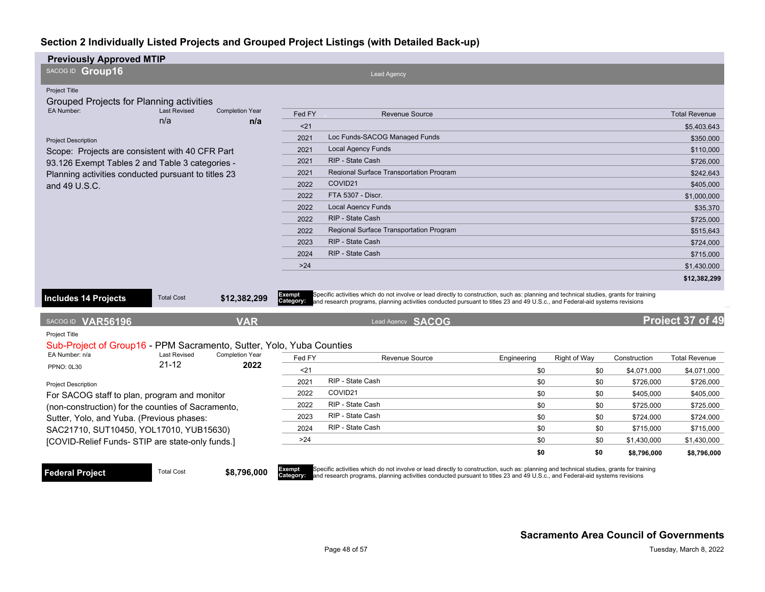| <b>Previously Approved MTIP</b>                                                              |                                  |                                |                     |                                                                                                                                                                                                                                                                        |             |     |              |              |                      |
|----------------------------------------------------------------------------------------------|----------------------------------|--------------------------------|---------------------|------------------------------------------------------------------------------------------------------------------------------------------------------------------------------------------------------------------------------------------------------------------------|-------------|-----|--------------|--------------|----------------------|
| SACOG ID Group16                                                                             |                                  |                                |                     | Lead Agency                                                                                                                                                                                                                                                            |             |     |              |              |                      |
| Project Title<br>Grouped Projects for Planning activities                                    |                                  |                                |                     |                                                                                                                                                                                                                                                                        |             |     |              |              |                      |
| EA Number:                                                                                   | <b>Last Revised</b>              | <b>Completion Year</b>         | Fed FY              | <b>Revenue Source</b>                                                                                                                                                                                                                                                  |             |     |              |              | <b>Total Revenue</b> |
|                                                                                              | n/a                              | n/a                            | $21$                |                                                                                                                                                                                                                                                                        |             |     |              |              | \$5.403.643          |
| <b>Project Description</b>                                                                   |                                  |                                | 2021                | Loc Funds-SACOG Managed Funds                                                                                                                                                                                                                                          |             |     |              |              | \$350,000            |
| Scope: Projects are consistent with 40 CFR Part                                              |                                  |                                | 2021                | <b>Local Agency Funds</b>                                                                                                                                                                                                                                              |             |     |              |              | \$110,000            |
| 93.126 Exempt Tables 2 and Table 3 categories -                                              |                                  |                                | 2021                | RIP - State Cash                                                                                                                                                                                                                                                       |             |     |              |              | \$726,000            |
| Planning activities conducted pursuant to titles 23                                          |                                  |                                | 2021                | <b>Regional Surface Transportation Program</b>                                                                                                                                                                                                                         |             |     |              |              | \$242.643            |
| and 49 U.S.C.                                                                                |                                  |                                | 2022                | COVID21                                                                                                                                                                                                                                                                |             |     |              |              | \$405.000            |
|                                                                                              |                                  |                                | 2022                | FTA 5307 - Discr.                                                                                                                                                                                                                                                      |             |     |              |              | \$1,000,000          |
|                                                                                              |                                  |                                | 2022                | <b>Local Agency Funds</b>                                                                                                                                                                                                                                              |             |     |              |              | \$35,370             |
|                                                                                              |                                  |                                | 2022                | RIP - State Cash                                                                                                                                                                                                                                                       |             |     |              |              | \$725,000            |
|                                                                                              |                                  |                                | 2022                | <b>Regional Surface Transportation Program</b>                                                                                                                                                                                                                         |             |     |              |              | \$515,643            |
|                                                                                              |                                  |                                | 2023                | RIP - State Cash                                                                                                                                                                                                                                                       |             |     |              |              | \$724,000            |
|                                                                                              |                                  |                                | 2024                | RIP - State Cash                                                                                                                                                                                                                                                       |             |     |              |              | \$715,000            |
|                                                                                              |                                  |                                | $>24$               |                                                                                                                                                                                                                                                                        |             |     |              |              | \$1,430,000          |
|                                                                                              |                                  |                                |                     |                                                                                                                                                                                                                                                                        |             |     |              |              | \$12,382,299         |
| <b>Includes 14 Projects</b>                                                                  | <b>Total Cost</b>                | \$12,382,299                   | Exempt<br>Category: | Specific activities which do not involve or lead directly to construction, such as: planning and technical studies, grants for training<br>and research programs, planning activities conducted pursuant to titles 23 and 49 U.S.c., and Federal-aid systems revisions |             |     |              |              |                      |
| SACOG ID VAR56196                                                                            |                                  | <b>VAR</b>                     |                     | Lead Agency SACOG                                                                                                                                                                                                                                                      |             |     |              |              | Project 37 of 49     |
| <b>Project Title</b><br>Sub-Project of Group16 - PPM Sacramento, Sutter, Yolo, Yuba Counties |                                  |                                |                     |                                                                                                                                                                                                                                                                        |             |     |              |              |                      |
| EA Number: n/a                                                                               | <b>Last Revised</b><br>$21 - 12$ | <b>Completion Year</b><br>2022 | Fed FY              | <b>Revenue Source</b>                                                                                                                                                                                                                                                  | Engineering |     | Right of Way | Construction | <b>Total Revenue</b> |
| <b>PPNO: 0L30</b>                                                                            |                                  |                                | $21$                |                                                                                                                                                                                                                                                                        |             | \$0 | \$0          | \$4,071,000  | \$4,071,000          |
| <b>Project Description</b>                                                                   |                                  |                                | 2021                | RIP - State Cash                                                                                                                                                                                                                                                       |             | \$0 | \$0          | \$726,000    | \$726,000            |
| For SACOG staff to plan, program and monitor                                                 |                                  |                                | 2022                | COVID21                                                                                                                                                                                                                                                                |             | \$0 | \$0          | \$405,000    | \$405,000            |
| (non-construction) for the counties of Sacramento,                                           |                                  |                                | 2022                | RIP - State Cash                                                                                                                                                                                                                                                       |             | \$0 | \$0          | \$725,000    | \$725,000            |
| Sutter, Yolo, and Yuba. (Previous phases:                                                    |                                  |                                | 2023                | RIP - State Cash                                                                                                                                                                                                                                                       |             | \$0 | \$0          | \$724,000    | \$724,000            |
| SAC21710, SUT10450, YOL17010, YUB15630)                                                      |                                  |                                | 2024                | RIP - State Cash                                                                                                                                                                                                                                                       |             | \$0 | \$0          | \$715,000    | \$715,000            |
| [COVID-Relief Funds- STIP are state-only funds.]                                             |                                  |                                | >24                 |                                                                                                                                                                                                                                                                        |             | \$0 | \$0          | \$1,430,000  | \$1,430,000          |
|                                                                                              |                                  |                                |                     |                                                                                                                                                                                                                                                                        |             | \$0 | \$0          | \$8,796,000  | \$8,796,000          |

**Federal Project** Total Cost \$8,796,000

Exempt<br>Category:

Specific activities which do not involve or lead directly to construction, such as: planning and technical studies, grants for training<br>and research programs, planning activities conducted pursuant to titles 23 and 49 U.S.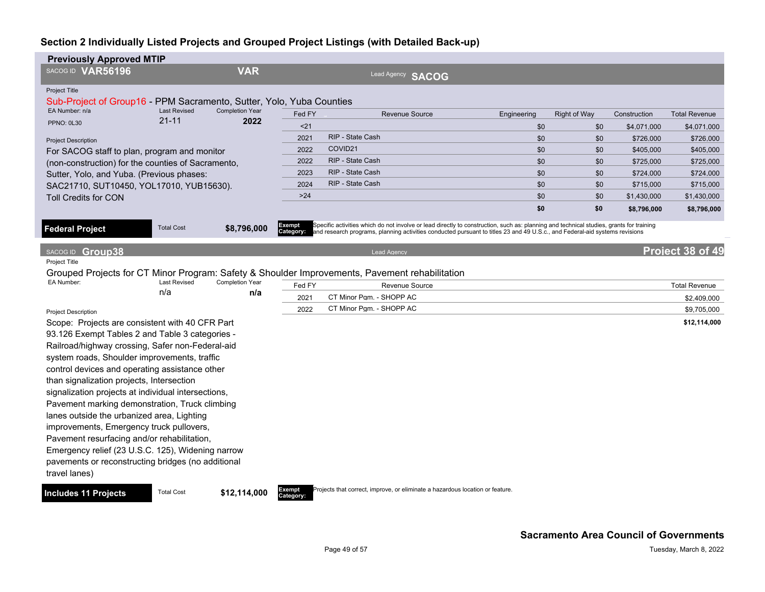| <b>Previously Approved MTIP</b>                                                                                |                     |                        |                     |                                                                                                                                                                                                                                                                        |             |                     |              |                      |
|----------------------------------------------------------------------------------------------------------------|---------------------|------------------------|---------------------|------------------------------------------------------------------------------------------------------------------------------------------------------------------------------------------------------------------------------------------------------------------------|-------------|---------------------|--------------|----------------------|
| SACOG ID VAR56196                                                                                              |                     | <b>VAR</b>             |                     | Lead Agency SACOG                                                                                                                                                                                                                                                      |             |                     |              |                      |
| <b>Project Title</b><br>Sub-Project of Group16 - PPM Sacramento, Sutter, Yolo, Yuba Counties<br>EA Number: n/a | <b>Last Revised</b> | <b>Completion Year</b> |                     |                                                                                                                                                                                                                                                                        |             |                     |              |                      |
| <b>PPNO: 0L30</b>                                                                                              | $21 - 11$           | 2022                   | Fed FY              | <b>Revenue Source</b>                                                                                                                                                                                                                                                  | Engineering | <b>Right of Way</b> | Construction | <b>Total Revenue</b> |
|                                                                                                                |                     |                        | $21$                |                                                                                                                                                                                                                                                                        | \$0         | \$0                 | \$4,071,000  | \$4,071,000          |
| <b>Project Description</b>                                                                                     |                     |                        | 2021                | RIP - State Cash                                                                                                                                                                                                                                                       | \$0         | \$0                 | \$726,000    | \$726,000            |
| For SACOG staff to plan, program and monitor                                                                   |                     |                        | 2022                | COVID21                                                                                                                                                                                                                                                                | \$0         | \$0                 | \$405,000    | \$405,000            |
| (non-construction) for the counties of Sacramento,                                                             |                     |                        | 2022                | RIP - State Cash                                                                                                                                                                                                                                                       | \$0         | \$0                 | \$725,000    | \$725,000            |
| Sutter, Yolo, and Yuba. (Previous phases:                                                                      |                     |                        | 2023                | RIP - State Cash                                                                                                                                                                                                                                                       | \$0         | \$0                 | \$724,000    | \$724,000            |
| SAC21710, SUT10450, YOL17010, YUB15630).                                                                       |                     |                        | 2024                | RIP - State Cash                                                                                                                                                                                                                                                       | \$0         | \$0                 | \$715,000    | \$715,000            |
| <b>Toll Credits for CON</b>                                                                                    |                     |                        | $>24$               |                                                                                                                                                                                                                                                                        | \$0         | \$0                 | \$1,430,000  | \$1,430,000          |
|                                                                                                                |                     |                        |                     |                                                                                                                                                                                                                                                                        | \$0         | \$0                 | \$8,796,000  | \$8,796,000          |
| <b>Federal Project</b>                                                                                         | <b>Total Cost</b>   | \$8,796,000            | Exempt<br>Category: | Specific activities which do not involve or lead directly to construction, such as: planning and technical studies, grants for training<br>and research programs, planning activities conducted pursuant to titles 23 and 49 U.S.c., and Federal-aid systems revisions |             |                     |              |                      |
| SACOG ID Group38                                                                                               |                     |                        |                     | <b>Lead Agency</b>                                                                                                                                                                                                                                                     |             |                     |              | Project 38 of 49     |
| Project Title                                                                                                  |                     |                        |                     |                                                                                                                                                                                                                                                                        |             |                     |              |                      |
| EA Number:                                                                                                     | <b>Last Revised</b> | <b>Completion Year</b> |                     | Grouped Projects for CT Minor Program: Safety & Shoulder Improvements, Pavement rehabilitation                                                                                                                                                                         |             |                     |              |                      |
|                                                                                                                | n/a                 | n/a                    | Fed FY              | Revenue Source                                                                                                                                                                                                                                                         |             |                     |              | <b>Total Revenue</b> |
|                                                                                                                |                     |                        | 2021                | CT Minor Pqm. - SHOPP AC                                                                                                                                                                                                                                               |             |                     |              | \$2,409,000          |
| <b>Project Description</b>                                                                                     |                     |                        | 2022                | CT Minor Pqm. - SHOPP AC                                                                                                                                                                                                                                               |             |                     |              | \$9,705,000          |
| Scope: Projects are consistent with 40 CFR Part                                                                |                     |                        |                     |                                                                                                                                                                                                                                                                        |             |                     |              | \$12,114,000         |
| 93.126 Exempt Tables 2 and Table 3 categories -                                                                |                     |                        |                     |                                                                                                                                                                                                                                                                        |             |                     |              |                      |
| Railroad/highway crossing, Safer non-Federal-aid                                                               |                     |                        |                     |                                                                                                                                                                                                                                                                        |             |                     |              |                      |
| system roads, Shoulder improvements, traffic                                                                   |                     |                        |                     |                                                                                                                                                                                                                                                                        |             |                     |              |                      |
| control devices and operating assistance other                                                                 |                     |                        |                     |                                                                                                                                                                                                                                                                        |             |                     |              |                      |
| than signalization projects, Intersection                                                                      |                     |                        |                     |                                                                                                                                                                                                                                                                        |             |                     |              |                      |
| signalization projects at individual intersections,                                                            |                     |                        |                     |                                                                                                                                                                                                                                                                        |             |                     |              |                      |
| Pavement marking demonstration, Truck climbing                                                                 |                     |                        |                     |                                                                                                                                                                                                                                                                        |             |                     |              |                      |
| lanes outside the urbanized area, Lighting                                                                     |                     |                        |                     |                                                                                                                                                                                                                                                                        |             |                     |              |                      |
| improvements, Emergency truck pullovers,                                                                       |                     |                        |                     |                                                                                                                                                                                                                                                                        |             |                     |              |                      |
| Pavement resurfacing and/or rehabilitation,                                                                    |                     |                        |                     |                                                                                                                                                                                                                                                                        |             |                     |              |                      |
| Emergency relief (23 U.S.C. 125), Widening narrow                                                              |                     |                        |                     |                                                                                                                                                                                                                                                                        |             |                     |              |                      |
| pavements or reconstructing bridges (no additional                                                             |                     |                        |                     |                                                                                                                                                                                                                                                                        |             |                     |              |                      |
| travel lanes)                                                                                                  |                     |                        |                     |                                                                                                                                                                                                                                                                        |             |                     |              |                      |
| <b>Includes 11 Projects</b>                                                                                    | <b>Total Cost</b>   | \$12,114,000           | Exempt<br>Category: | Projects that correct, improve, or eliminate a hazardous location or feature.                                                                                                                                                                                          |             |                     |              |                      |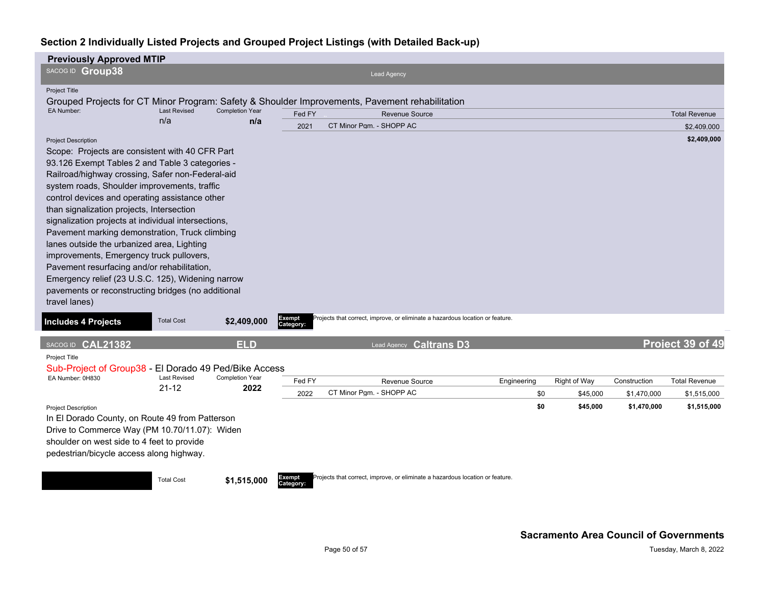| <b>Previously Approved MTIP</b>                                                                                                                                                                                                                                                                                                                                                                                                                                                                                                                                                                                                                                                                                   |                                  |                                |                            |                                                                                                |                    |                          |                             |                                     |
|-------------------------------------------------------------------------------------------------------------------------------------------------------------------------------------------------------------------------------------------------------------------------------------------------------------------------------------------------------------------------------------------------------------------------------------------------------------------------------------------------------------------------------------------------------------------------------------------------------------------------------------------------------------------------------------------------------------------|----------------------------------|--------------------------------|----------------------------|------------------------------------------------------------------------------------------------|--------------------|--------------------------|-----------------------------|-------------------------------------|
| SACOG ID Group38                                                                                                                                                                                                                                                                                                                                                                                                                                                                                                                                                                                                                                                                                                  |                                  |                                |                            | <b>Lead Agency</b>                                                                             |                    |                          |                             |                                     |
| <b>Project Title</b>                                                                                                                                                                                                                                                                                                                                                                                                                                                                                                                                                                                                                                                                                              |                                  |                                |                            |                                                                                                |                    |                          |                             |                                     |
|                                                                                                                                                                                                                                                                                                                                                                                                                                                                                                                                                                                                                                                                                                                   |                                  |                                |                            | Grouped Projects for CT Minor Program: Safety & Shoulder Improvements, Pavement rehabilitation |                    |                          |                             |                                     |
| EA Number:                                                                                                                                                                                                                                                                                                                                                                                                                                                                                                                                                                                                                                                                                                        | <b>Last Revised</b><br>n/a       | <b>Completion Year</b><br>n/a  | Fed FY                     | Revenue Source                                                                                 |                    |                          |                             | <b>Total Revenue</b>                |
|                                                                                                                                                                                                                                                                                                                                                                                                                                                                                                                                                                                                                                                                                                                   |                                  |                                | 2021                       | CT Minor Pam. - SHOPP AC                                                                       |                    |                          |                             | \$2,409,000                         |
| <b>Project Description</b><br>Scope: Projects are consistent with 40 CFR Part<br>93.126 Exempt Tables 2 and Table 3 categories -<br>Railroad/highway crossing, Safer non-Federal-aid<br>system roads, Shoulder improvements, traffic<br>control devices and operating assistance other<br>than signalization projects, Intersection<br>signalization projects at individual intersections,<br>Pavement marking demonstration, Truck climbing<br>lanes outside the urbanized area, Lighting<br>improvements, Emergency truck pullovers,<br>Pavement resurfacing and/or rehabilitation,<br>Emergency relief (23 U.S.C. 125), Widening narrow<br>pavements or reconstructing bridges (no additional<br>travel lanes) |                                  |                                |                            |                                                                                                |                    |                          |                             | \$2,409,000                         |
| <b>Includes 4 Projects</b>                                                                                                                                                                                                                                                                                                                                                                                                                                                                                                                                                                                                                                                                                        | <b>Total Cost</b>                | \$2,409,000                    | <b>Exempt</b><br>Category: | Projects that correct, improve, or eliminate a hazardous location or feature.                  |                    |                          |                             |                                     |
| SACOG ID CAL21382                                                                                                                                                                                                                                                                                                                                                                                                                                                                                                                                                                                                                                                                                                 |                                  | <b>ELD</b>                     |                            | Lead Agency Caltrans D3                                                                        |                    |                          |                             | Project 39 of 49                    |
| Project Title<br>Sub-Project of Group38 - El Dorado 49 Ped/Bike Access<br>EA Number: 0H830                                                                                                                                                                                                                                                                                                                                                                                                                                                                                                                                                                                                                        | <b>Last Revised</b><br>$21 - 12$ | <b>Completion Year</b><br>2022 | Fed FY<br>2022             | Revenue Source<br>CT Minor Pqm. - SHOPP AC                                                     | Engineering<br>\$0 | Right of Way<br>\$45,000 | Construction<br>\$1,470,000 | <b>Total Revenue</b><br>\$1,515,000 |
| <b>Project Description</b>                                                                                                                                                                                                                                                                                                                                                                                                                                                                                                                                                                                                                                                                                        |                                  |                                |                            |                                                                                                | \$0                | \$45,000                 | \$1,470,000                 | \$1,515,000                         |
| In El Dorado County, on Route 49 from Patterson<br>Drive to Commerce Way (PM 10.70/11.07): Widen<br>shoulder on west side to 4 feet to provide<br>pedestrian/bicycle access along highway.                                                                                                                                                                                                                                                                                                                                                                                                                                                                                                                        |                                  |                                |                            |                                                                                                |                    |                          |                             |                                     |
|                                                                                                                                                                                                                                                                                                                                                                                                                                                                                                                                                                                                                                                                                                                   | <b>Total Cost</b>                | \$1,515,000                    | Exempt<br>Category:        | Projects that correct, improve, or eliminate a hazardous location or feature.                  |                    |                          |                             |                                     |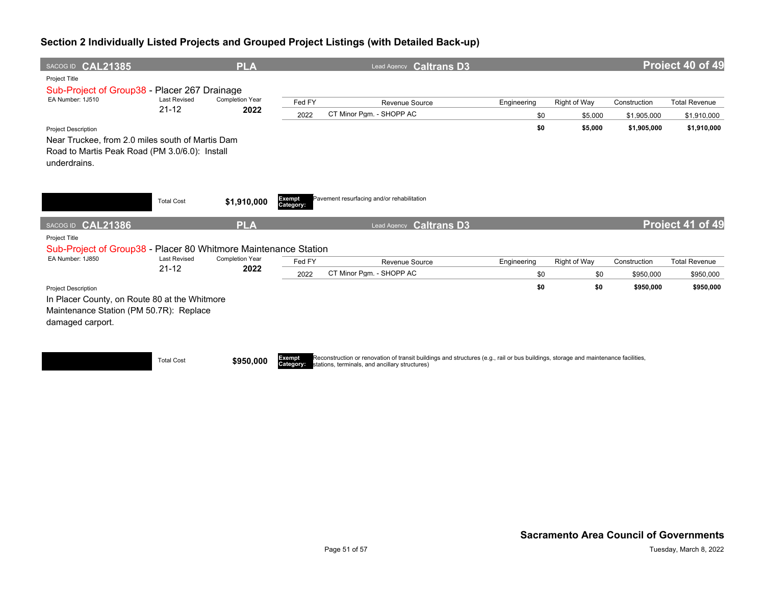| SACOG ID CAL21385                                               |                                  | <b>PLA</b>                     |                     | Lead Agency Caltrans D3                    |             |              |              | Project 40 of 49     |
|-----------------------------------------------------------------|----------------------------------|--------------------------------|---------------------|--------------------------------------------|-------------|--------------|--------------|----------------------|
| Project Title<br>Sub-Project of Group38 - Placer 267 Drainage   |                                  |                                |                     |                                            |             |              |              |                      |
| EA Number: 1J510                                                | <b>Last Revised</b>              | <b>Completion Year</b>         | Fed FY              | Revenue Source                             | Engineering | Right of Way | Construction | <b>Total Revenue</b> |
|                                                                 | $21 - 12$                        | 2022                           | 2022                | CT Minor Pam. - SHOPP AC                   | \$0         | \$5,000      | \$1,905,000  | \$1,910,000          |
| <b>Project Description</b>                                      |                                  |                                |                     |                                            | \$0         | \$5,000      | \$1,905,000  | \$1,910,000          |
| Near Truckee, from 2.0 miles south of Martis Dam                |                                  |                                |                     |                                            |             |              |              |                      |
| Road to Martis Peak Road (PM 3.0/6.0): Install<br>underdrains.  |                                  |                                |                     |                                            |             |              |              |                      |
|                                                                 |                                  |                                |                     |                                            |             |              |              |                      |
|                                                                 | <b>Total Cost</b>                | \$1,910,000                    | Exempt<br>Category: | Pavement resurfacing and/or rehabilitation |             |              |              |                      |
| SACOG ID CAL21386                                               |                                  | <b>PLA</b>                     |                     | <b>Caltrans D3</b><br>Lead Agency          |             |              |              | Project 41 of 49     |
| Project Title                                                   |                                  |                                |                     |                                            |             |              |              |                      |
| Sub-Project of Group38 - Placer 80 Whitmore Maintenance Station |                                  |                                |                     |                                            |             |              |              |                      |
| EA Number: 1J850                                                | <b>Last Revised</b><br>$21 - 12$ | <b>Completion Year</b><br>2022 | Fed FY              | Revenue Source                             | Engineering | Right of Way | Construction | <b>Total Revenue</b> |
|                                                                 |                                  |                                | 2022                | CT Minor Pam. - SHOPP AC                   | \$0         | \$0          | \$950,000    | \$950,000            |
| <b>Project Description</b>                                      |                                  |                                |                     |                                            | \$0         | \$0          | \$950,000    | \$950,000            |
| In Placer County, on Route 80 at the Whitmore                   |                                  |                                |                     |                                            |             |              |              |                      |
| Maintenance Station (PM 50.7R): Replace                         |                                  |                                |                     |                                            |             |              |              |                      |
| damaged carport.                                                |                                  |                                |                     |                                            |             |              |              |                      |
|                                                                 |                                  |                                |                     |                                            |             |              |              |                      |
|                                                                 |                                  |                                |                     |                                            |             |              |              |                      |

**Total Cost \$950,000** 

**Category:** Reconstruction or renovation of transit buildings and structures (e.g., rail or bus buildings, storage and maintenance facilities, stations, terminals, and ancillary structures)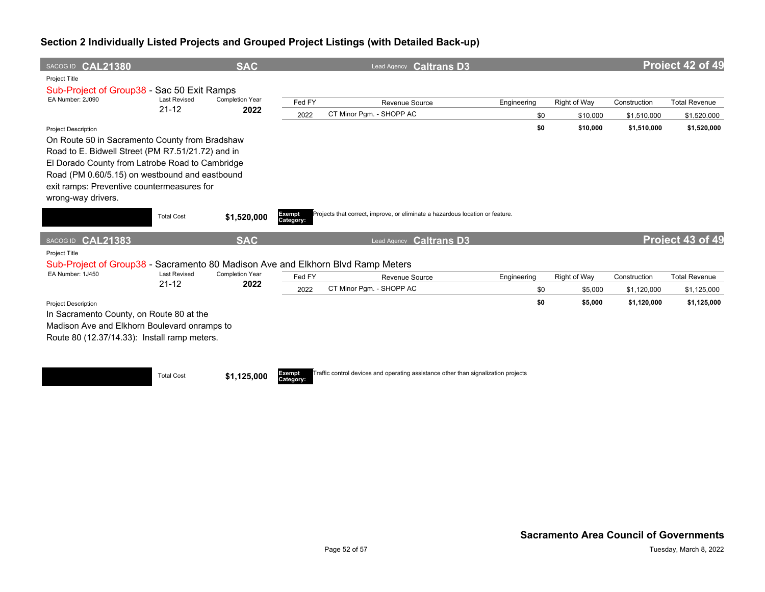| SACOG ID CAL21380                                                                                                                                                                                                                                                                                          |                     | <b>SAC</b>             |                     | Lead Agency Caltrans D3                                                            |             |              |              | Project 42 of 49     |
|------------------------------------------------------------------------------------------------------------------------------------------------------------------------------------------------------------------------------------------------------------------------------------------------------------|---------------------|------------------------|---------------------|------------------------------------------------------------------------------------|-------------|--------------|--------------|----------------------|
| Project Title<br>Sub-Project of Group38 - Sac 50 Exit Ramps                                                                                                                                                                                                                                                |                     |                        |                     |                                                                                    |             |              |              |                      |
| EA Number: 2J090                                                                                                                                                                                                                                                                                           | <b>Last Revised</b> | <b>Completion Year</b> | Fed FY              | Revenue Source                                                                     | Engineering | Right of Way | Construction | <b>Total Revenue</b> |
|                                                                                                                                                                                                                                                                                                            | $21 - 12$           | 2022                   | 2022                | CT Minor Pqm. - SHOPP AC                                                           | \$0         | \$10,000     | \$1,510,000  | \$1,520,000          |
| <b>Project Description</b><br>On Route 50 in Sacramento County from Bradshaw<br>Road to E. Bidwell Street (PM R7.51/21.72) and in<br>El Dorado County from Latrobe Road to Cambridge<br>Road (PM 0.60/5.15) on westbound and eastbound<br>exit ramps: Preventive countermeasures for<br>wrong-way drivers. |                     |                        |                     |                                                                                    | \$0         | \$10,000     | \$1,510,000  | \$1,520,000          |
|                                                                                                                                                                                                                                                                                                            | <b>Total Cost</b>   | \$1,520,000            | Exempt<br>Category: | Projects that correct, improve, or eliminate a hazardous location or feature.      |             |              |              |                      |
| SACOG ID CAL21383                                                                                                                                                                                                                                                                                          |                     | <b>SAC</b>             |                     | <b>Caltrans D3</b><br>Lead Agency                                                  |             |              |              | Project 43 of 49     |
| Project Title<br>Sub-Project of Group38 - Sacramento 80 Madison Ave and Elkhorn Blvd Ramp Meters                                                                                                                                                                                                           |                     |                        |                     |                                                                                    |             |              |              |                      |
| EA Number: 1J450                                                                                                                                                                                                                                                                                           | <b>Last Revised</b> | <b>Completion Year</b> | Fed FY              | Revenue Source                                                                     | Engineering | Right of Way | Construction | <b>Total Revenue</b> |
|                                                                                                                                                                                                                                                                                                            | $21 - 12$           | 2022                   | 2022                | CT Minor Pam. - SHOPP AC                                                           | \$0         | \$5,000      | \$1,120,000  | \$1,125,000          |
| <b>Project Description</b><br>In Sacramento County, on Route 80 at the<br>Madison Ave and Elkhorn Boulevard onramps to<br>Route 80 (12.37/14.33): Install ramp meters.                                                                                                                                     |                     |                        |                     |                                                                                    | \$0         | \$5,000      | \$1,120,000  | \$1,125,000          |
|                                                                                                                                                                                                                                                                                                            | <b>Total Cost</b>   | \$1,125,000            | Exempt<br>Category: | Traffic control devices and operating assistance other than signalization projects |             |              |              |                      |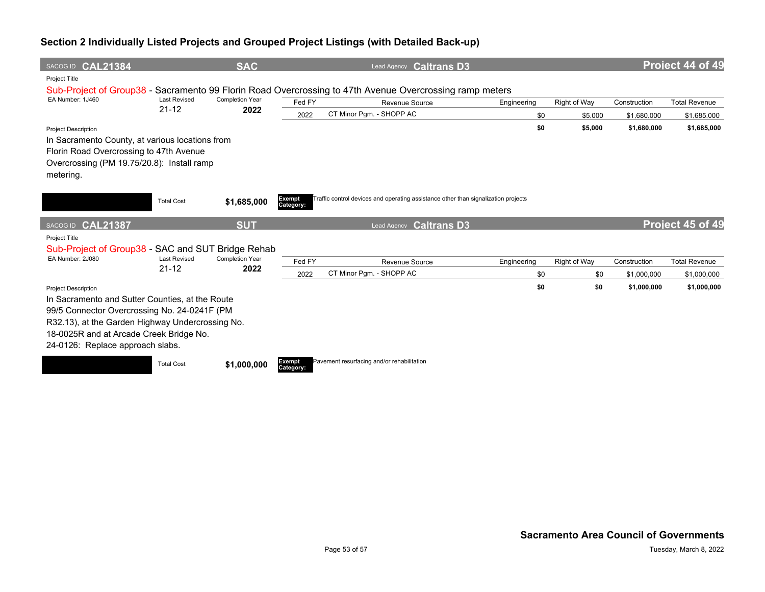| SACOG ID CAL21384                                                                                                                                                                                                                                                |                                  | <b>SAC</b>                     |                     | Lead Agency Caltrans D3                                                                                 |             |              |              | Project 44 of 49     |
|------------------------------------------------------------------------------------------------------------------------------------------------------------------------------------------------------------------------------------------------------------------|----------------------------------|--------------------------------|---------------------|---------------------------------------------------------------------------------------------------------|-------------|--------------|--------------|----------------------|
| Project Title                                                                                                                                                                                                                                                    |                                  |                                |                     |                                                                                                         |             |              |              |                      |
|                                                                                                                                                                                                                                                                  |                                  |                                |                     | Sub-Project of Group38 - Sacramento 99 Florin Road Overcrossing to 47th Avenue Overcrossing ramp meters |             |              |              |                      |
| EA Number: 1J460                                                                                                                                                                                                                                                 | <b>Last Revised</b><br>$21 - 12$ | <b>Completion Year</b><br>2022 | Fed FY              | <b>Revenue Source</b>                                                                                   | Engineering | Right of Way | Construction | <b>Total Revenue</b> |
|                                                                                                                                                                                                                                                                  |                                  |                                | 2022                | CT Minor Pam. - SHOPP AC                                                                                | \$0         | \$5,000      | \$1,680,000  | \$1,685,000          |
| <b>Project Description</b><br>In Sacramento County, at various locations from<br>Florin Road Overcrossing to 47th Avenue<br>Overcrossing (PM 19.75/20.8): Install ramp<br>metering.                                                                              |                                  |                                |                     |                                                                                                         | \$0         | \$5,000      | \$1,680,000  | \$1,685,000          |
|                                                                                                                                                                                                                                                                  | <b>Total Cost</b>                | \$1,685,000                    | Exempt<br>Category: | Traffic control devices and operating assistance other than signalization projects                      |             |              |              |                      |
|                                                                                                                                                                                                                                                                  |                                  |                                |                     |                                                                                                         |             |              |              |                      |
| SACOG ID CAL21387                                                                                                                                                                                                                                                |                                  | <b>SUT</b>                     |                     | <b>Caltrans D3</b><br>Lead Agency                                                                       |             |              |              | Project 45 of 49     |
| <b>Project Title</b>                                                                                                                                                                                                                                             |                                  |                                |                     |                                                                                                         |             |              |              |                      |
| Sub-Project of Group38 - SAC and SUT Bridge Rehab                                                                                                                                                                                                                |                                  |                                |                     |                                                                                                         |             |              |              |                      |
| EA Number: 2J080                                                                                                                                                                                                                                                 | <b>Last Revised</b>              | <b>Completion Year</b>         | Fed FY              | Revenue Source                                                                                          | Engineering | Right of Way | Construction | <b>Total Revenue</b> |
|                                                                                                                                                                                                                                                                  | $21 - 12$                        | 2022                           | 2022                | CT Minor Pqm. - SHOPP AC                                                                                | \$0         | \$0          | \$1,000,000  | \$1,000,000          |
| <b>Project Description</b><br>In Sacramento and Sutter Counties, at the Route<br>99/5 Connector Overcrossing No. 24-0241F (PM<br>R32.13), at the Garden Highway Undercrossing No.<br>18-0025R and at Arcade Creek Bridge No.<br>24-0126: Replace approach slabs. |                                  |                                | Exempt              | Pavement resurfacing and/or rehabilitation                                                              | \$0         | \$0          | \$1,000,000  | \$1,000,000          |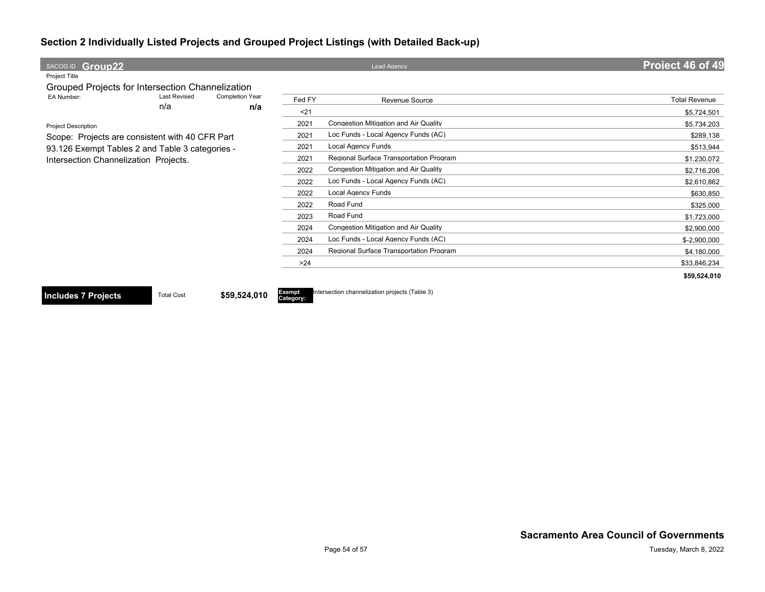| SACOG ID Group22                                                                         |                     |                               |                            | <b>Lead Agency</b>                             | Project 46 of 49     |
|------------------------------------------------------------------------------------------|---------------------|-------------------------------|----------------------------|------------------------------------------------|----------------------|
| <b>Project Title</b>                                                                     |                     |                               |                            |                                                |                      |
| Grouped Projects for Intersection Channelization                                         |                     |                               |                            |                                                |                      |
| EA Number:                                                                               | <b>Last Revised</b> | <b>Completion Year</b><br>n/a | Fed FY                     | <b>Revenue Source</b>                          | <b>Total Revenue</b> |
|                                                                                          | n/a                 |                               | $21$                       |                                                | \$5,724,501          |
| <b>Project Description</b>                                                               |                     |                               | 2021                       | Congestion Mitigation and Air Quality          | \$5,734,203          |
| Scope: Projects are consistent with 40 CFR Part                                          |                     |                               | 2021                       | Loc Funds - Local Agency Funds (AC)            | \$289,138            |
| 93.126 Exempt Tables 2 and Table 3 categories -<br>Intersection Channelization Projects. |                     |                               | 2021                       | <b>Local Agency Funds</b>                      | \$513,944            |
|                                                                                          |                     |                               | 2021                       | Regional Surface Transportation Program        | \$1,230,072          |
|                                                                                          |                     |                               | 2022                       | <b>Congestion Mitigation and Air Quality</b>   | \$2,716,206          |
|                                                                                          |                     |                               | 2022                       | Loc Funds - Local Agency Funds (AC)            | \$2,610,862          |
|                                                                                          |                     |                               | 2022                       | <b>Local Agency Funds</b>                      | \$630,850            |
|                                                                                          |                     |                               | 2022                       | Road Fund                                      | \$325,000            |
|                                                                                          |                     |                               | 2023                       | Road Fund                                      | \$1,723,000          |
|                                                                                          |                     |                               | 2024                       | <b>Congestion Mitigation and Air Quality</b>   | \$2,900,000          |
|                                                                                          |                     |                               | 2024                       | Loc Funds - Local Agency Funds (AC)            | \$-2,900,000         |
|                                                                                          |                     |                               | 2024                       | Regional Surface Transportation Program        | \$4,180,000          |
|                                                                                          |                     |                               | >24                        |                                                | \$33,846,234         |
|                                                                                          |                     |                               |                            |                                                | \$59,524,010         |
| <b>Includes 7 Projects</b>                                                               | <b>Total Cost</b>   | \$59,524,010                  | <b>Exempt</b><br>Category: | Intersection channelization projects (Table 3) |                      |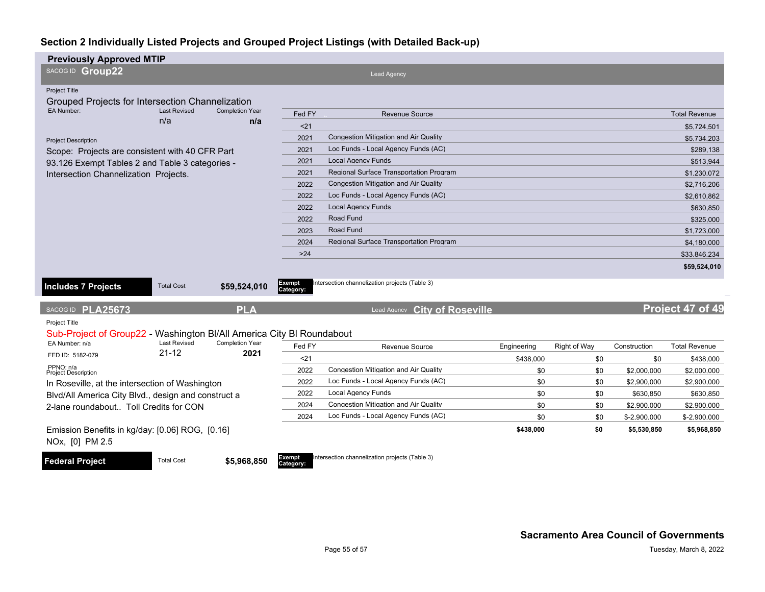| <b>Previously Approved MTIP</b>                                                               |                     |                               |                     |                                                |             |              |              |                      |
|-----------------------------------------------------------------------------------------------|---------------------|-------------------------------|---------------------|------------------------------------------------|-------------|--------------|--------------|----------------------|
| SACOG ID Group22                                                                              |                     |                               |                     | <b>Lead Agency</b>                             |             |              |              |                      |
| <b>Project Title</b>                                                                          |                     |                               |                     |                                                |             |              |              |                      |
| Grouped Projects for Intersection Channelization                                              |                     |                               |                     |                                                |             |              |              |                      |
| EA Number:<br>n/a                                                                             | <b>Last Revised</b> | <b>Completion Year</b><br>n/a | Fed FY              | <b>Revenue Source</b>                          |             |              |              | <b>Total Revenue</b> |
|                                                                                               |                     |                               | $21$                |                                                |             |              |              | \$5,724,501          |
| <b>Project Description</b>                                                                    |                     |                               | 2021                | <b>Congestion Mitigation and Air Quality</b>   |             |              |              | \$5.734.203          |
| Scope: Projects are consistent with 40 CFR Part                                               |                     |                               | 2021                | Loc Funds - Local Agency Funds (AC)            |             |              |              | \$289,138            |
| 93.126 Exempt Tables 2 and Table 3 categories -                                               |                     |                               | 2021                | <b>Local Agency Funds</b>                      |             |              |              | \$513,944            |
| Intersection Channelization Projects.                                                         |                     |                               | 2021                | Regional Surface Transportation Program        |             |              |              | \$1,230,072          |
|                                                                                               |                     |                               | 2022                | <b>Congestion Mitigation and Air Quality</b>   |             |              |              | \$2,716,206          |
|                                                                                               |                     |                               | 2022                | Loc Funds - Local Agency Funds (AC)            |             |              |              | \$2,610,862          |
|                                                                                               |                     |                               | 2022                | <b>Local Agency Funds</b>                      |             |              |              | \$630,850            |
|                                                                                               |                     |                               | 2022                | Road Fund                                      |             |              |              | \$325,000            |
|                                                                                               |                     |                               | 2023                | Road Fund                                      |             |              |              | \$1,723,000          |
|                                                                                               |                     |                               | 2024                | <b>Regional Surface Transportation Program</b> |             |              |              | \$4,180,000          |
|                                                                                               |                     |                               | $>24$               |                                                |             |              |              | \$33,846,234         |
|                                                                                               |                     |                               |                     |                                                |             |              |              | \$59,524,010         |
| <b>Includes 7 Projects</b>                                                                    | <b>Total Cost</b>   | \$59,524,010                  | Exempt<br>Category: | Intersection channelization projects (Table 3) |             |              |              |                      |
| SACOG ID PLA25673                                                                             |                     | <b>PLA</b>                    |                     | <b>City of Roseville</b><br>Lead Agency        |             |              |              | Project 47 of 49     |
| Project Title                                                                                 |                     |                               |                     |                                                |             |              |              |                      |
| Sub-Project of Group22 - Washington BI/All America City BI Roundabout                         |                     |                               |                     |                                                |             |              |              |                      |
| EA Number: n/a                                                                                | <b>Last Revised</b> | <b>Completion Year</b>        | Fed FY              | Revenue Source                                 | Engineering | Right of Way | Construction | <b>Total Revenue</b> |
| FED ID: 5182-079                                                                              | $21 - 12$           | 2021                          | $21$                |                                                | \$438,000   | \$0          | \$0          | \$438,000            |
| PPNO: n/a<br><b>Project Description</b>                                                       |                     |                               | 2022                | <b>Congestion Mitigation and Air Quality</b>   | \$0         | \$0          | \$2,000,000  | \$2,000,000          |
| In Roseville, at the intersection of Washington                                               |                     |                               | 2022                | Loc Funds - Local Agency Funds (AC)            | \$0         | \$0          | \$2,900,000  | \$2,900,000          |
| Blvd/All America City Blvd., design and construct a<br>2-lane roundabout Toll Credits for CON |                     |                               | 2022                | <b>Local Agency Funds</b>                      | \$0         | \$0          | \$630,850    | \$630,850            |
|                                                                                               |                     |                               | 2024                | <b>Congestion Mitigation and Air Quality</b>   | \$0         | \$0          | \$2,900,000  | \$2,900,000          |
|                                                                                               |                     |                               | 2024                | Loc Funds - Local Agency Funds (AC)            | \$0         | \$0          | \$-2,900,000 | $$-2,900,000$        |
| Emission Benefits in kg/day: [0.06] ROG, [0.16]<br>NOx, [0] PM 2.5                            |                     |                               |                     |                                                | \$438,000   | \$0          | \$5,530,850  | \$5,968,850          |
| <b>Federal Project</b>                                                                        | <b>Total Cost</b>   | \$5,968,850                   | Exempt<br>Category: | Intersection channelization projects (Table 3) |             |              |              |                      |

**Sacramento Area Council of Governments**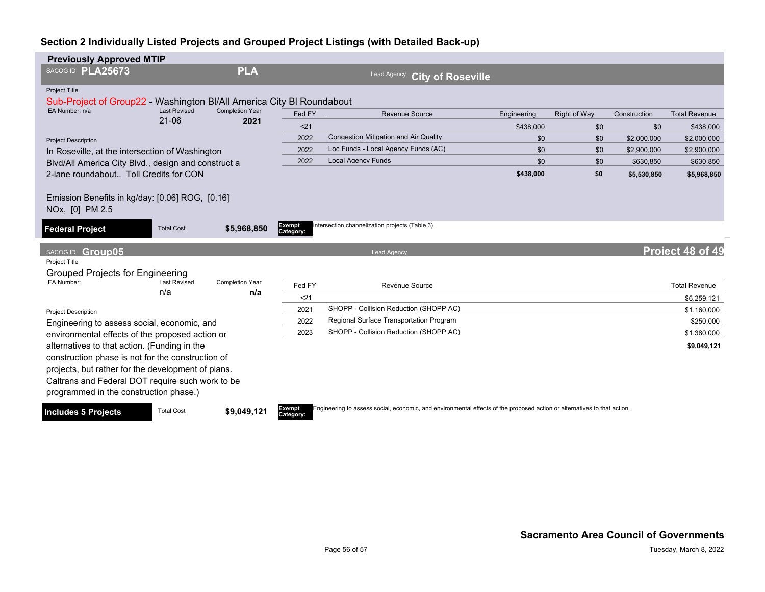| <b>Previously Approved MTIP</b>                                       |                                                  |                                |           |                                               |             |                     |              |                      |
|-----------------------------------------------------------------------|--------------------------------------------------|--------------------------------|-----------|-----------------------------------------------|-------------|---------------------|--------------|----------------------|
| SACOG ID PLA25673                                                     |                                                  | <b>PLA</b>                     |           | Lead Agency<br><b>City of Roseville</b>       |             |                     |              |                      |
| Project Title                                                         |                                                  |                                |           |                                               |             |                     |              |                      |
| Sub-Project of Group22 - Washington BI/All America City BI Roundabout |                                                  |                                |           |                                               |             |                     |              |                      |
| EA Number: n/a                                                        | <b>Last Revised</b><br>$21 - 06$                 | <b>Completion Year</b><br>2021 | Fed FY    | Revenue Source                                | Engineering | <b>Right of Way</b> | Construction | <b>Total Revenue</b> |
|                                                                       |                                                  |                                | < 21      |                                               | \$438,000   | \$0                 | \$0          | \$438,000            |
| <b>Project Description</b>                                            |                                                  |                                | 2022      | <b>Congestion Mitigation and Air Quality</b>  | \$0         | \$0                 | \$2,000,000  | \$2,000,000          |
| In Roseville, at the intersection of Washington                       |                                                  |                                | 2022      | Loc Funds - Local Agency Funds (AC)           | \$0         | \$0                 | \$2,900,000  | \$2,900,000          |
| Blvd/All America City Blvd., design and construct a                   |                                                  |                                | 2022      | <b>Local Agency Funds</b>                     | \$0         | \$0                 | \$630,850    | \$630.850            |
| 2-lane roundabout Toll Credits for CON                                |                                                  |                                |           |                                               | \$438,000   | \$0                 | \$5,530,850  | \$5,968,850          |
|                                                                       |                                                  |                                |           |                                               |             |                     |              |                      |
| Emission Benefits in kg/day: [0.06] ROG, [0.16]                       |                                                  |                                |           |                                               |             |                     |              |                      |
| NOx, [0] PM 2.5                                                       |                                                  |                                |           |                                               |             |                     |              |                      |
| <b>Federal Project</b>                                                | <b>Total Cost</b>                                | \$5,968,850                    | Exempt    | ntersection channelization projects (Table 3) |             |                     |              |                      |
|                                                                       |                                                  |                                | Category: |                                               |             |                     |              |                      |
| Group05<br>SACOG ID                                                   |                                                  |                                |           | <b>Lead Agency</b>                            |             |                     |              | Project 48 of 49     |
| Project Title                                                         |                                                  |                                |           |                                               |             |                     |              |                      |
| Grouped Projects for Engineering                                      |                                                  |                                |           |                                               |             |                     |              |                      |
| EA Number:                                                            | <b>Last Revised</b>                              | <b>Completion Year</b>         | Fed FY    | <b>Revenue Source</b>                         |             |                     |              | <b>Total Revenue</b> |
|                                                                       | n/a                                              | n/a                            | $21$      |                                               |             |                     |              | \$6.259.121          |
| <b>Project Description</b>                                            |                                                  |                                | 2021      | SHOPP - Collision Reduction (SHOPP AC)        |             |                     |              | \$1,160,000          |
| Engineering to assess social, economic, and                           |                                                  |                                | 2022      | Regional Surface Transportation Program       |             |                     |              | \$250,000            |
| environmental effects of the proposed action or                       |                                                  |                                | 2023      | SHOPP - Collision Reduction (SHOPP AC)        |             |                     |              | \$1,380,000          |
| alternatives to that action. (Funding in the                          |                                                  |                                |           |                                               |             |                     |              | \$9,049,121          |
| construction phase is not for the construction of                     |                                                  |                                |           |                                               |             |                     |              |                      |
| projects, but rather for the development of plans.                    |                                                  |                                |           |                                               |             |                     |              |                      |
|                                                                       | Caltrans and Federal DOT require such work to be |                                |           |                                               |             |                     |              |                      |
| programmed in the construction phase.)                                |                                                  |                                |           |                                               |             |                     |              |                      |
|                                                                       |                                                  |                                |           |                                               |             |                     |              |                      |

**Includes 5 Projects** Total Cost **\$9,049,121** 

**Category:**

ngineering to assess social, economic, and environmental effects of the proposed action or alternatives to that action.